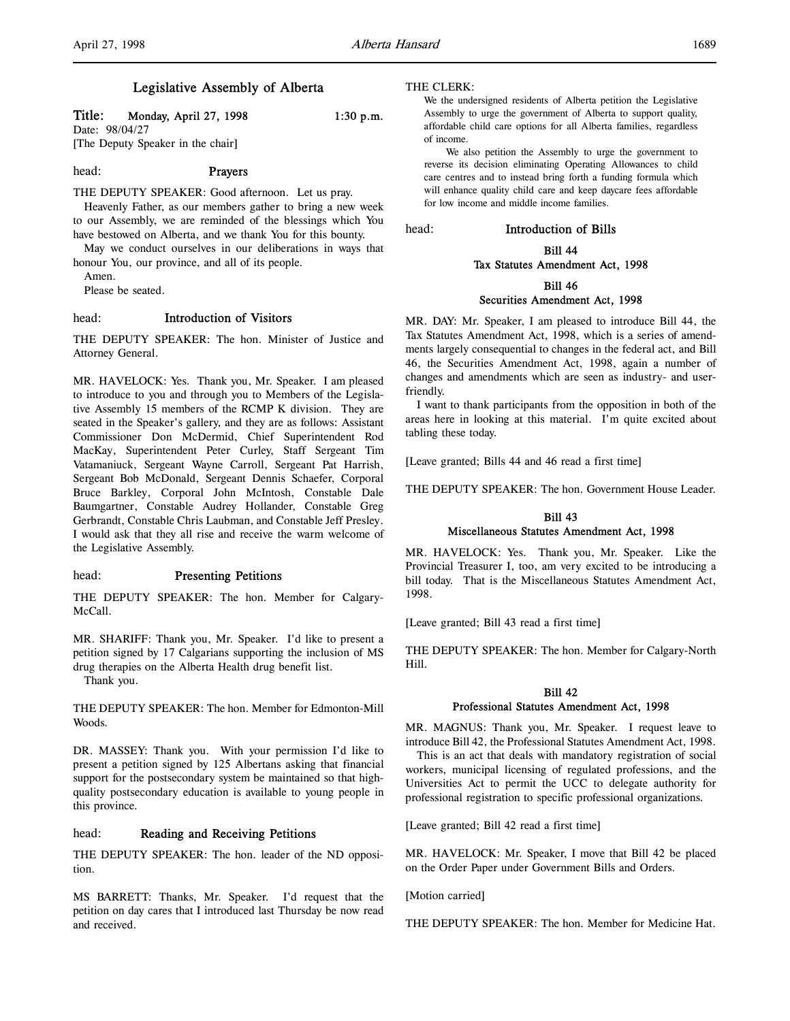## Legislative Assembly of Alberta

## Title: Monday, April 27, 1998 1:30 p.m.

Date: 98/04/27 [The Deputy Speaker in the chair]

# head: Prayers

THE DEPUTY SPEAKER: Good afternoon. Let us pray. Heavenly Father, as our members gather to bring a new week to our Assembly, we are reminded of the blessings which You have bestowed on Alberta, and we thank You for this bounty.

May we conduct ourselves in our deliberations in ways that honour You, our province, and all of its people.

Amen.

Please be seated.

## head: Introduction of Visitors

THE DEPUTY SPEAKER: The hon. Minister of Justice and Attorney General.

MR. HAVELOCK: Yes. Thank you, Mr. Speaker. I am pleased to introduce to you and through you to Members of the Legislative Assembly 15 members of the RCMP K division. They are seated in the Speaker's gallery, and they are as follows: Assistant Commissioner Don McDermid, Chief Superintendent Rod MacKay, Superintendent Peter Curley, Staff Sergeant Tim Vatamaniuck, Sergeant Wayne Carroll, Sergeant Pat Harrish, Sergeant Bob McDonald, Sergeant Dennis Schaefer, Corporal Bruce Barkley, Corporal John McIntosh, Constable Dale Baumgartner, Constable Audrey Hollander, Constable Greg Gerbrandt, Constable Chris Laubman, and Constable Jeff Presley. I would ask that they all rise and receive the warm welcome of the Legislative Assembly.

## head: Presenting Petitions

THE DEPUTY SPEAKER: The hon. Member for Calgary-McCall.

MR. SHARIFF: Thank you, Mr. Speaker. I'd like to present a petition signed by 17 Calgarians supporting the inclusion of MS drug therapies on the Alberta Health drug benefit list.

Thank you.

THE DEPUTY SPEAKER: The hon. Member for Edmonton-Mill Woods.

DR. MASSEY: Thank you. With your permission I'd like to present a petition signed by 125 Albertans asking that financial support for the postsecondary system be maintained so that highquality postsecondary education is available to young people in this province.

#### head: Reading and Receiving Petitions

THE DEPUTY SPEAKER: The hon. leader of the ND opposition.

MS BARRETT: Thanks, Mr. Speaker. I'd request that the petition on day cares that I introduced last Thursday be now read and received.

#### THE CLERK:

#### We the undersigned residents of Alberta petition the Legislative Assembly to urge the government of Alberta to support quality, affordable child care options for all Alberta families, regardless of income.

We also petition the Assembly to urge the government to reverse its decision eliminating Operating Allowances to child care centres and to instead bring forth a funding formula which will enhance quality child care and keep daycare fees affordable for low income and middle income families.

head: Introduction of Bills

#### Bill 44 Tax Statutes Amendment Act, 1998

## Bill 46

#### Securities Amendment Act, 1998

MR. DAY: Mr. Speaker, I am pleased to introduce Bill 44, the Tax Statutes Amendment Act, 1998, which is a series of amendments largely consequential to changes in the federal act, and Bill 46, the Securities Amendment Act, 1998, again a number of changes and amendments which are seen as industry- and userfriendly.

I want to thank participants from the opposition in both of the areas here in looking at this material. I'm quite excited about tabling these today.

[Leave granted; Bills 44 and 46 read a first time]

THE DEPUTY SPEAKER: The hon. Government House Leader.

## Bill 43 Miscellaneous Statutes Amendment Act, 1998

MR. HAVELOCK: Yes. Thank you, Mr. Speaker. Like the Provincial Treasurer I, too, am very excited to be introducing a bill today. That is the Miscellaneous Statutes Amendment Act, 1998.

[Leave granted; Bill 43 read a first time]

THE DEPUTY SPEAKER: The hon. Member for Calgary-North Hill.

## Bill 42 Professional Statutes Amendment Act, 1998

MR. MAGNUS: Thank you, Mr. Speaker. I request leave to introduce Bill 42, the Professional Statutes Amendment Act, 1998.

This is an act that deals with mandatory registration of social workers, municipal licensing of regulated professions, and the Universities Act to permit the UCC to delegate authority for professional registration to specific professional organizations.

[Leave granted; Bill 42 read a first time]

MR. HAVELOCK: Mr. Speaker, I move that Bill 42 be placed on the Order Paper under Government Bills and Orders.

[Motion carried]

THE DEPUTY SPEAKER: The hon. Member for Medicine Hat.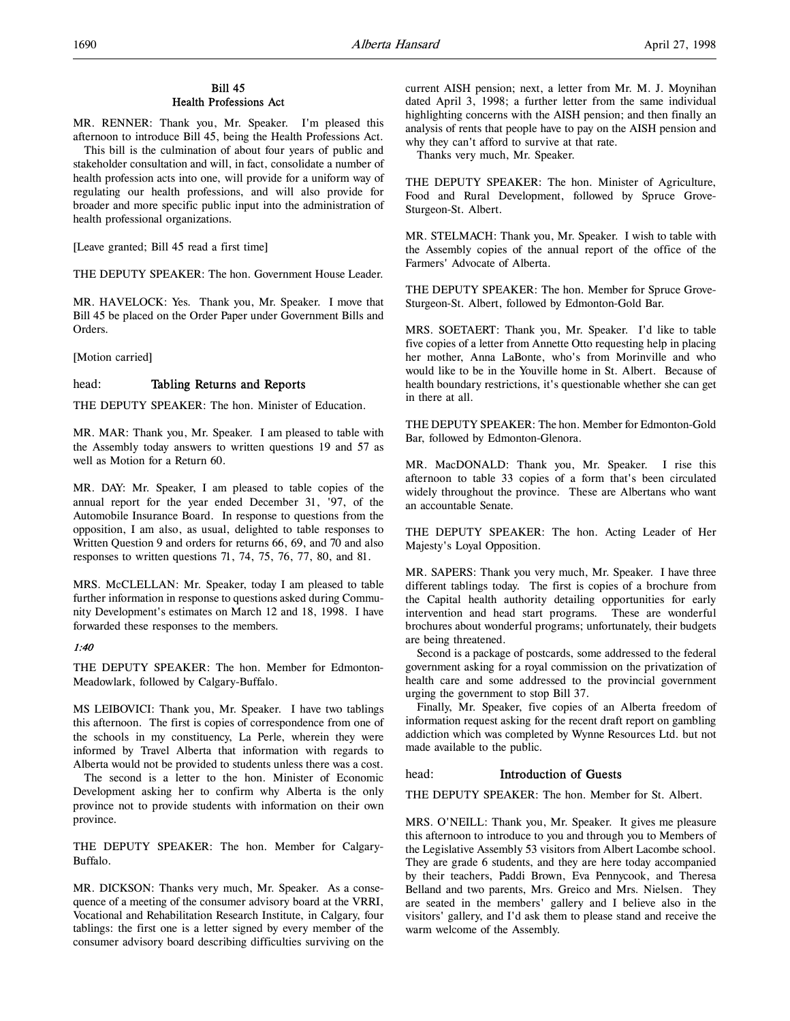## Bill 45 Health Professions Act

MR. RENNER: Thank you, Mr. Speaker. I'm pleased this afternoon to introduce Bill 45, being the Health Professions Act.

This bill is the culmination of about four years of public and stakeholder consultation and will, in fact, consolidate a number of health profession acts into one, will provide for a uniform way of regulating our health professions, and will also provide for broader and more specific public input into the administration of health professional organizations.

[Leave granted; Bill 45 read a first time]

THE DEPUTY SPEAKER: The hon. Government House Leader.

MR. HAVELOCK: Yes. Thank you, Mr. Speaker. I move that Bill 45 be placed on the Order Paper under Government Bills and Orders.

[Motion carried]

## head: Tabling Returns and Reports

THE DEPUTY SPEAKER: The hon. Minister of Education.

MR. MAR: Thank you, Mr. Speaker. I am pleased to table with the Assembly today answers to written questions 19 and 57 as well as Motion for a Return 60.

MR. DAY: Mr. Speaker, I am pleased to table copies of the annual report for the year ended December 31, '97, of the Automobile Insurance Board. In response to questions from the opposition, I am also, as usual, delighted to table responses to Written Question 9 and orders for returns 66, 69, and 70 and also responses to written questions 71, 74, 75, 76, 77, 80, and 81.

MRS. McCLELLAN: Mr. Speaker, today I am pleased to table further information in response to questions asked during Community Development's estimates on March 12 and 18, 1998. I have forwarded these responses to the members.

## 1:40

THE DEPUTY SPEAKER: The hon. Member for Edmonton-Meadowlark, followed by Calgary-Buffalo.

MS LEIBOVICI: Thank you, Mr. Speaker. I have two tablings this afternoon. The first is copies of correspondence from one of the schools in my constituency, La Perle, wherein they were informed by Travel Alberta that information with regards to Alberta would not be provided to students unless there was a cost.

The second is a letter to the hon. Minister of Economic Development asking her to confirm why Alberta is the only province not to provide students with information on their own province.

THE DEPUTY SPEAKER: The hon. Member for Calgary-Buffalo.

MR. DICKSON: Thanks very much, Mr. Speaker. As a consequence of a meeting of the consumer advisory board at the VRRI, Vocational and Rehabilitation Research Institute, in Calgary, four tablings: the first one is a letter signed by every member of the consumer advisory board describing difficulties surviving on the

current AISH pension; next, a letter from Mr. M. J. Moynihan dated April 3, 1998; a further letter from the same individual highlighting concerns with the AISH pension; and then finally an analysis of rents that people have to pay on the AISH pension and why they can't afford to survive at that rate.

Thanks very much, Mr. Speaker.

THE DEPUTY SPEAKER: The hon. Minister of Agriculture, Food and Rural Development, followed by Spruce Grove-Sturgeon-St. Albert.

MR. STELMACH: Thank you, Mr. Speaker. I wish to table with the Assembly copies of the annual report of the office of the Farmers' Advocate of Alberta.

THE DEPUTY SPEAKER: The hon. Member for Spruce Grove-Sturgeon-St. Albert, followed by Edmonton-Gold Bar.

MRS. SOETAERT: Thank you, Mr. Speaker. I'd like to table five copies of a letter from Annette Otto requesting help in placing her mother, Anna LaBonte, who's from Morinville and who would like to be in the Youville home in St. Albert. Because of health boundary restrictions, it's questionable whether she can get in there at all.

THE DEPUTY SPEAKER: The hon. Member for Edmonton-Gold Bar, followed by Edmonton-Glenora.

MR. MacDONALD: Thank you, Mr. Speaker. I rise this afternoon to table 33 copies of a form that's been circulated widely throughout the province. These are Albertans who want an accountable Senate.

THE DEPUTY SPEAKER: The hon. Acting Leader of Her Majesty's Loyal Opposition.

MR. SAPERS: Thank you very much, Mr. Speaker. I have three different tablings today. The first is copies of a brochure from the Capital health authority detailing opportunities for early intervention and head start programs. These are wonderful brochures about wonderful programs; unfortunately, their budgets are being threatened.

Second is a package of postcards, some addressed to the federal government asking for a royal commission on the privatization of health care and some addressed to the provincial government urging the government to stop Bill 37.

Finally, Mr. Speaker, five copies of an Alberta freedom of information request asking for the recent draft report on gambling addiction which was completed by Wynne Resources Ltd. but not made available to the public.

## head: Introduction of Guests

THE DEPUTY SPEAKER: The hon. Member for St. Albert.

MRS. O'NEILL: Thank you, Mr. Speaker. It gives me pleasure this afternoon to introduce to you and through you to Members of the Legislative Assembly 53 visitors from Albert Lacombe school. They are grade 6 students, and they are here today accompanied by their teachers, Paddi Brown, Eva Pennycook, and Theresa Belland and two parents, Mrs. Greico and Mrs. Nielsen. They are seated in the members' gallery and I believe also in the visitors' gallery, and I'd ask them to please stand and receive the warm welcome of the Assembly.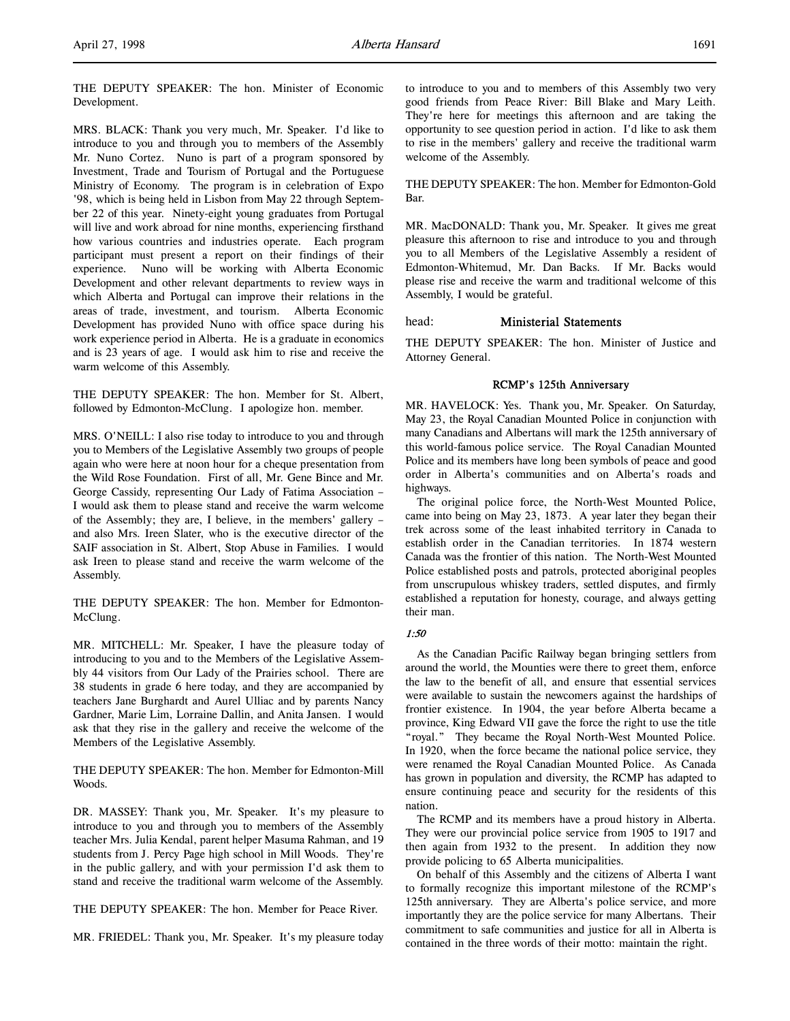MRS. BLACK: Thank you very much, Mr. Speaker. I'd like to introduce to you and through you to members of the Assembly Mr. Nuno Cortez. Nuno is part of a program sponsored by Investment, Trade and Tourism of Portugal and the Portuguese Ministry of Economy. The program is in celebration of Expo '98, which is being held in Lisbon from May 22 through September 22 of this year. Ninety-eight young graduates from Portugal will live and work abroad for nine months, experiencing firsthand how various countries and industries operate. Each program participant must present a report on their findings of their experience. Nuno will be working with Alberta Economic Development and other relevant departments to review ways in which Alberta and Portugal can improve their relations in the areas of trade, investment, and tourism. Alberta Economic Development has provided Nuno with office space during his work experience period in Alberta. He is a graduate in economics and is 23 years of age. I would ask him to rise and receive the warm welcome of this Assembly.

THE DEPUTY SPEAKER: The hon. Member for St. Albert, followed by Edmonton-McClung. I apologize hon. member.

MRS. O'NEILL: I also rise today to introduce to you and through you to Members of the Legislative Assembly two groups of people again who were here at noon hour for a cheque presentation from the Wild Rose Foundation. First of all, Mr. Gene Bince and Mr. George Cassidy, representing Our Lady of Fatima Association – I would ask them to please stand and receive the warm welcome of the Assembly; they are, I believe, in the members' gallery – and also Mrs. Ireen Slater, who is the executive director of the SAIF association in St. Albert, Stop Abuse in Families. I would ask Ireen to please stand and receive the warm welcome of the Assembly.

THE DEPUTY SPEAKER: The hon. Member for Edmonton-McClung.

MR. MITCHELL: Mr. Speaker, I have the pleasure today of introducing to you and to the Members of the Legislative Assembly 44 visitors from Our Lady of the Prairies school. There are 38 students in grade 6 here today, and they are accompanied by teachers Jane Burghardt and Aurel Ulliac and by parents Nancy Gardner, Marie Lim, Lorraine Dallin, and Anita Jansen. I would ask that they rise in the gallery and receive the welcome of the Members of the Legislative Assembly.

THE DEPUTY SPEAKER: The hon. Member for Edmonton-Mill Woods.

DR. MASSEY: Thank you, Mr. Speaker. It's my pleasure to introduce to you and through you to members of the Assembly teacher Mrs. Julia Kendal, parent helper Masuma Rahman, and 19 students from J. Percy Page high school in Mill Woods. They're in the public gallery, and with your permission I'd ask them to stand and receive the traditional warm welcome of the Assembly.

THE DEPUTY SPEAKER: The hon. Member for Peace River.

MR. FRIEDEL: Thank you, Mr. Speaker. It's my pleasure today

to introduce to you and to members of this Assembly two very good friends from Peace River: Bill Blake and Mary Leith. They're here for meetings this afternoon and are taking the opportunity to see question period in action. I'd like to ask them to rise in the members' gallery and receive the traditional warm welcome of the Assembly.

THE DEPUTY SPEAKER: The hon. Member for Edmonton-Gold Bar.

MR. MacDONALD: Thank you, Mr. Speaker. It gives me great pleasure this afternoon to rise and introduce to you and through you to all Members of the Legislative Assembly a resident of Edmonton-Whitemud, Mr. Dan Backs. If Mr. Backs would please rise and receive the warm and traditional welcome of this Assembly, I would be grateful.

#### head: Ministerial Statements

THE DEPUTY SPEAKER: The hon. Minister of Justice and Attorney General.

#### RCMP's 125th Anniversary

MR. HAVELOCK: Yes. Thank you, Mr. Speaker. On Saturday, May 23, the Royal Canadian Mounted Police in conjunction with many Canadians and Albertans will mark the 125th anniversary of this world-famous police service. The Royal Canadian Mounted Police and its members have long been symbols of peace and good order in Alberta's communities and on Alberta's roads and highways.

The original police force, the North-West Mounted Police, came into being on May 23, 1873. A year later they began their trek across some of the least inhabited territory in Canada to establish order in the Canadian territories. In 1874 western Canada was the frontier of this nation. The North-West Mounted Police established posts and patrols, protected aboriginal peoples from unscrupulous whiskey traders, settled disputes, and firmly established a reputation for honesty, courage, and always getting their man.

## 1:50

As the Canadian Pacific Railway began bringing settlers from around the world, the Mounties were there to greet them, enforce the law to the benefit of all, and ensure that essential services were available to sustain the newcomers against the hardships of frontier existence. In 1904, the year before Alberta became a province, King Edward VII gave the force the right to use the title "royal." They became the Royal North-West Mounted Police. In 1920, when the force became the national police service, they were renamed the Royal Canadian Mounted Police. As Canada has grown in population and diversity, the RCMP has adapted to ensure continuing peace and security for the residents of this nation.

The RCMP and its members have a proud history in Alberta. They were our provincial police service from 1905 to 1917 and then again from 1932 to the present. In addition they now provide policing to 65 Alberta municipalities.

On behalf of this Assembly and the citizens of Alberta I want to formally recognize this important milestone of the RCMP's 125th anniversary. They are Alberta's police service, and more importantly they are the police service for many Albertans. Their commitment to safe communities and justice for all in Alberta is contained in the three words of their motto: maintain the right.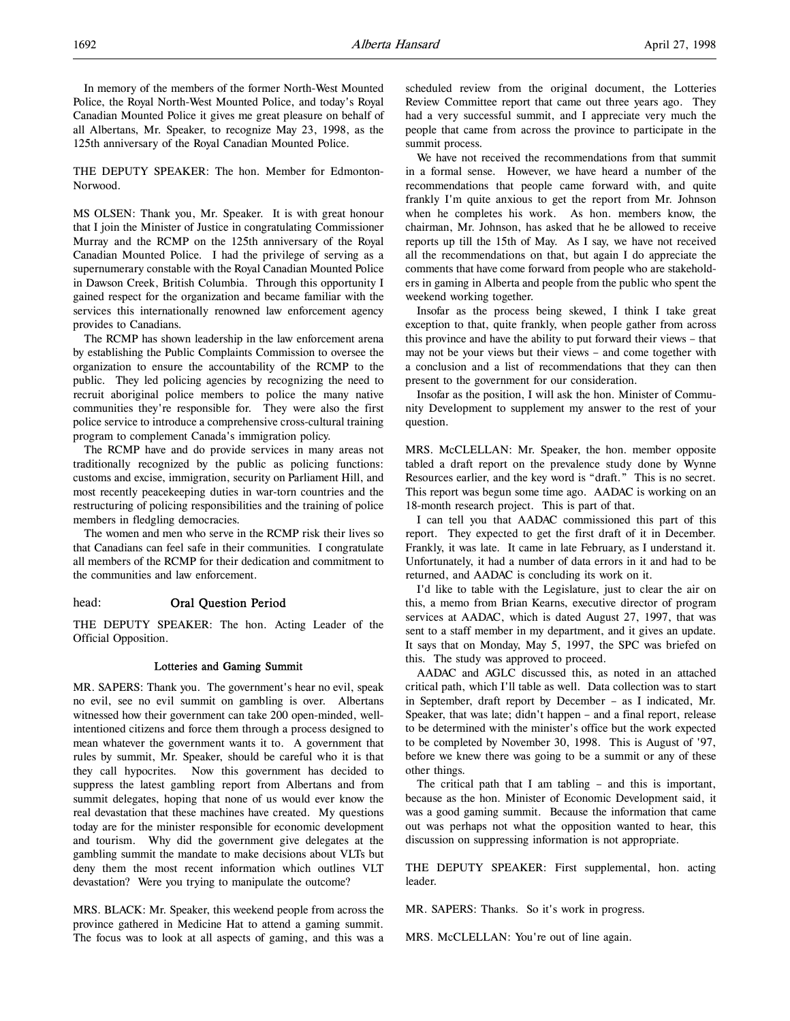In memory of the members of the former North-West Mounted Police, the Royal North-West Mounted Police, and today's Royal Canadian Mounted Police it gives me great pleasure on behalf of all Albertans, Mr. Speaker, to recognize May 23, 1998, as the 125th anniversary of the Royal Canadian Mounted Police.

THE DEPUTY SPEAKER: The hon. Member for Edmonton-Norwood.

MS OLSEN: Thank you, Mr. Speaker. It is with great honour that I join the Minister of Justice in congratulating Commissioner Murray and the RCMP on the 125th anniversary of the Royal Canadian Mounted Police. I had the privilege of serving as a supernumerary constable with the Royal Canadian Mounted Police in Dawson Creek, British Columbia. Through this opportunity I gained respect for the organization and became familiar with the services this internationally renowned law enforcement agency provides to Canadians.

The RCMP has shown leadership in the law enforcement arena by establishing the Public Complaints Commission to oversee the organization to ensure the accountability of the RCMP to the public. They led policing agencies by recognizing the need to recruit aboriginal police members to police the many native communities they're responsible for. They were also the first police service to introduce a comprehensive cross-cultural training program to complement Canada's immigration policy.

The RCMP have and do provide services in many areas not traditionally recognized by the public as policing functions: customs and excise, immigration, security on Parliament Hill, and most recently peacekeeping duties in war-torn countries and the restructuring of policing responsibilities and the training of police members in fledgling democracies.

The women and men who serve in the RCMP risk their lives so that Canadians can feel safe in their communities. I congratulate all members of the RCMP for their dedication and commitment to the communities and law enforcement.

#### head: Oral Question Period

THE DEPUTY SPEAKER: The hon. Acting Leader of the Official Opposition.

#### Lotteries and Gaming Summit

MR. SAPERS: Thank you. The government's hear no evil, speak no evil, see no evil summit on gambling is over. Albertans witnessed how their government can take 200 open-minded, wellintentioned citizens and force them through a process designed to mean whatever the government wants it to. A government that rules by summit, Mr. Speaker, should be careful who it is that they call hypocrites. Now this government has decided to suppress the latest gambling report from Albertans and from summit delegates, hoping that none of us would ever know the real devastation that these machines have created. My questions today are for the minister responsible for economic development and tourism. Why did the government give delegates at the gambling summit the mandate to make decisions about VLTs but deny them the most recent information which outlines VLT devastation? Were you trying to manipulate the outcome?

MRS. BLACK: Mr. Speaker, this weekend people from across the province gathered in Medicine Hat to attend a gaming summit. The focus was to look at all aspects of gaming, and this was a scheduled review from the original document, the Lotteries Review Committee report that came out three years ago. They had a very successful summit, and I appreciate very much the people that came from across the province to participate in the summit process.

We have not received the recommendations from that summit in a formal sense. However, we have heard a number of the recommendations that people came forward with, and quite frankly I'm quite anxious to get the report from Mr. Johnson when he completes his work. As hon. members know, the chairman, Mr. Johnson, has asked that he be allowed to receive reports up till the 15th of May. As I say, we have not received all the recommendations on that, but again I do appreciate the comments that have come forward from people who are stakeholders in gaming in Alberta and people from the public who spent the weekend working together.

Insofar as the process being skewed, I think I take great exception to that, quite frankly, when people gather from across this province and have the ability to put forward their views – that may not be your views but their views – and come together with a conclusion and a list of recommendations that they can then present to the government for our consideration.

Insofar as the position, I will ask the hon. Minister of Community Development to supplement my answer to the rest of your question.

MRS. McCLELLAN: Mr. Speaker, the hon. member opposite tabled a draft report on the prevalence study done by Wynne Resources earlier, and the key word is "draft." This is no secret. This report was begun some time ago. AADAC is working on an 18-month research project. This is part of that.

I can tell you that AADAC commissioned this part of this report. They expected to get the first draft of it in December. Frankly, it was late. It came in late February, as I understand it. Unfortunately, it had a number of data errors in it and had to be returned, and AADAC is concluding its work on it.

I'd like to table with the Legislature, just to clear the air on this, a memo from Brian Kearns, executive director of program services at AADAC, which is dated August 27, 1997, that was sent to a staff member in my department, and it gives an update. It says that on Monday, May 5, 1997, the SPC was briefed on this. The study was approved to proceed.

AADAC and AGLC discussed this, as noted in an attached critical path, which I'll table as well. Data collection was to start in September, draft report by December – as I indicated, Mr. Speaker, that was late; didn't happen – and a final report, release to be determined with the minister's office but the work expected to be completed by November 30, 1998. This is August of '97, before we knew there was going to be a summit or any of these other things.

The critical path that I am tabling – and this is important, because as the hon. Minister of Economic Development said, it was a good gaming summit. Because the information that came out was perhaps not what the opposition wanted to hear, this discussion on suppressing information is not appropriate.

THE DEPUTY SPEAKER: First supplemental, hon. acting leader.

MR. SAPERS: Thanks. So it's work in progress.

MRS. McCLELLAN: You're out of line again.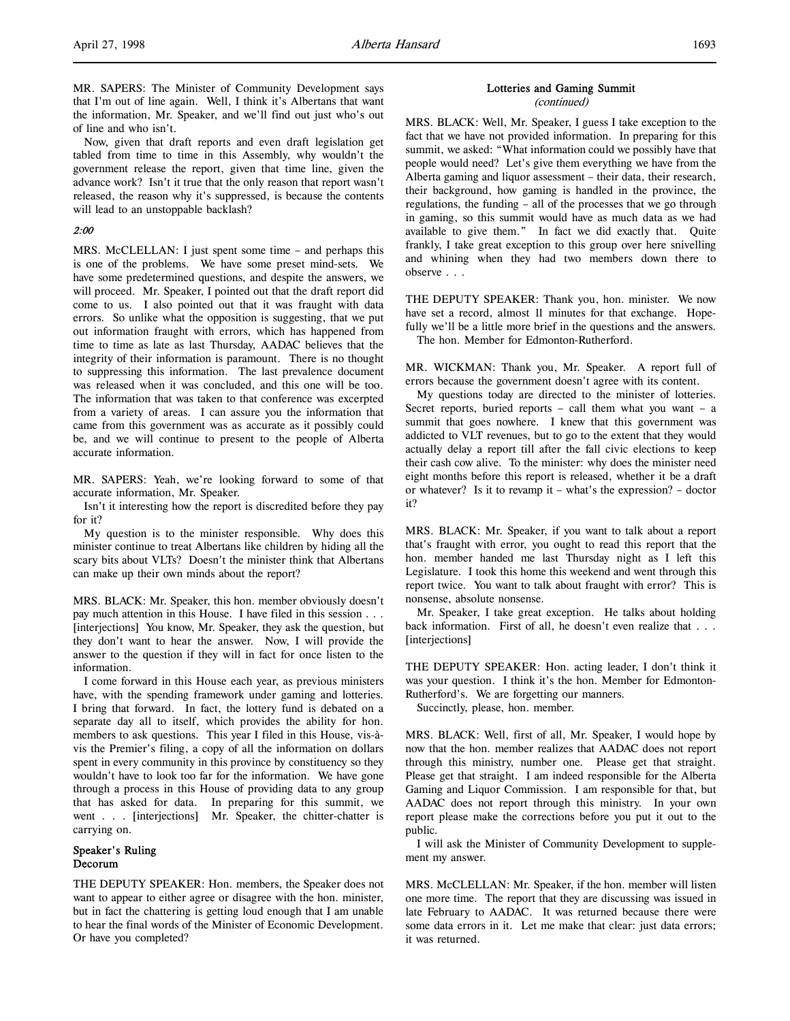MR. SAPERS: The Minister of Community Development says that I'm out of line again. Well, I think it's Albertans that want the information, Mr. Speaker, and we'll find out just who's out of line and who isn't.

Now, given that draft reports and even draft legislation get tabled from time to time in this Assembly, why wouldn't the government release the report, given that time line, given the advance work? Isn't it true that the only reason that report wasn't released, the reason why it's suppressed, is because the contents will lead to an unstoppable backlash?

## 2:00

MRS. McCLELLAN: I just spent some time – and perhaps this is one of the problems. We have some preset mind-sets. We have some predetermined questions, and despite the answers, we will proceed. Mr. Speaker, I pointed out that the draft report did come to us. I also pointed out that it was fraught with data errors. So unlike what the opposition is suggesting, that we put out information fraught with errors, which has happened from time to time as late as last Thursday, AADAC believes that the integrity of their information is paramount. There is no thought to suppressing this information. The last prevalence document was released when it was concluded, and this one will be too. The information that was taken to that conference was excerpted from a variety of areas. I can assure you the information that came from this government was as accurate as it possibly could be, and we will continue to present to the people of Alberta accurate information.

MR. SAPERS: Yeah, we're looking forward to some of that accurate information, Mr. Speaker.

Isn't it interesting how the report is discredited before they pay for it?

My question is to the minister responsible. Why does this minister continue to treat Albertans like children by hiding all the scary bits about VLTs? Doesn't the minister think that Albertans can make up their own minds about the report?

MRS. BLACK: Mr. Speaker, this hon. member obviously doesn't pay much attention in this House. I have filed in this session . . . [interjections] You know, Mr. Speaker, they ask the question, but they don't want to hear the answer. Now, I will provide the answer to the question if they will in fact for once listen to the information.

I come forward in this House each year, as previous ministers have, with the spending framework under gaming and lotteries. I bring that forward. In fact, the lottery fund is debated on a separate day all to itself, which provides the ability for hon. members to ask questions. This year I filed in this House, vis-àvis the Premier's filing, a copy of all the information on dollars spent in every community in this province by constituency so they wouldn't have to look too far for the information. We have gone through a process in this House of providing data to any group that has asked for data. In preparing for this summit, we went . . . [interjections] Mr. Speaker, the chitter-chatter is carrying on.

## Speaker's Ruling Decorum

THE DEPUTY SPEAKER: Hon. members, the Speaker does not want to appear to either agree or disagree with the hon. minister, but in fact the chattering is getting loud enough that I am unable to hear the final words of the Minister of Economic Development. Or have you completed?

## Lotteries and Gaming Summit

(continued)

MRS. BLACK: Well, Mr. Speaker, I guess I take exception to the fact that we have not provided information. In preparing for this summit, we asked: "What information could we possibly have that people would need? Let's give them everything we have from the Alberta gaming and liquor assessment – their data, their research, their background, how gaming is handled in the province, the regulations, the funding – all of the processes that we go through in gaming, so this summit would have as much data as we had available to give them." In fact we did exactly that. Quite frankly, I take great exception to this group over here snivelling and whining when they had two members down there to observe . . .

THE DEPUTY SPEAKER: Thank you, hon. minister. We now have set a record, almost 11 minutes for that exchange. Hopefully we'll be a little more brief in the questions and the answers. The hon. Member for Edmonton-Rutherford.

MR. WICKMAN: Thank you, Mr. Speaker. A report full of errors because the government doesn't agree with its content.

My questions today are directed to the minister of lotteries. Secret reports, buried reports – call them what you want – a summit that goes nowhere. I knew that this government was addicted to VLT revenues, but to go to the extent that they would actually delay a report till after the fall civic elections to keep their cash cow alive. To the minister: why does the minister need eight months before this report is released, whether it be a draft or whatever? Is it to revamp it – what's the expression? – doctor it?

MRS. BLACK: Mr. Speaker, if you want to talk about a report that's fraught with error, you ought to read this report that the hon. member handed me last Thursday night as I left this Legislature. I took this home this weekend and went through this report twice. You want to talk about fraught with error? This is nonsense, absolute nonsense.

Mr. Speaker, I take great exception. He talks about holding back information. First of all, he doesn't even realize that . . . [interjections]

THE DEPUTY SPEAKER: Hon. acting leader, I don't think it was your question. I think it's the hon. Member for Edmonton-Rutherford's. We are forgetting our manners.

Succinctly, please, hon. member.

MRS. BLACK: Well, first of all, Mr. Speaker, I would hope by now that the hon. member realizes that AADAC does not report through this ministry, number one. Please get that straight. Please get that straight. I am indeed responsible for the Alberta Gaming and Liquor Commission. I am responsible for that, but AADAC does not report through this ministry. In your own report please make the corrections before you put it out to the public.

I will ask the Minister of Community Development to supplement my answer.

MRS. McCLELLAN: Mr. Speaker, if the hon. member will listen one more time. The report that they are discussing was issued in late February to AADAC. It was returned because there were some data errors in it. Let me make that clear: just data errors; it was returned.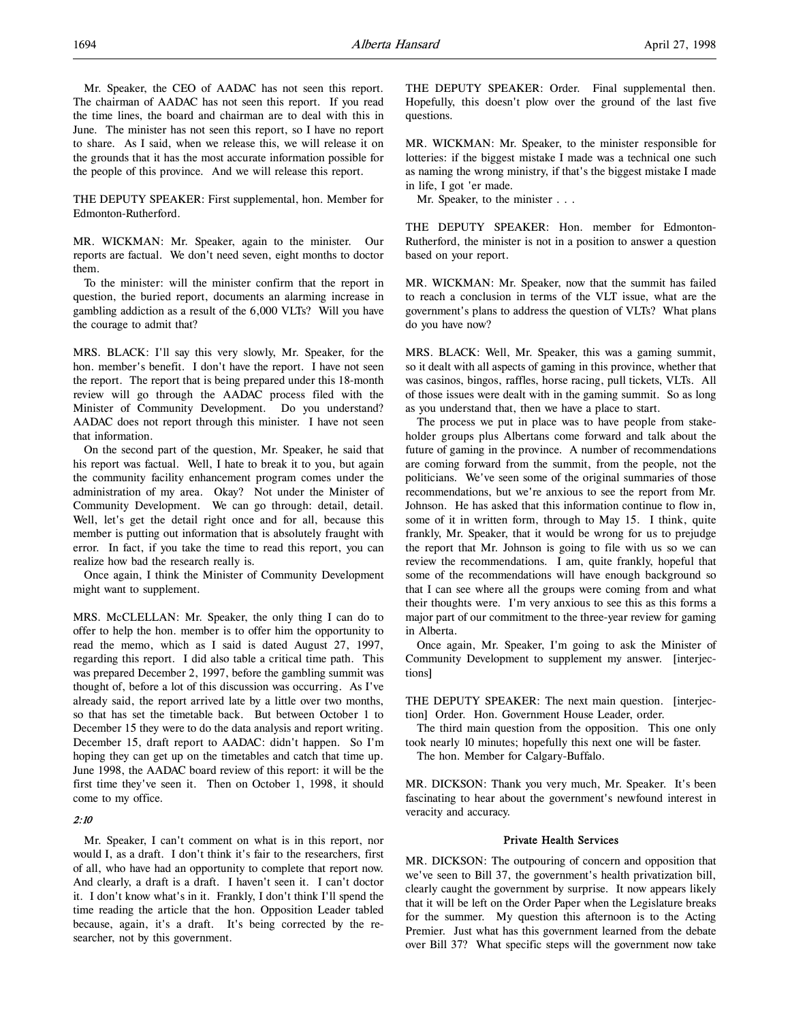THE DEPUTY SPEAKER: First supplemental, hon. Member for Edmonton-Rutherford.

MR. WICKMAN: Mr. Speaker, again to the minister. Our reports are factual. We don't need seven, eight months to doctor them.

To the minister: will the minister confirm that the report in question, the buried report, documents an alarming increase in gambling addiction as a result of the 6,000 VLTs? Will you have the courage to admit that?

MRS. BLACK: I'll say this very slowly, Mr. Speaker, for the hon. member's benefit. I don't have the report. I have not seen the report. The report that is being prepared under this 18-month review will go through the AADAC process filed with the Minister of Community Development. Do you understand? AADAC does not report through this minister. I have not seen that information.

On the second part of the question, Mr. Speaker, he said that his report was factual. Well, I hate to break it to you, but again the community facility enhancement program comes under the administration of my area. Okay? Not under the Minister of Community Development. We can go through: detail, detail. Well, let's get the detail right once and for all, because this member is putting out information that is absolutely fraught with error. In fact, if you take the time to read this report, you can realize how bad the research really is.

Once again, I think the Minister of Community Development might want to supplement.

MRS. McCLELLAN: Mr. Speaker, the only thing I can do to offer to help the hon. member is to offer him the opportunity to read the memo, which as I said is dated August 27, 1997, regarding this report. I did also table a critical time path. This was prepared December 2, 1997, before the gambling summit was thought of, before a lot of this discussion was occurring. As I've already said, the report arrived late by a little over two months, so that has set the timetable back. But between October 1 to December 15 they were to do the data analysis and report writing. December 15, draft report to AADAC: didn't happen. So I'm hoping they can get up on the timetables and catch that time up. June 1998, the AADAC board review of this report: it will be the first time they've seen it. Then on October 1, 1998, it should come to my office.

## 2:10

Mr. Speaker, I can't comment on what is in this report, nor would I, as a draft. I don't think it's fair to the researchers, first of all, who have had an opportunity to complete that report now. And clearly, a draft is a draft. I haven't seen it. I can't doctor it. I don't know what's in it. Frankly, I don't think I'll spend the time reading the article that the hon. Opposition Leader tabled because, again, it's a draft. It's being corrected by the researcher, not by this government.

THE DEPUTY SPEAKER: Order. Final supplemental then. Hopefully, this doesn't plow over the ground of the last five questions.

MR. WICKMAN: Mr. Speaker, to the minister responsible for lotteries: if the biggest mistake I made was a technical one such as naming the wrong ministry, if that's the biggest mistake I made in life, I got 'er made.

Mr. Speaker, to the minister . . .

THE DEPUTY SPEAKER: Hon. member for Edmonton-Rutherford, the minister is not in a position to answer a question based on your report.

MR. WICKMAN: Mr. Speaker, now that the summit has failed to reach a conclusion in terms of the VLT issue, what are the government's plans to address the question of VLTs? What plans do you have now?

MRS. BLACK: Well, Mr. Speaker, this was a gaming summit, so it dealt with all aspects of gaming in this province, whether that was casinos, bingos, raffles, horse racing, pull tickets, VLTs. All of those issues were dealt with in the gaming summit. So as long as you understand that, then we have a place to start.

The process we put in place was to have people from stakeholder groups plus Albertans come forward and talk about the future of gaming in the province. A number of recommendations are coming forward from the summit, from the people, not the politicians. We've seen some of the original summaries of those recommendations, but we're anxious to see the report from Mr. Johnson. He has asked that this information continue to flow in, some of it in written form, through to May 15. I think, quite frankly, Mr. Speaker, that it would be wrong for us to prejudge the report that Mr. Johnson is going to file with us so we can review the recommendations. I am, quite frankly, hopeful that some of the recommendations will have enough background so that I can see where all the groups were coming from and what their thoughts were. I'm very anxious to see this as this forms a major part of our commitment to the three-year review for gaming in Alberta.

Once again, Mr. Speaker, I'm going to ask the Minister of Community Development to supplement my answer. [interjections]

THE DEPUTY SPEAKER: The next main question. [interjection] Order. Hon. Government House Leader, order.

The third main question from the opposition. This one only took nearly 10 minutes; hopefully this next one will be faster.

The hon. Member for Calgary-Buffalo.

MR. DICKSON: Thank you very much, Mr. Speaker. It's been fascinating to hear about the government's newfound interest in veracity and accuracy.

#### Private Health Services

MR. DICKSON: The outpouring of concern and opposition that we've seen to Bill 37, the government's health privatization bill, clearly caught the government by surprise. It now appears likely that it will be left on the Order Paper when the Legislature breaks for the summer. My question this afternoon is to the Acting Premier. Just what has this government learned from the debate over Bill 37? What specific steps will the government now take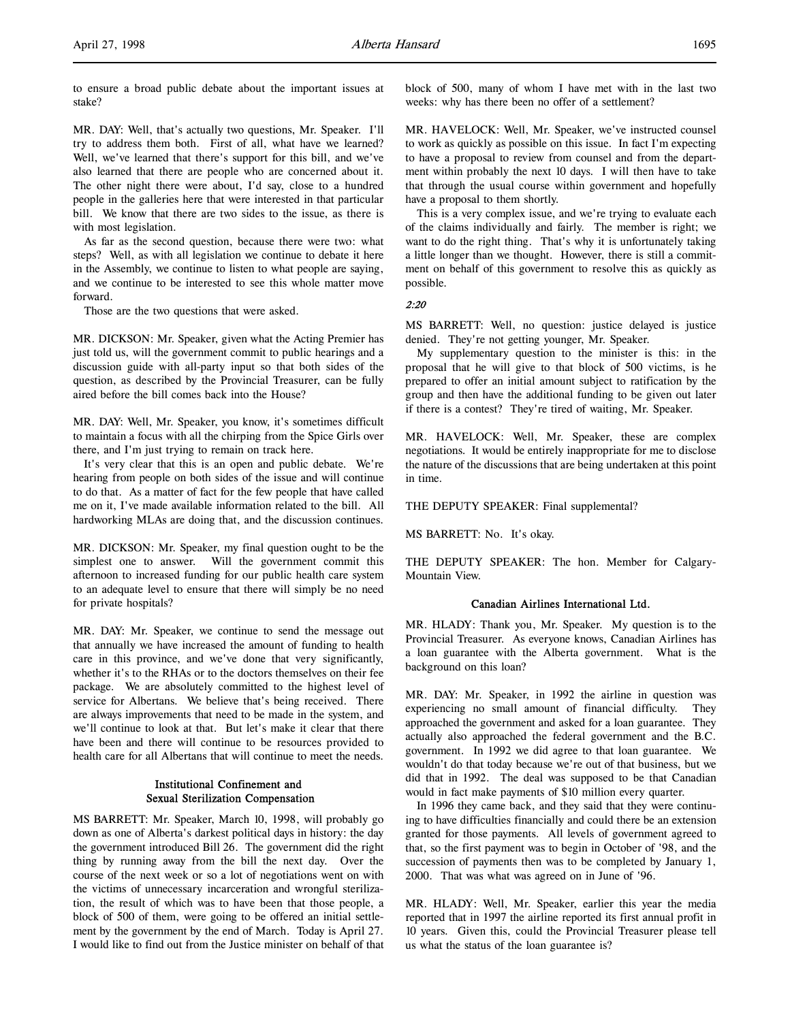to ensure a broad public debate about the important issues at stake?

MR. DAY: Well, that's actually two questions, Mr. Speaker. I'll try to address them both. First of all, what have we learned? Well, we've learned that there's support for this bill, and we've also learned that there are people who are concerned about it. The other night there were about, I'd say, close to a hundred people in the galleries here that were interested in that particular bill. We know that there are two sides to the issue, as there is with most legislation.

As far as the second question, because there were two: what steps? Well, as with all legislation we continue to debate it here in the Assembly, we continue to listen to what people are saying, and we continue to be interested to see this whole matter move forward.

Those are the two questions that were asked.

MR. DICKSON: Mr. Speaker, given what the Acting Premier has just told us, will the government commit to public hearings and a discussion guide with all-party input so that both sides of the question, as described by the Provincial Treasurer, can be fully aired before the bill comes back into the House?

MR. DAY: Well, Mr. Speaker, you know, it's sometimes difficult to maintain a focus with all the chirping from the Spice Girls over there, and I'm just trying to remain on track here.

It's very clear that this is an open and public debate. We're hearing from people on both sides of the issue and will continue to do that. As a matter of fact for the few people that have called me on it, I've made available information related to the bill. All hardworking MLAs are doing that, and the discussion continues.

MR. DICKSON: Mr. Speaker, my final question ought to be the simplest one to answer. Will the government commit this afternoon to increased funding for our public health care system to an adequate level to ensure that there will simply be no need for private hospitals?

MR. DAY: Mr. Speaker, we continue to send the message out that annually we have increased the amount of funding to health care in this province, and we've done that very significantly, whether it's to the RHAs or to the doctors themselves on their fee package. We are absolutely committed to the highest level of service for Albertans. We believe that's being received. There are always improvements that need to be made in the system, and we'll continue to look at that. But let's make it clear that there have been and there will continue to be resources provided to health care for all Albertans that will continue to meet the needs.

## Institutional Confinement and Sexual Sterilization Compensation

MS BARRETT: Mr. Speaker, March 10, 1998, will probably go down as one of Alberta's darkest political days in history: the day the government introduced Bill 26. The government did the right thing by running away from the bill the next day. Over the course of the next week or so a lot of negotiations went on with the victims of unnecessary incarceration and wrongful sterilization, the result of which was to have been that those people, a block of 500 of them, were going to be offered an initial settlement by the government by the end of March. Today is April 27. I would like to find out from the Justice minister on behalf of that block of 500, many of whom I have met with in the last two weeks: why has there been no offer of a settlement?

MR. HAVELOCK: Well, Mr. Speaker, we've instructed counsel to work as quickly as possible on this issue. In fact I'm expecting to have a proposal to review from counsel and from the department within probably the next 10 days. I will then have to take that through the usual course within government and hopefully have a proposal to them shortly.

This is a very complex issue, and we're trying to evaluate each of the claims individually and fairly. The member is right; we want to do the right thing. That's why it is unfortunately taking a little longer than we thought. However, there is still a commitment on behalf of this government to resolve this as quickly as possible.

2:20

MS BARRETT: Well, no question: justice delayed is justice denied. They're not getting younger, Mr. Speaker.

My supplementary question to the minister is this: in the proposal that he will give to that block of 500 victims, is he prepared to offer an initial amount subject to ratification by the group and then have the additional funding to be given out later if there is a contest? They're tired of waiting, Mr. Speaker.

MR. HAVELOCK: Well, Mr. Speaker, these are complex negotiations. It would be entirely inappropriate for me to disclose the nature of the discussions that are being undertaken at this point in time.

THE DEPUTY SPEAKER: Final supplemental?

MS BARRETT: No. It's okay.

THE DEPUTY SPEAKER: The hon. Member for Calgary-Mountain View.

## Canadian Airlines International Ltd.

MR. HLADY: Thank you, Mr. Speaker. My question is to the Provincial Treasurer. As everyone knows, Canadian Airlines has a loan guarantee with the Alberta government. What is the background on this loan?

MR. DAY: Mr. Speaker, in 1992 the airline in question was experiencing no small amount of financial difficulty. They approached the government and asked for a loan guarantee. They actually also approached the federal government and the B.C. government. In 1992 we did agree to that loan guarantee. We wouldn't do that today because we're out of that business, but we did that in 1992. The deal was supposed to be that Canadian would in fact make payments of \$10 million every quarter.

In 1996 they came back, and they said that they were continuing to have difficulties financially and could there be an extension granted for those payments. All levels of government agreed to that, so the first payment was to begin in October of '98, and the succession of payments then was to be completed by January 1, 2000. That was what was agreed on in June of '96.

MR. HLADY: Well, Mr. Speaker, earlier this year the media reported that in 1997 the airline reported its first annual profit in 10 years. Given this, could the Provincial Treasurer please tell us what the status of the loan guarantee is?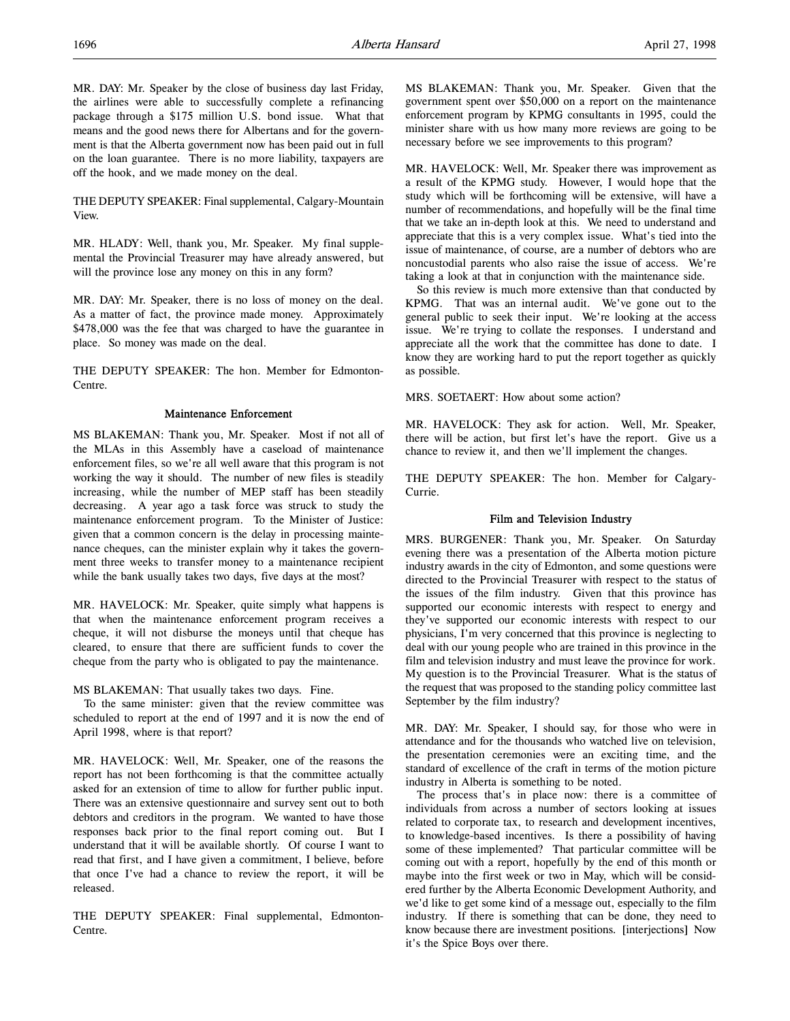MR. DAY: Mr. Speaker by the close of business day last Friday, the airlines were able to successfully complete a refinancing package through a \$175 million U.S. bond issue. What that means and the good news there for Albertans and for the government is that the Alberta government now has been paid out in full on the loan guarantee. There is no more liability, taxpayers are off the hook, and we made money on the deal.

THE DEPUTY SPEAKER: Final supplemental, Calgary-Mountain View.

MR. HLADY: Well, thank you, Mr. Speaker. My final supplemental the Provincial Treasurer may have already answered, but will the province lose any money on this in any form?

MR. DAY: Mr. Speaker, there is no loss of money on the deal. As a matter of fact, the province made money. Approximately \$478,000 was the fee that was charged to have the guarantee in place. So money was made on the deal.

THE DEPUTY SPEAKER: The hon. Member for Edmonton-Centre.

#### Maintenance Enforcement

MS BLAKEMAN: Thank you, Mr. Speaker. Most if not all of the MLAs in this Assembly have a caseload of maintenance enforcement files, so we're all well aware that this program is not working the way it should. The number of new files is steadily increasing, while the number of MEP staff has been steadily decreasing. A year ago a task force was struck to study the maintenance enforcement program. To the Minister of Justice: given that a common concern is the delay in processing maintenance cheques, can the minister explain why it takes the government three weeks to transfer money to a maintenance recipient while the bank usually takes two days, five days at the most?

MR. HAVELOCK: Mr. Speaker, quite simply what happens is that when the maintenance enforcement program receives a cheque, it will not disburse the moneys until that cheque has cleared, to ensure that there are sufficient funds to cover the cheque from the party who is obligated to pay the maintenance.

MS BLAKEMAN: That usually takes two days. Fine.

To the same minister: given that the review committee was scheduled to report at the end of 1997 and it is now the end of April 1998, where is that report?

MR. HAVELOCK: Well, Mr. Speaker, one of the reasons the report has not been forthcoming is that the committee actually asked for an extension of time to allow for further public input. There was an extensive questionnaire and survey sent out to both debtors and creditors in the program. We wanted to have those responses back prior to the final report coming out. But I understand that it will be available shortly. Of course I want to read that first, and I have given a commitment, I believe, before that once I've had a chance to review the report, it will be released.

THE DEPUTY SPEAKER: Final supplemental, Edmonton-Centre.

MS BLAKEMAN: Thank you, Mr. Speaker. Given that the government spent over \$50,000 on a report on the maintenance enforcement program by KPMG consultants in 1995, could the minister share with us how many more reviews are going to be necessary before we see improvements to this program?

MR. HAVELOCK: Well, Mr. Speaker there was improvement as a result of the KPMG study. However, I would hope that the study which will be forthcoming will be extensive, will have a number of recommendations, and hopefully will be the final time that we take an in-depth look at this. We need to understand and appreciate that this is a very complex issue. What's tied into the issue of maintenance, of course, are a number of debtors who are noncustodial parents who also raise the issue of access. We're taking a look at that in conjunction with the maintenance side.

So this review is much more extensive than that conducted by KPMG. That was an internal audit. We've gone out to the general public to seek their input. We're looking at the access issue. We're trying to collate the responses. I understand and appreciate all the work that the committee has done to date. I know they are working hard to put the report together as quickly as possible.

MRS. SOETAERT: How about some action?

MR. HAVELOCK: They ask for action. Well, Mr. Speaker, there will be action, but first let's have the report. Give us a chance to review it, and then we'll implement the changes.

THE DEPUTY SPEAKER: The hon. Member for Calgary-Currie.

#### Film and Television Industry

MRS. BURGENER: Thank you, Mr. Speaker. On Saturday evening there was a presentation of the Alberta motion picture industry awards in the city of Edmonton, and some questions were directed to the Provincial Treasurer with respect to the status of the issues of the film industry. Given that this province has supported our economic interests with respect to energy and they've supported our economic interests with respect to our physicians, I'm very concerned that this province is neglecting to deal with our young people who are trained in this province in the film and television industry and must leave the province for work. My question is to the Provincial Treasurer. What is the status of the request that was proposed to the standing policy committee last September by the film industry?

MR. DAY: Mr. Speaker, I should say, for those who were in attendance and for the thousands who watched live on television, the presentation ceremonies were an exciting time, and the standard of excellence of the craft in terms of the motion picture industry in Alberta is something to be noted.

The process that's in place now: there is a committee of individuals from across a number of sectors looking at issues related to corporate tax, to research and development incentives, to knowledge-based incentives. Is there a possibility of having some of these implemented? That particular committee will be coming out with a report, hopefully by the end of this month or maybe into the first week or two in May, which will be considered further by the Alberta Economic Development Authority, and we'd like to get some kind of a message out, especially to the film industry. If there is something that can be done, they need to know because there are investment positions. [interjections] Now it's the Spice Boys over there.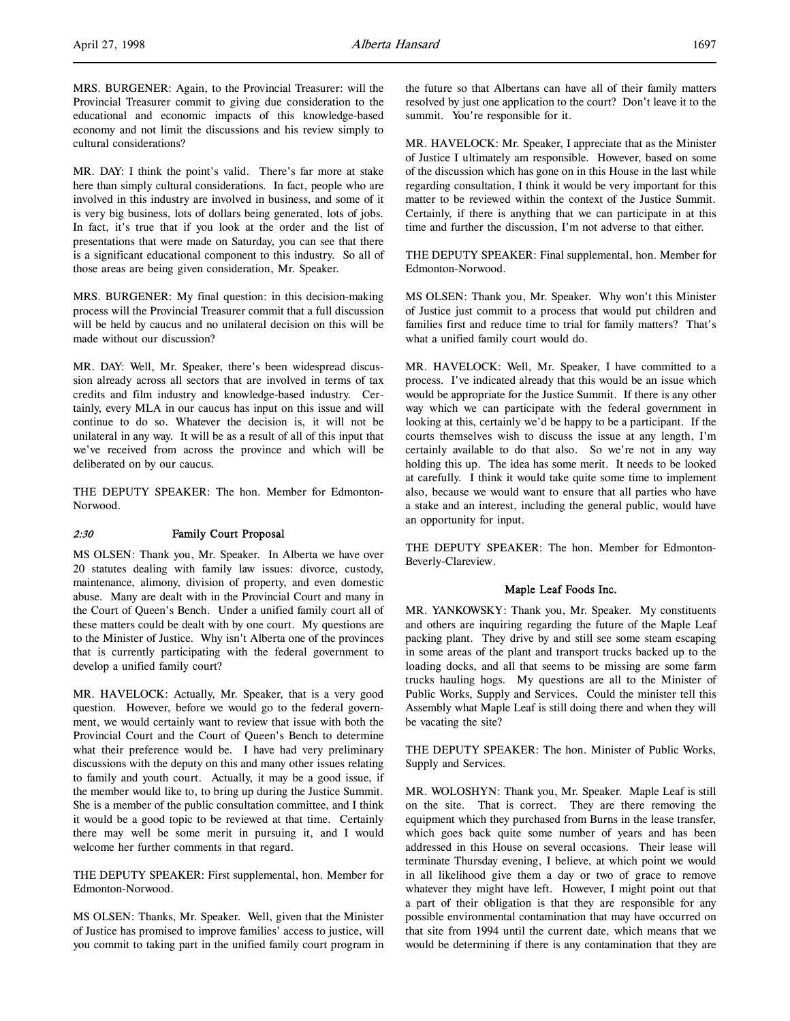MRS. BURGENER: Again, to the Provincial Treasurer: will the Provincial Treasurer commit to giving due consideration to the educational and economic impacts of this knowledge-based economy and not limit the discussions and his review simply to cultural considerations?

MR. DAY: I think the point's valid. There's far more at stake here than simply cultural considerations. In fact, people who are involved in this industry are involved in business, and some of it is very big business, lots of dollars being generated, lots of jobs. In fact, it's true that if you look at the order and the list of presentations that were made on Saturday, you can see that there is a significant educational component to this industry. So all of those areas are being given consideration, Mr. Speaker.

MRS. BURGENER: My final question: in this decision-making process will the Provincial Treasurer commit that a full discussion will be held by caucus and no unilateral decision on this will be made without our discussion?

MR. DAY: Well, Mr. Speaker, there's been widespread discussion already across all sectors that are involved in terms of tax credits and film industry and knowledge-based industry. Certainly, every MLA in our caucus has input on this issue and will continue to do so. Whatever the decision is, it will not be unilateral in any way. It will be as a result of all of this input that we've received from across the province and which will be deliberated on by our caucus.

THE DEPUTY SPEAKER: The hon. Member for Edmonton-Norwood.

## 2:30 Family Court Proposal

MS OLSEN: Thank you, Mr. Speaker. In Alberta we have over 20 statutes dealing with family law issues: divorce, custody, maintenance, alimony, division of property, and even domestic abuse. Many are dealt with in the Provincial Court and many in the Court of Queen's Bench. Under a unified family court all of these matters could be dealt with by one court. My questions are to the Minister of Justice. Why isn't Alberta one of the provinces that is currently participating with the federal government to develop a unified family court?

MR. HAVELOCK: Actually, Mr. Speaker, that is a very good question. However, before we would go to the federal government, we would certainly want to review that issue with both the Provincial Court and the Court of Queen's Bench to determine what their preference would be. I have had very preliminary discussions with the deputy on this and many other issues relating to family and youth court. Actually, it may be a good issue, if the member would like to, to bring up during the Justice Summit. She is a member of the public consultation committee, and I think it would be a good topic to be reviewed at that time. Certainly there may well be some merit in pursuing it, and I would welcome her further comments in that regard.

THE DEPUTY SPEAKER: First supplemental, hon. Member for Edmonton-Norwood.

MS OLSEN: Thanks, Mr. Speaker. Well, given that the Minister of Justice has promised to improve families' access to justice, will you commit to taking part in the unified family court program in the future so that Albertans can have all of their family matters resolved by just one application to the court? Don't leave it to the summit. You're responsible for it.

MR. HAVELOCK: Mr. Speaker, I appreciate that as the Minister of Justice I ultimately am responsible. However, based on some of the discussion which has gone on in this House in the last while regarding consultation, I think it would be very important for this matter to be reviewed within the context of the Justice Summit. Certainly, if there is anything that we can participate in at this time and further the discussion, I'm not adverse to that either.

THE DEPUTY SPEAKER: Final supplemental, hon. Member for Edmonton-Norwood.

MS OLSEN: Thank you, Mr. Speaker. Why won't this Minister of Justice just commit to a process that would put children and families first and reduce time to trial for family matters? That's what a unified family court would do.

MR. HAVELOCK: Well, Mr. Speaker, I have committed to a process. I've indicated already that this would be an issue which would be appropriate for the Justice Summit. If there is any other way which we can participate with the federal government in looking at this, certainly we'd be happy to be a participant. If the courts themselves wish to discuss the issue at any length, I'm certainly available to do that also. So we're not in any way holding this up. The idea has some merit. It needs to be looked at carefully. I think it would take quite some time to implement also, because we would want to ensure that all parties who have a stake and an interest, including the general public, would have an opportunity for input.

THE DEPUTY SPEAKER: The hon. Member for Edmonton-Beverly-Clareview.

## Maple Leaf Foods Inc.

MR. YANKOWSKY: Thank you, Mr. Speaker. My constituents and others are inquiring regarding the future of the Maple Leaf packing plant. They drive by and still see some steam escaping in some areas of the plant and transport trucks backed up to the loading docks, and all that seems to be missing are some farm trucks hauling hogs. My questions are all to the Minister of Public Works, Supply and Services. Could the minister tell this Assembly what Maple Leaf is still doing there and when they will be vacating the site?

THE DEPUTY SPEAKER: The hon. Minister of Public Works, Supply and Services.

MR. WOLOSHYN: Thank you, Mr. Speaker. Maple Leaf is still on the site. That is correct. They are there removing the equipment which they purchased from Burns in the lease transfer, which goes back quite some number of years and has been addressed in this House on several occasions. Their lease will terminate Thursday evening, I believe, at which point we would in all likelihood give them a day or two of grace to remove whatever they might have left. However, I might point out that a part of their obligation is that they are responsible for any possible environmental contamination that may have occurred on that site from 1994 until the current date, which means that we would be determining if there is any contamination that they are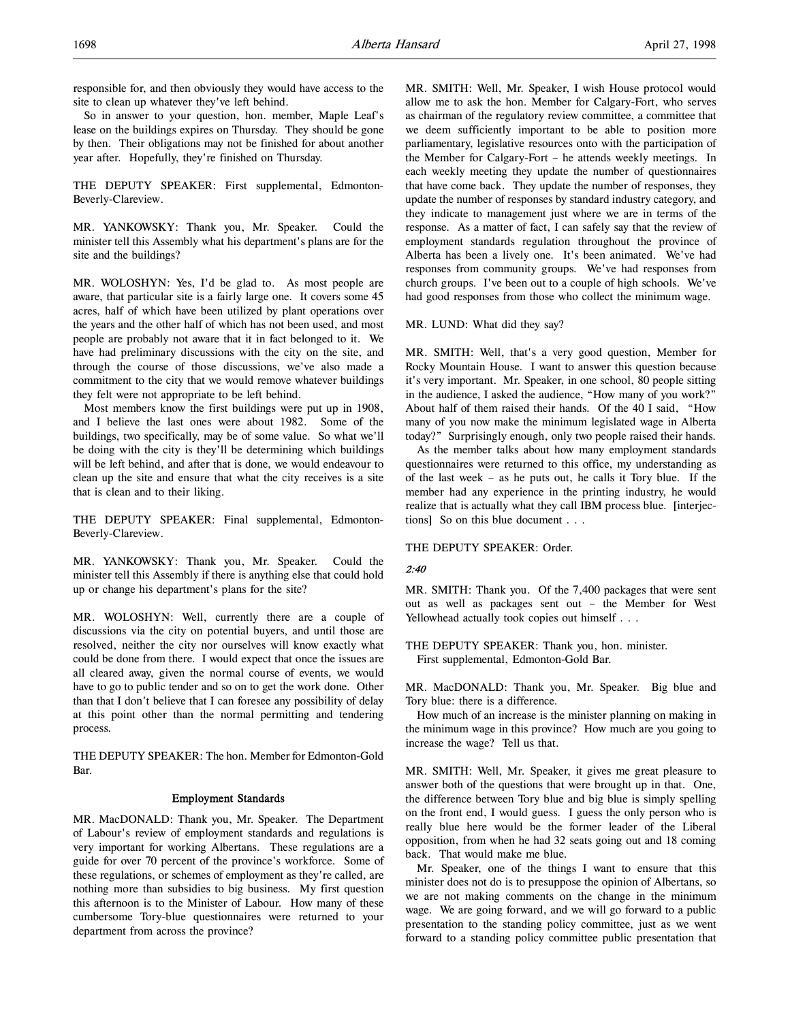responsible for, and then obviously they would have access to the site to clean up whatever they've left behind.

So in answer to your question, hon. member, Maple Leaf's lease on the buildings expires on Thursday. They should be gone by then. Their obligations may not be finished for about another year after. Hopefully, they're finished on Thursday.

THE DEPUTY SPEAKER: First supplemental, Edmonton-Beverly-Clareview.

MR. YANKOWSKY: Thank you, Mr. Speaker. Could the minister tell this Assembly what his department's plans are for the site and the buildings?

MR. WOLOSHYN: Yes, I'd be glad to. As most people are aware, that particular site is a fairly large one. It covers some 45 acres, half of which have been utilized by plant operations over the years and the other half of which has not been used, and most people are probably not aware that it in fact belonged to it. We have had preliminary discussions with the city on the site, and through the course of those discussions, we've also made a commitment to the city that we would remove whatever buildings they felt were not appropriate to be left behind.

Most members know the first buildings were put up in 1908, and I believe the last ones were about 1982. Some of the buildings, two specifically, may be of some value. So what we'll be doing with the city is they'll be determining which buildings will be left behind, and after that is done, we would endeavour to clean up the site and ensure that what the city receives is a site that is clean and to their liking.

THE DEPUTY SPEAKER: Final supplemental, Edmonton-Beverly-Clareview.

MR. YANKOWSKY: Thank you, Mr. Speaker. Could the minister tell this Assembly if there is anything else that could hold up or change his department's plans for the site?

MR. WOLOSHYN: Well, currently there are a couple of discussions via the city on potential buyers, and until those are resolved, neither the city nor ourselves will know exactly what could be done from there. I would expect that once the issues are all cleared away, given the normal course of events, we would have to go to public tender and so on to get the work done. Other than that I don't believe that I can foresee any possibility of delay at this point other than the normal permitting and tendering process.

THE DEPUTY SPEAKER: The hon. Member for Edmonton-Gold Bar.

#### Employment Standards

MR. MacDONALD: Thank you, Mr. Speaker. The Department of Labour's review of employment standards and regulations is very important for working Albertans. These regulations are a guide for over 70 percent of the province's workforce. Some of these regulations, or schemes of employment as they're called, are nothing more than subsidies to big business. My first question this afternoon is to the Minister of Labour. How many of these cumbersome Tory-blue questionnaires were returned to your department from across the province?

MR. SMITH: Well, Mr. Speaker, I wish House protocol would allow me to ask the hon. Member for Calgary-Fort, who serves as chairman of the regulatory review committee, a committee that we deem sufficiently important to be able to position more parliamentary, legislative resources onto with the participation of the Member for Calgary-Fort – he attends weekly meetings. In each weekly meeting they update the number of questionnaires that have come back. They update the number of responses, they update the number of responses by standard industry category, and they indicate to management just where we are in terms of the response. As a matter of fact, I can safely say that the review of employment standards regulation throughout the province of Alberta has been a lively one. It's been animated. We've had responses from community groups. We've had responses from church groups. I've been out to a couple of high schools. We've had good responses from those who collect the minimum wage.

#### MR. LUND: What did they say?

MR. SMITH: Well, that's a very good question, Member for Rocky Mountain House. I want to answer this question because it's very important. Mr. Speaker, in one school, 80 people sitting in the audience, I asked the audience, "How many of you work?" About half of them raised their hands. Of the 40 I said, "How many of you now make the minimum legislated wage in Alberta today?" Surprisingly enough, only two people raised their hands.

As the member talks about how many employment standards questionnaires were returned to this office, my understanding as of the last week – as he puts out, he calls it Tory blue. If the member had any experience in the printing industry, he would realize that is actually what they call IBM process blue. [interjections] So on this blue document . . .

#### THE DEPUTY SPEAKER: Order.

#### 2:40

MR. SMITH: Thank you. Of the 7,400 packages that were sent out as well as packages sent out – the Member for West Yellowhead actually took copies out himself . . .

THE DEPUTY SPEAKER: Thank you, hon. minister. First supplemental, Edmonton-Gold Bar.

MR. MacDONALD: Thank you, Mr. Speaker. Big blue and Tory blue: there is a difference.

How much of an increase is the minister planning on making in the minimum wage in this province? How much are you going to increase the wage? Tell us that.

MR. SMITH: Well, Mr. Speaker, it gives me great pleasure to answer both of the questions that were brought up in that. One, the difference between Tory blue and big blue is simply spelling on the front end, I would guess. I guess the only person who is really blue here would be the former leader of the Liberal opposition, from when he had 32 seats going out and 18 coming back. That would make me blue.

Mr. Speaker, one of the things I want to ensure that this minister does not do is to presuppose the opinion of Albertans, so we are not making comments on the change in the minimum wage. We are going forward, and we will go forward to a public presentation to the standing policy committee, just as we went forward to a standing policy committee public presentation that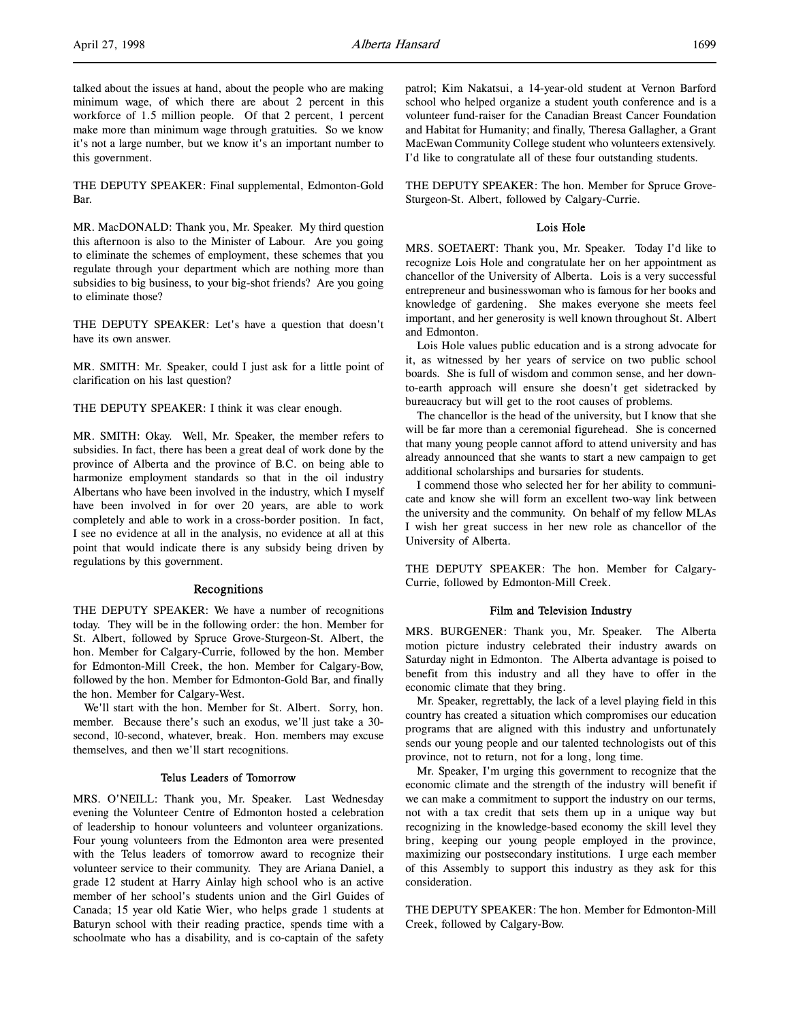talked about the issues at hand, about the people who are making minimum wage, of which there are about 2 percent in this workforce of 1.5 million people. Of that 2 percent, 1 percent make more than minimum wage through gratuities. So we know it's not a large number, but we know it's an important number to this government.

THE DEPUTY SPEAKER: Final supplemental, Edmonton-Gold Bar.

MR. MacDONALD: Thank you, Mr. Speaker. My third question this afternoon is also to the Minister of Labour. Are you going to eliminate the schemes of employment, these schemes that you regulate through your department which are nothing more than subsidies to big business, to your big-shot friends? Are you going to eliminate those?

THE DEPUTY SPEAKER: Let's have a question that doesn't have its own answer.

MR. SMITH: Mr. Speaker, could I just ask for a little point of clarification on his last question?

THE DEPUTY SPEAKER: I think it was clear enough.

MR. SMITH: Okay. Well, Mr. Speaker, the member refers to subsidies. In fact, there has been a great deal of work done by the province of Alberta and the province of B.C. on being able to harmonize employment standards so that in the oil industry Albertans who have been involved in the industry, which I myself have been involved in for over 20 years, are able to work completely and able to work in a cross-border position. In fact, I see no evidence at all in the analysis, no evidence at all at this point that would indicate there is any subsidy being driven by regulations by this government.

#### Recognitions

THE DEPUTY SPEAKER: We have a number of recognitions today. They will be in the following order: the hon. Member for St. Albert, followed by Spruce Grove-Sturgeon-St. Albert, the hon. Member for Calgary-Currie, followed by the hon. Member for Edmonton-Mill Creek, the hon. Member for Calgary-Bow, followed by the hon. Member for Edmonton-Gold Bar, and finally the hon. Member for Calgary-West.

We'll start with the hon. Member for St. Albert. Sorry, hon. member. Because there's such an exodus, we'll just take a 30 second, 10-second, whatever, break. Hon. members may excuse themselves, and then we'll start recognitions.

#### Telus Leaders of Tomorrow

MRS. O'NEILL: Thank you, Mr. Speaker. Last Wednesday evening the Volunteer Centre of Edmonton hosted a celebration of leadership to honour volunteers and volunteer organizations. Four young volunteers from the Edmonton area were presented with the Telus leaders of tomorrow award to recognize their volunteer service to their community. They are Ariana Daniel, a grade 12 student at Harry Ainlay high school who is an active member of her school's students union and the Girl Guides of Canada; 15 year old Katie Wier, who helps grade 1 students at Baturyn school with their reading practice, spends time with a schoolmate who has a disability, and is co-captain of the safety

patrol; Kim Nakatsui, a 14-year-old student at Vernon Barford school who helped organize a student youth conference and is a volunteer fund-raiser for the Canadian Breast Cancer Foundation and Habitat for Humanity; and finally, Theresa Gallagher, a Grant MacEwan Community College student who volunteers extensively. I'd like to congratulate all of these four outstanding students.

THE DEPUTY SPEAKER: The hon. Member for Spruce Grove-Sturgeon-St. Albert, followed by Calgary-Currie.

#### Lois Hole

MRS. SOETAERT: Thank you, Mr. Speaker. Today I'd like to recognize Lois Hole and congratulate her on her appointment as chancellor of the University of Alberta. Lois is a very successful entrepreneur and businesswoman who is famous for her books and knowledge of gardening. She makes everyone she meets feel important, and her generosity is well known throughout St. Albert and Edmonton.

Lois Hole values public education and is a strong advocate for it, as witnessed by her years of service on two public school boards. She is full of wisdom and common sense, and her downto-earth approach will ensure she doesn't get sidetracked by bureaucracy but will get to the root causes of problems.

The chancellor is the head of the university, but I know that she will be far more than a ceremonial figurehead. She is concerned that many young people cannot afford to attend university and has already announced that she wants to start a new campaign to get additional scholarships and bursaries for students.

I commend those who selected her for her ability to communicate and know she will form an excellent two-way link between the university and the community. On behalf of my fellow MLAs I wish her great success in her new role as chancellor of the University of Alberta.

THE DEPUTY SPEAKER: The hon. Member for Calgary-Currie, followed by Edmonton-Mill Creek.

#### Film and Television Industry

MRS. BURGENER: Thank you, Mr. Speaker. The Alberta motion picture industry celebrated their industry awards on Saturday night in Edmonton. The Alberta advantage is poised to benefit from this industry and all they have to offer in the economic climate that they bring.

Mr. Speaker, regrettably, the lack of a level playing field in this country has created a situation which compromises our education programs that are aligned with this industry and unfortunately sends our young people and our talented technologists out of this province, not to return, not for a long, long time.

Mr. Speaker, I'm urging this government to recognize that the economic climate and the strength of the industry will benefit if we can make a commitment to support the industry on our terms, not with a tax credit that sets them up in a unique way but recognizing in the knowledge-based economy the skill level they bring, keeping our young people employed in the province, maximizing our postsecondary institutions. I urge each member of this Assembly to support this industry as they ask for this consideration.

THE DEPUTY SPEAKER: The hon. Member for Edmonton-Mill Creek, followed by Calgary-Bow.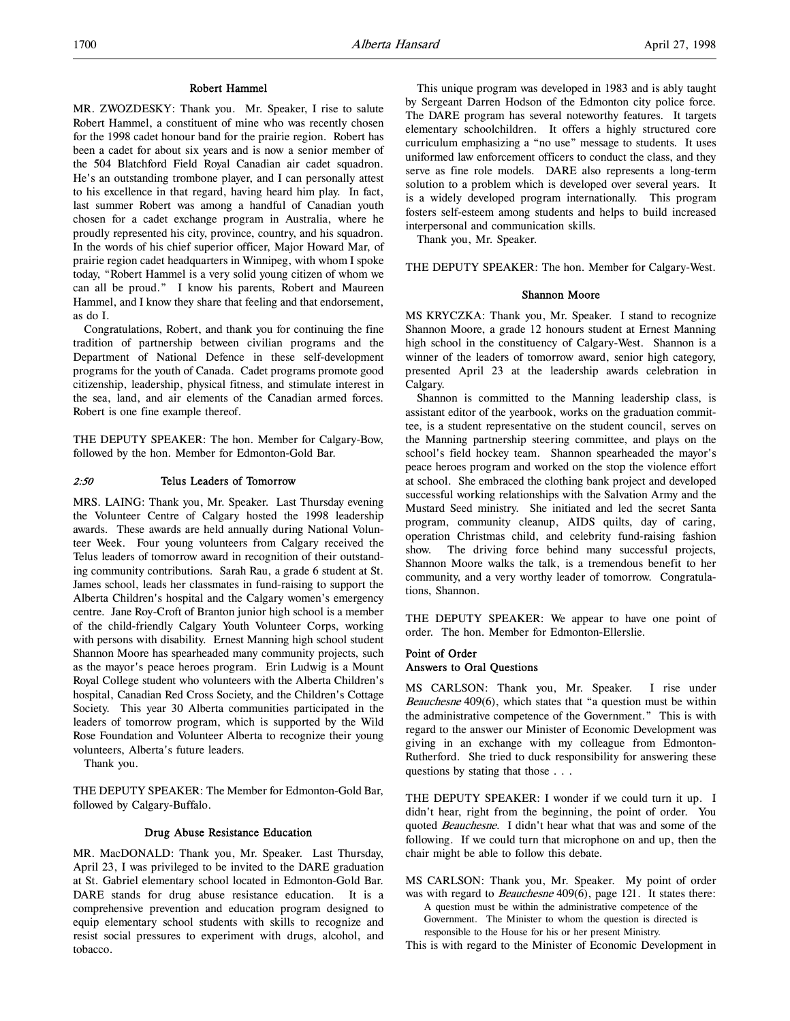#### Robert Hammel

MR. ZWOZDESKY: Thank you. Mr. Speaker, I rise to salute Robert Hammel, a constituent of mine who was recently chosen for the 1998 cadet honour band for the prairie region. Robert has been a cadet for about six years and is now a senior member of the 504 Blatchford Field Royal Canadian air cadet squadron. He's an outstanding trombone player, and I can personally attest to his excellence in that regard, having heard him play. In fact, last summer Robert was among a handful of Canadian youth chosen for a cadet exchange program in Australia, where he proudly represented his city, province, country, and his squadron. In the words of his chief superior officer, Major Howard Mar, of prairie region cadet headquarters in Winnipeg, with whom I spoke today, "Robert Hammel is a very solid young citizen of whom we can all be proud." I know his parents, Robert and Maureen Hammel, and I know they share that feeling and that endorsement, as do I.

Congratulations, Robert, and thank you for continuing the fine tradition of partnership between civilian programs and the Department of National Defence in these self-development programs for the youth of Canada. Cadet programs promote good citizenship, leadership, physical fitness, and stimulate interest in the sea, land, and air elements of the Canadian armed forces. Robert is one fine example thereof.

THE DEPUTY SPEAKER: The hon. Member for Calgary-Bow, followed by the hon. Member for Edmonton-Gold Bar.

#### 2:50 Telus Leaders of Tomorrow

MRS. LAING: Thank you, Mr. Speaker. Last Thursday evening the Volunteer Centre of Calgary hosted the 1998 leadership awards. These awards are held annually during National Volunteer Week. Four young volunteers from Calgary received the Telus leaders of tomorrow award in recognition of their outstanding community contributions. Sarah Rau, a grade 6 student at St. James school, leads her classmates in fund-raising to support the Alberta Children's hospital and the Calgary women's emergency centre. Jane Roy-Croft of Branton junior high school is a member of the child-friendly Calgary Youth Volunteer Corps, working with persons with disability. Ernest Manning high school student Shannon Moore has spearheaded many community projects, such as the mayor's peace heroes program. Erin Ludwig is a Mount Royal College student who volunteers with the Alberta Children's hospital, Canadian Red Cross Society, and the Children's Cottage Society. This year 30 Alberta communities participated in the leaders of tomorrow program, which is supported by the Wild Rose Foundation and Volunteer Alberta to recognize their young volunteers, Alberta's future leaders.

Thank you.

THE DEPUTY SPEAKER: The Member for Edmonton-Gold Bar, followed by Calgary-Buffalo.

#### Drug Abuse Resistance Education

MR. MacDONALD: Thank you, Mr. Speaker. Last Thursday, April 23, I was privileged to be invited to the DARE graduation at St. Gabriel elementary school located in Edmonton-Gold Bar. DARE stands for drug abuse resistance education. It is a comprehensive prevention and education program designed to equip elementary school students with skills to recognize and resist social pressures to experiment with drugs, alcohol, and tobacco.

This unique program was developed in 1983 and is ably taught by Sergeant Darren Hodson of the Edmonton city police force. The DARE program has several noteworthy features. It targets elementary schoolchildren. It offers a highly structured core curriculum emphasizing a "no use" message to students. It uses uniformed law enforcement officers to conduct the class, and they serve as fine role models. DARE also represents a long-term solution to a problem which is developed over several years. It is a widely developed program internationally. This program fosters self-esteem among students and helps to build increased interpersonal and communication skills.

Thank you, Mr. Speaker.

THE DEPUTY SPEAKER: The hon. Member for Calgary-West.

#### Shannon Moore

MS KRYCZKA: Thank you, Mr. Speaker. I stand to recognize Shannon Moore, a grade 12 honours student at Ernest Manning high school in the constituency of Calgary-West. Shannon is a winner of the leaders of tomorrow award, senior high category, presented April 23 at the leadership awards celebration in Calgary.

Shannon is committed to the Manning leadership class, is assistant editor of the yearbook, works on the graduation committee, is a student representative on the student council, serves on the Manning partnership steering committee, and plays on the school's field hockey team. Shannon spearheaded the mayor's peace heroes program and worked on the stop the violence effort at school. She embraced the clothing bank project and developed successful working relationships with the Salvation Army and the Mustard Seed ministry. She initiated and led the secret Santa program, community cleanup, AIDS quilts, day of caring, operation Christmas child, and celebrity fund-raising fashion show. The driving force behind many successful projects, Shannon Moore walks the talk, is a tremendous benefit to her community, and a very worthy leader of tomorrow. Congratulations, Shannon.

THE DEPUTY SPEAKER: We appear to have one point of order. The hon. Member for Edmonton-Ellerslie.

#### Point of Order Answers to Oral Questions

MS CARLSON: Thank you, Mr. Speaker. I rise under Beauchesne 409(6), which states that "a question must be within the administrative competence of the Government." This is with regard to the answer our Minister of Economic Development was giving in an exchange with my colleague from Edmonton-Rutherford. She tried to duck responsibility for answering these questions by stating that those . . .

THE DEPUTY SPEAKER: I wonder if we could turn it up. I didn't hear, right from the beginning, the point of order. You quoted Beauchesne. I didn't hear what that was and some of the following. If we could turn that microphone on and up, then the chair might be able to follow this debate.

MS CARLSON: Thank you, Mr. Speaker. My point of order was with regard to *Beauchesne* 409(6), page 121. It states there: A question must be within the administrative competence of the Government. The Minister to whom the question is directed is responsible to the House for his or her present Ministry.

This is with regard to the Minister of Economic Development in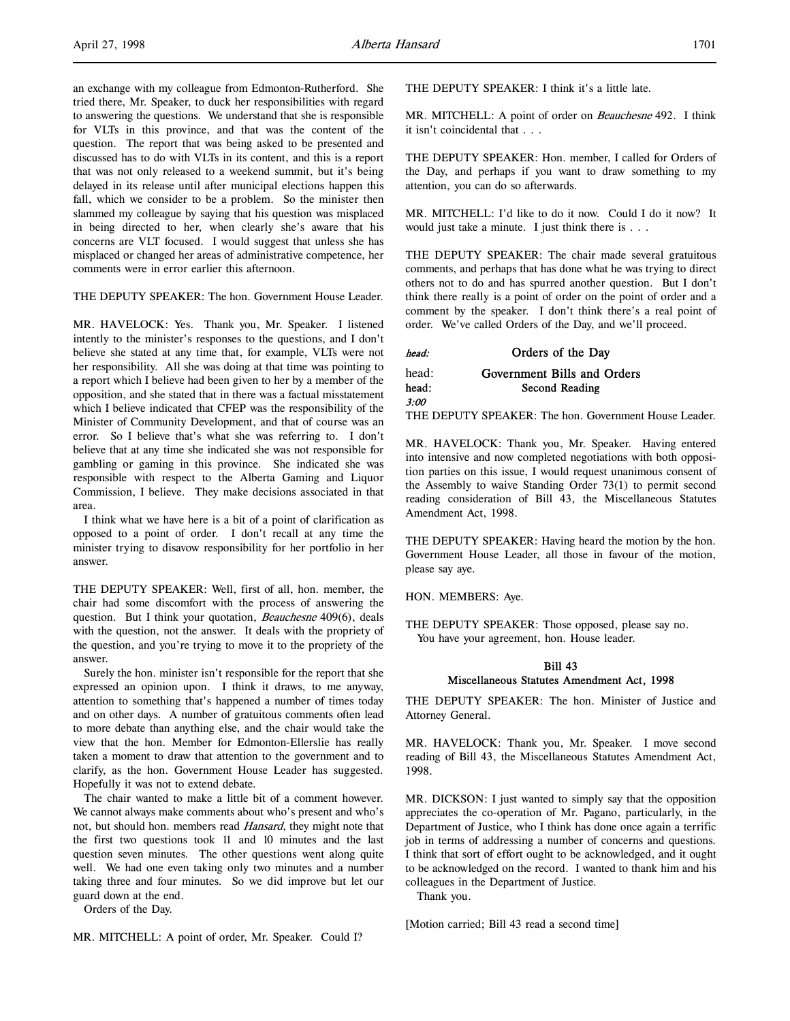an exchange with my colleague from Edmonton-Rutherford. She tried there, Mr. Speaker, to duck her responsibilities with regard to answering the questions. We understand that she is responsible for VLTs in this province, and that was the content of the question. The report that was being asked to be presented and discussed has to do with VLTs in its content, and this is a report that was not only released to a weekend summit, but it's being delayed in its release until after municipal elections happen this fall, which we consider to be a problem. So the minister then slammed my colleague by saying that his question was misplaced in being directed to her, when clearly she's aware that his concerns are VLT focused. I would suggest that unless she has misplaced or changed her areas of administrative competence, her comments were in error earlier this afternoon.

THE DEPUTY SPEAKER: The hon. Government House Leader.

MR. HAVELOCK: Yes. Thank you, Mr. Speaker. I listened intently to the minister's responses to the questions, and I don't believe she stated at any time that, for example, VLTs were not her responsibility. All she was doing at that time was pointing to a report which I believe had been given to her by a member of the opposition, and she stated that in there was a factual misstatement which I believe indicated that CFEP was the responsibility of the Minister of Community Development, and that of course was an error. So I believe that's what she was referring to. I don't believe that at any time she indicated she was not responsible for gambling or gaming in this province. She indicated she was responsible with respect to the Alberta Gaming and Liquor Commission, I believe. They make decisions associated in that area.

I think what we have here is a bit of a point of clarification as opposed to a point of order. I don't recall at any time the minister trying to disavow responsibility for her portfolio in her answer.

THE DEPUTY SPEAKER: Well, first of all, hon. member, the chair had some discomfort with the process of answering the question. But I think your quotation, Beauchesne 409(6), deals with the question, not the answer. It deals with the propriety of the question, and you're trying to move it to the propriety of the answer.

Surely the hon. minister isn't responsible for the report that she expressed an opinion upon. I think it draws, to me anyway, attention to something that's happened a number of times today and on other days. A number of gratuitous comments often lead to more debate than anything else, and the chair would take the view that the hon. Member for Edmonton-Ellerslie has really taken a moment to draw that attention to the government and to clarify, as the hon. Government House Leader has suggested. Hopefully it was not to extend debate.

The chair wanted to make a little bit of a comment however. We cannot always make comments about who's present and who's not, but should hon. members read *Hansard*, they might note that the first two questions took 11 and 10 minutes and the last question seven minutes. The other questions went along quite well. We had one even taking only two minutes and a number taking three and four minutes. So we did improve but let our guard down at the end.

Orders of the Day.

THE DEPUTY SPEAKER: I think it's a little late.

MR. MITCHELL: A point of order on *Beauchesne* 492. I think it isn't coincidental that . . .

THE DEPUTY SPEAKER: Hon. member, I called for Orders of the Day, and perhaps if you want to draw something to my attention, you can do so afterwards.

MR. MITCHELL: I'd like to do it now. Could I do it now? It would just take a minute. I just think there is . . .

THE DEPUTY SPEAKER: The chair made several gratuitous comments, and perhaps that has done what he was trying to direct others not to do and has spurred another question. But I don't think there really is a point of order on the point of order and a comment by the speaker. I don't think there's a real point of order. We've called Orders of the Day, and we'll proceed.

head: Orders of the Day head: Government Bills and Orders

head: Second Reading

THE DEPUTY SPEAKER: The hon. Government House Leader.

MR. HAVELOCK: Thank you, Mr. Speaker. Having entered into intensive and now completed negotiations with both opposition parties on this issue, I would request unanimous consent of the Assembly to waive Standing Order 73(1) to permit second reading consideration of Bill 43, the Miscellaneous Statutes Amendment Act, 1998.

THE DEPUTY SPEAKER: Having heard the motion by the hon. Government House Leader, all those in favour of the motion, please say aye.

HON. MEMBERS: Aye.

3:00

THE DEPUTY SPEAKER: Those opposed, please say no. You have your agreement, hon. House leader.

## Bill 43 Miscellaneous Statutes Amendment Act, 1998

THE DEPUTY SPEAKER: The hon. Minister of Justice and Attorney General.

MR. HAVELOCK: Thank you, Mr. Speaker. I move second reading of Bill 43, the Miscellaneous Statutes Amendment Act, 1998.

MR. DICKSON: I just wanted to simply say that the opposition appreciates the co-operation of Mr. Pagano, particularly, in the Department of Justice, who I think has done once again a terrific job in terms of addressing a number of concerns and questions. I think that sort of effort ought to be acknowledged, and it ought to be acknowledged on the record. I wanted to thank him and his colleagues in the Department of Justice.

Thank you.

[Motion carried; Bill 43 read a second time]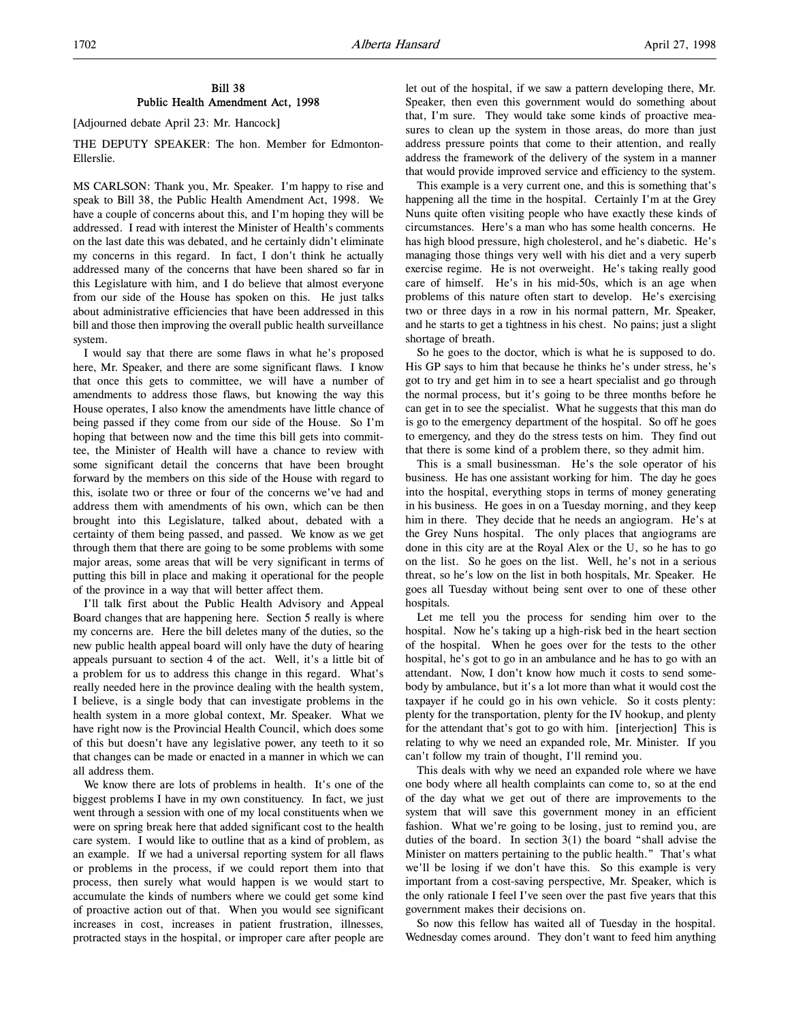#### Bill 38 Public Health Amendment Act, 1998

[Adjourned debate April 23: Mr. Hancock]

THE DEPUTY SPEAKER: The hon. Member for Edmonton-Ellerslie.

MS CARLSON: Thank you, Mr. Speaker. I'm happy to rise and speak to Bill 38, the Public Health Amendment Act, 1998. We have a couple of concerns about this, and I'm hoping they will be addressed. I read with interest the Minister of Health's comments on the last date this was debated, and he certainly didn't eliminate my concerns in this regard. In fact, I don't think he actually addressed many of the concerns that have been shared so far in this Legislature with him, and I do believe that almost everyone from our side of the House has spoken on this. He just talks about administrative efficiencies that have been addressed in this bill and those then improving the overall public health surveillance system.

I would say that there are some flaws in what he's proposed here, Mr. Speaker, and there are some significant flaws. I know that once this gets to committee, we will have a number of amendments to address those flaws, but knowing the way this House operates, I also know the amendments have little chance of being passed if they come from our side of the House. So I'm hoping that between now and the time this bill gets into committee, the Minister of Health will have a chance to review with some significant detail the concerns that have been brought forward by the members on this side of the House with regard to this, isolate two or three or four of the concerns we've had and address them with amendments of his own, which can be then brought into this Legislature, talked about, debated with a certainty of them being passed, and passed. We know as we get through them that there are going to be some problems with some major areas, some areas that will be very significant in terms of putting this bill in place and making it operational for the people of the province in a way that will better affect them.

I'll talk first about the Public Health Advisory and Appeal Board changes that are happening here. Section 5 really is where my concerns are. Here the bill deletes many of the duties, so the new public health appeal board will only have the duty of hearing appeals pursuant to section 4 of the act. Well, it's a little bit of a problem for us to address this change in this regard. What's really needed here in the province dealing with the health system, I believe, is a single body that can investigate problems in the health system in a more global context, Mr. Speaker. What we have right now is the Provincial Health Council, which does some of this but doesn't have any legislative power, any teeth to it so that changes can be made or enacted in a manner in which we can all address them.

We know there are lots of problems in health. It's one of the biggest problems I have in my own constituency. In fact, we just went through a session with one of my local constituents when we were on spring break here that added significant cost to the health care system. I would like to outline that as a kind of problem, as an example. If we had a universal reporting system for all flaws or problems in the process, if we could report them into that process, then surely what would happen is we would start to accumulate the kinds of numbers where we could get some kind of proactive action out of that. When you would see significant increases in cost, increases in patient frustration, illnesses, protracted stays in the hospital, or improper care after people are

let out of the hospital, if we saw a pattern developing there, Mr. Speaker, then even this government would do something about that, I'm sure. They would take some kinds of proactive measures to clean up the system in those areas, do more than just address pressure points that come to their attention, and really address the framework of the delivery of the system in a manner that would provide improved service and efficiency to the system.

This example is a very current one, and this is something that's happening all the time in the hospital. Certainly I'm at the Grey Nuns quite often visiting people who have exactly these kinds of circumstances. Here's a man who has some health concerns. He has high blood pressure, high cholesterol, and he's diabetic. He's managing those things very well with his diet and a very superb exercise regime. He is not overweight. He's taking really good care of himself. He's in his mid-50s, which is an age when problems of this nature often start to develop. He's exercising two or three days in a row in his normal pattern, Mr. Speaker, and he starts to get a tightness in his chest. No pains; just a slight shortage of breath.

So he goes to the doctor, which is what he is supposed to do. His GP says to him that because he thinks he's under stress, he's got to try and get him in to see a heart specialist and go through the normal process, but it's going to be three months before he can get in to see the specialist. What he suggests that this man do is go to the emergency department of the hospital. So off he goes to emergency, and they do the stress tests on him. They find out that there is some kind of a problem there, so they admit him.

This is a small businessman. He's the sole operator of his business. He has one assistant working for him. The day he goes into the hospital, everything stops in terms of money generating in his business. He goes in on a Tuesday morning, and they keep him in there. They decide that he needs an angiogram. He's at the Grey Nuns hospital. The only places that angiograms are done in this city are at the Royal Alex or the U, so he has to go on the list. So he goes on the list. Well, he's not in a serious threat, so he's low on the list in both hospitals, Mr. Speaker. He goes all Tuesday without being sent over to one of these other hospitals.

Let me tell you the process for sending him over to the hospital. Now he's taking up a high-risk bed in the heart section of the hospital. When he goes over for the tests to the other hospital, he's got to go in an ambulance and he has to go with an attendant. Now, I don't know how much it costs to send somebody by ambulance, but it's a lot more than what it would cost the taxpayer if he could go in his own vehicle. So it costs plenty: plenty for the transportation, plenty for the IV hookup, and plenty for the attendant that's got to go with him. [interjection] This is relating to why we need an expanded role, Mr. Minister. If you can't follow my train of thought, I'll remind you.

This deals with why we need an expanded role where we have one body where all health complaints can come to, so at the end of the day what we get out of there are improvements to the system that will save this government money in an efficient fashion. What we're going to be losing, just to remind you, are duties of the board. In section 3(1) the board "shall advise the Minister on matters pertaining to the public health." That's what we'll be losing if we don't have this. So this example is very important from a cost-saving perspective, Mr. Speaker, which is the only rationale I feel I've seen over the past five years that this government makes their decisions on.

So now this fellow has waited all of Tuesday in the hospital. Wednesday comes around. They don't want to feed him anything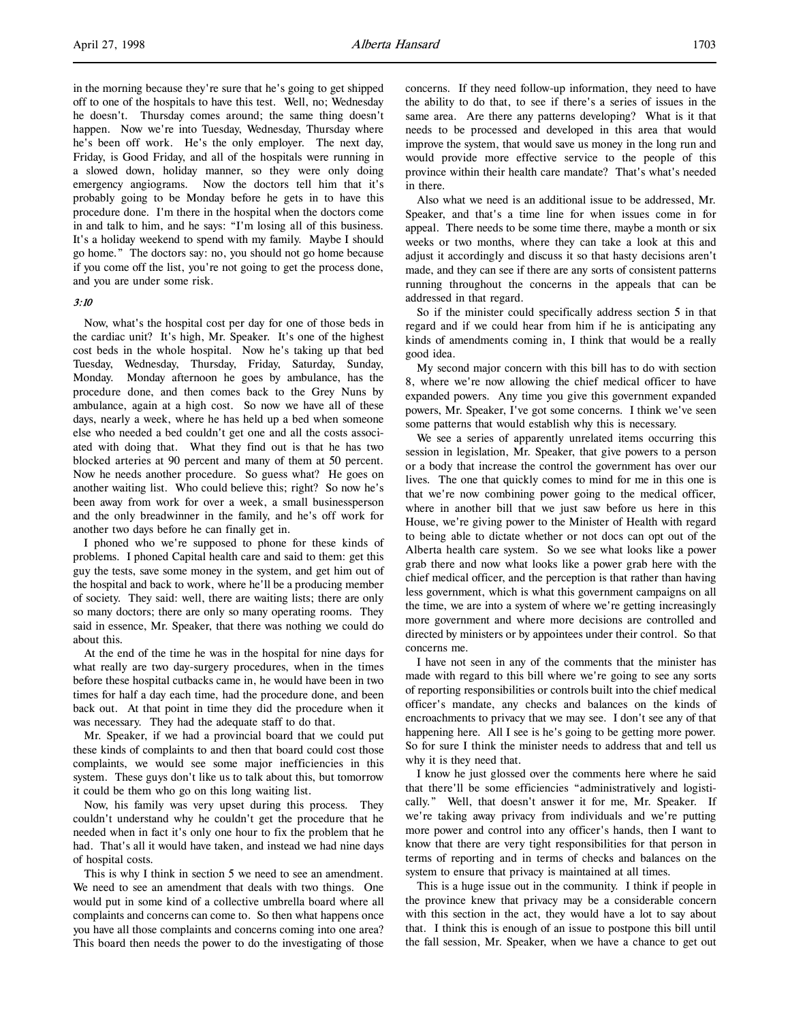in the morning because they're sure that he's going to get shipped off to one of the hospitals to have this test. Well, no; Wednesday he doesn't. Thursday comes around; the same thing doesn't happen. Now we're into Tuesday, Wednesday, Thursday where he's been off work. He's the only employer. The next day, Friday, is Good Friday, and all of the hospitals were running in a slowed down, holiday manner, so they were only doing emergency angiograms. Now the doctors tell him that it's probably going to be Monday before he gets in to have this procedure done. I'm there in the hospital when the doctors come in and talk to him, and he says: "I'm losing all of this business. It's a holiday weekend to spend with my family. Maybe I should go home." The doctors say: no, you should not go home because if you come off the list, you're not going to get the process done, and you are under some risk.

#### 3:10

Now, what's the hospital cost per day for one of those beds in the cardiac unit? It's high, Mr. Speaker. It's one of the highest cost beds in the whole hospital. Now he's taking up that bed Tuesday, Wednesday, Thursday, Friday, Saturday, Sunday, Monday. Monday afternoon he goes by ambulance, has the procedure done, and then comes back to the Grey Nuns by ambulance, again at a high cost. So now we have all of these days, nearly a week, where he has held up a bed when someone else who needed a bed couldn't get one and all the costs associated with doing that. What they find out is that he has two blocked arteries at 90 percent and many of them at 50 percent. Now he needs another procedure. So guess what? He goes on another waiting list. Who could believe this; right? So now he's been away from work for over a week, a small businessperson and the only breadwinner in the family, and he's off work for another two days before he can finally get in.

I phoned who we're supposed to phone for these kinds of problems. I phoned Capital health care and said to them: get this guy the tests, save some money in the system, and get him out of the hospital and back to work, where he'll be a producing member of society. They said: well, there are waiting lists; there are only so many doctors; there are only so many operating rooms. They said in essence, Mr. Speaker, that there was nothing we could do about this.

At the end of the time he was in the hospital for nine days for what really are two day-surgery procedures, when in the times before these hospital cutbacks came in, he would have been in two times for half a day each time, had the procedure done, and been back out. At that point in time they did the procedure when it was necessary. They had the adequate staff to do that.

Mr. Speaker, if we had a provincial board that we could put these kinds of complaints to and then that board could cost those complaints, we would see some major inefficiencies in this system. These guys don't like us to talk about this, but tomorrow it could be them who go on this long waiting list.

Now, his family was very upset during this process. They couldn't understand why he couldn't get the procedure that he needed when in fact it's only one hour to fix the problem that he had. That's all it would have taken, and instead we had nine days of hospital costs.

This is why I think in section 5 we need to see an amendment. We need to see an amendment that deals with two things. One would put in some kind of a collective umbrella board where all complaints and concerns can come to. So then what happens once you have all those complaints and concerns coming into one area? This board then needs the power to do the investigating of those

concerns. If they need follow-up information, they need to have the ability to do that, to see if there's a series of issues in the same area. Are there any patterns developing? What is it that needs to be processed and developed in this area that would improve the system, that would save us money in the long run and would provide more effective service to the people of this province within their health care mandate? That's what's needed in there.

Also what we need is an additional issue to be addressed, Mr. Speaker, and that's a time line for when issues come in for appeal. There needs to be some time there, maybe a month or six weeks or two months, where they can take a look at this and adjust it accordingly and discuss it so that hasty decisions aren't made, and they can see if there are any sorts of consistent patterns running throughout the concerns in the appeals that can be addressed in that regard.

So if the minister could specifically address section 5 in that regard and if we could hear from him if he is anticipating any kinds of amendments coming in, I think that would be a really good idea.

My second major concern with this bill has to do with section 8, where we're now allowing the chief medical officer to have expanded powers. Any time you give this government expanded powers, Mr. Speaker, I've got some concerns. I think we've seen some patterns that would establish why this is necessary.

We see a series of apparently unrelated items occurring this session in legislation, Mr. Speaker, that give powers to a person or a body that increase the control the government has over our lives. The one that quickly comes to mind for me in this one is that we're now combining power going to the medical officer, where in another bill that we just saw before us here in this House, we're giving power to the Minister of Health with regard to being able to dictate whether or not docs can opt out of the Alberta health care system. So we see what looks like a power grab there and now what looks like a power grab here with the chief medical officer, and the perception is that rather than having less government, which is what this government campaigns on all the time, we are into a system of where we're getting increasingly more government and where more decisions are controlled and directed by ministers or by appointees under their control. So that concerns me.

I have not seen in any of the comments that the minister has made with regard to this bill where we're going to see any sorts of reporting responsibilities or controls built into the chief medical officer's mandate, any checks and balances on the kinds of encroachments to privacy that we may see. I don't see any of that happening here. All I see is he's going to be getting more power. So for sure I think the minister needs to address that and tell us why it is they need that.

I know he just glossed over the comments here where he said that there'll be some efficiencies "administratively and logistically." Well, that doesn't answer it for me, Mr. Speaker. If we're taking away privacy from individuals and we're putting more power and control into any officer's hands, then I want to know that there are very tight responsibilities for that person in terms of reporting and in terms of checks and balances on the system to ensure that privacy is maintained at all times.

This is a huge issue out in the community. I think if people in the province knew that privacy may be a considerable concern with this section in the act, they would have a lot to say about that. I think this is enough of an issue to postpone this bill until the fall session, Mr. Speaker, when we have a chance to get out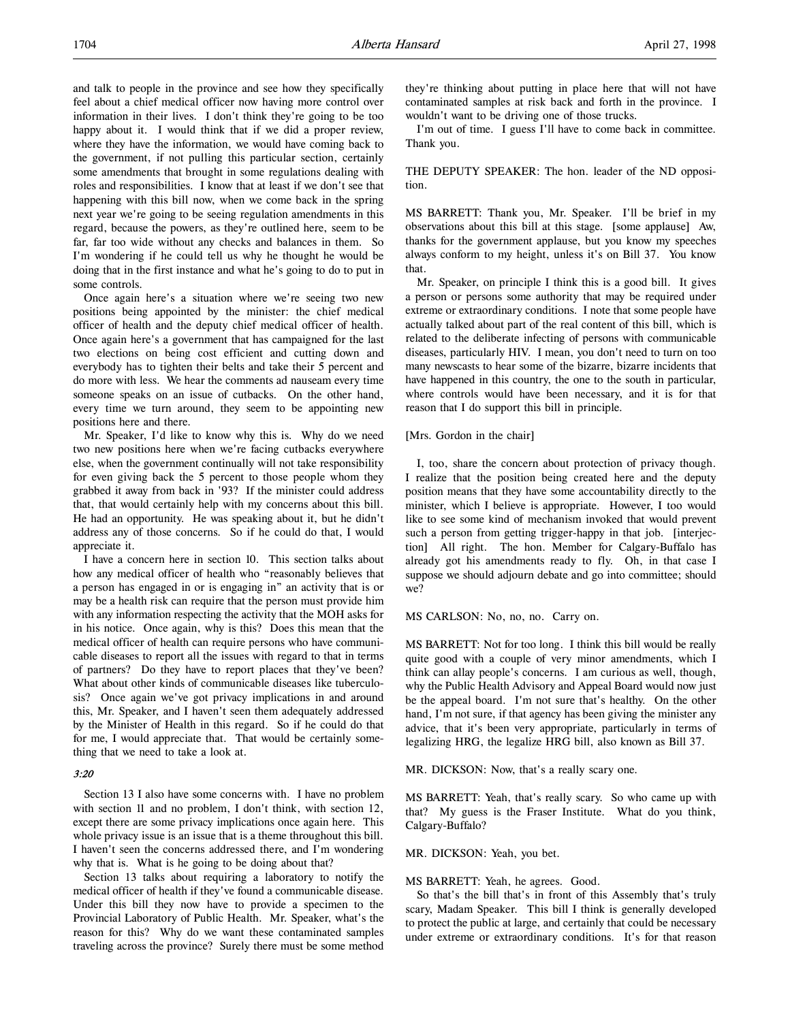and talk to people in the province and see how they specifically feel about a chief medical officer now having more control over information in their lives. I don't think they're going to be too happy about it. I would think that if we did a proper review, where they have the information, we would have coming back to the government, if not pulling this particular section, certainly some amendments that brought in some regulations dealing with roles and responsibilities. I know that at least if we don't see that happening with this bill now, when we come back in the spring next year we're going to be seeing regulation amendments in this regard, because the powers, as they're outlined here, seem to be far, far too wide without any checks and balances in them. So I'm wondering if he could tell us why he thought he would be doing that in the first instance and what he's going to do to put in some controls.

Once again here's a situation where we're seeing two new positions being appointed by the minister: the chief medical officer of health and the deputy chief medical officer of health. Once again here's a government that has campaigned for the last two elections on being cost efficient and cutting down and everybody has to tighten their belts and take their 5 percent and do more with less. We hear the comments ad nauseam every time someone speaks on an issue of cutbacks. On the other hand, every time we turn around, they seem to be appointing new positions here and there.

Mr. Speaker, I'd like to know why this is. Why do we need two new positions here when we're facing cutbacks everywhere else, when the government continually will not take responsibility for even giving back the 5 percent to those people whom they grabbed it away from back in '93? If the minister could address that, that would certainly help with my concerns about this bill. He had an opportunity. He was speaking about it, but he didn't address any of those concerns. So if he could do that, I would appreciate it.

I have a concern here in section 10. This section talks about how any medical officer of health who "reasonably believes that a person has engaged in or is engaging in" an activity that is or may be a health risk can require that the person must provide him with any information respecting the activity that the MOH asks for in his notice. Once again, why is this? Does this mean that the medical officer of health can require persons who have communicable diseases to report all the issues with regard to that in terms of partners? Do they have to report places that they've been? What about other kinds of communicable diseases like tuberculosis? Once again we've got privacy implications in and around this, Mr. Speaker, and I haven't seen them adequately addressed by the Minister of Health in this regard. So if he could do that for me, I would appreciate that. That would be certainly something that we need to take a look at.

#### 3:20

Section 13 I also have some concerns with. I have no problem with section 11 and no problem, I don't think, with section 12, except there are some privacy implications once again here. This whole privacy issue is an issue that is a theme throughout this bill. I haven't seen the concerns addressed there, and I'm wondering why that is. What is he going to be doing about that?

Section 13 talks about requiring a laboratory to notify the medical officer of health if they've found a communicable disease. Under this bill they now have to provide a specimen to the Provincial Laboratory of Public Health. Mr. Speaker, what's the reason for this? Why do we want these contaminated samples traveling across the province? Surely there must be some method

they're thinking about putting in place here that will not have contaminated samples at risk back and forth in the province. I wouldn't want to be driving one of those trucks.

I'm out of time. I guess I'll have to come back in committee. Thank you.

THE DEPUTY SPEAKER: The hon. leader of the ND opposition.

MS BARRETT: Thank you, Mr. Speaker. I'll be brief in my observations about this bill at this stage. [some applause] Aw, thanks for the government applause, but you know my speeches always conform to my height, unless it's on Bill 37. You know that.

Mr. Speaker, on principle I think this is a good bill. It gives a person or persons some authority that may be required under extreme or extraordinary conditions. I note that some people have actually talked about part of the real content of this bill, which is related to the deliberate infecting of persons with communicable diseases, particularly HIV. I mean, you don't need to turn on too many newscasts to hear some of the bizarre, bizarre incidents that have happened in this country, the one to the south in particular, where controls would have been necessary, and it is for that reason that I do support this bill in principle.

#### [Mrs. Gordon in the chair]

I, too, share the concern about protection of privacy though. I realize that the position being created here and the deputy position means that they have some accountability directly to the minister, which I believe is appropriate. However, I too would like to see some kind of mechanism invoked that would prevent such a person from getting trigger-happy in that job. [interjection] All right. The hon. Member for Calgary-Buffalo has already got his amendments ready to fly. Oh, in that case I suppose we should adjourn debate and go into committee; should we?

MS CARLSON: No, no, no. Carry on.

MS BARRETT: Not for too long. I think this bill would be really quite good with a couple of very minor amendments, which I think can allay people's concerns. I am curious as well, though, why the Public Health Advisory and Appeal Board would now just be the appeal board. I'm not sure that's healthy. On the other hand, I'm not sure, if that agency has been giving the minister any advice, that it's been very appropriate, particularly in terms of legalizing HRG, the legalize HRG bill, also known as Bill 37.

MR. DICKSON: Now, that's a really scary one.

MS BARRETT: Yeah, that's really scary. So who came up with that? My guess is the Fraser Institute. What do you think, Calgary-Buffalo?

#### MR. DICKSON: Yeah, you bet.

#### MS BARRETT: Yeah, he agrees. Good.

So that's the bill that's in front of this Assembly that's truly scary, Madam Speaker. This bill I think is generally developed to protect the public at large, and certainly that could be necessary under extreme or extraordinary conditions. It's for that reason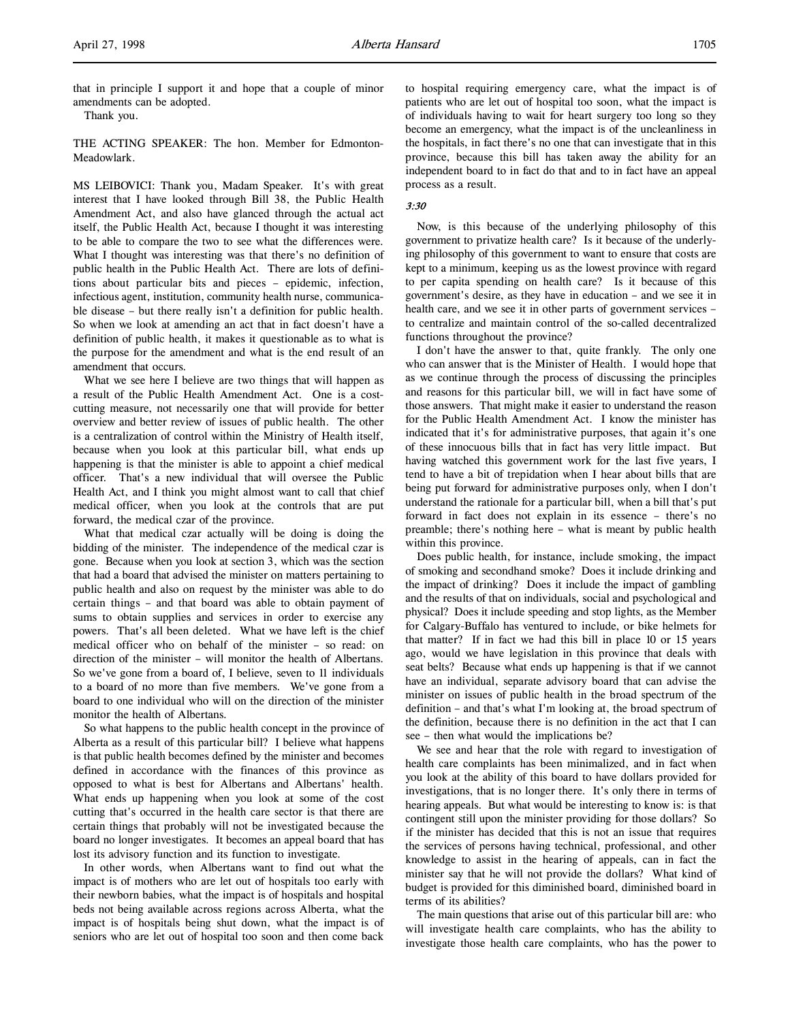that in principle I support it and hope that a couple of minor amendments can be adopted.

Thank you.

THE ACTING SPEAKER: The hon. Member for Edmonton-Meadowlark.

MS LEIBOVICI: Thank you, Madam Speaker. It's with great interest that I have looked through Bill 38, the Public Health Amendment Act, and also have glanced through the actual act itself, the Public Health Act, because I thought it was interesting to be able to compare the two to see what the differences were. What I thought was interesting was that there's no definition of public health in the Public Health Act. There are lots of definitions about particular bits and pieces – epidemic, infection, infectious agent, institution, community health nurse, communicable disease – but there really isn't a definition for public health. So when we look at amending an act that in fact doesn't have a definition of public health, it makes it questionable as to what is the purpose for the amendment and what is the end result of an amendment that occurs.

What we see here I believe are two things that will happen as a result of the Public Health Amendment Act. One is a costcutting measure, not necessarily one that will provide for better overview and better review of issues of public health. The other is a centralization of control within the Ministry of Health itself, because when you look at this particular bill, what ends up happening is that the minister is able to appoint a chief medical officer. That's a new individual that will oversee the Public Health Act, and I think you might almost want to call that chief medical officer, when you look at the controls that are put forward, the medical czar of the province.

What that medical czar actually will be doing is doing the bidding of the minister. The independence of the medical czar is gone. Because when you look at section 3, which was the section that had a board that advised the minister on matters pertaining to public health and also on request by the minister was able to do certain things – and that board was able to obtain payment of sums to obtain supplies and services in order to exercise any powers. That's all been deleted. What we have left is the chief medical officer who on behalf of the minister – so read: on direction of the minister – will monitor the health of Albertans. So we've gone from a board of, I believe, seven to 11 individuals to a board of no more than five members. We've gone from a board to one individual who will on the direction of the minister monitor the health of Albertans.

So what happens to the public health concept in the province of Alberta as a result of this particular bill? I believe what happens is that public health becomes defined by the minister and becomes defined in accordance with the finances of this province as opposed to what is best for Albertans and Albertans' health. What ends up happening when you look at some of the cost cutting that's occurred in the health care sector is that there are certain things that probably will not be investigated because the board no longer investigates. It becomes an appeal board that has lost its advisory function and its function to investigate.

In other words, when Albertans want to find out what the impact is of mothers who are let out of hospitals too early with their newborn babies, what the impact is of hospitals and hospital beds not being available across regions across Alberta, what the impact is of hospitals being shut down, what the impact is of seniors who are let out of hospital too soon and then come back

to hospital requiring emergency care, what the impact is of patients who are let out of hospital too soon, what the impact is of individuals having to wait for heart surgery too long so they become an emergency, what the impact is of the uncleanliness in the hospitals, in fact there's no one that can investigate that in this province, because this bill has taken away the ability for an independent board to in fact do that and to in fact have an appeal process as a result.

## 3:30

Now, is this because of the underlying philosophy of this government to privatize health care? Is it because of the underlying philosophy of this government to want to ensure that costs are kept to a minimum, keeping us as the lowest province with regard to per capita spending on health care? Is it because of this government's desire, as they have in education – and we see it in health care, and we see it in other parts of government services – to centralize and maintain control of the so-called decentralized functions throughout the province?

I don't have the answer to that, quite frankly. The only one who can answer that is the Minister of Health. I would hope that as we continue through the process of discussing the principles and reasons for this particular bill, we will in fact have some of those answers. That might make it easier to understand the reason for the Public Health Amendment Act. I know the minister has indicated that it's for administrative purposes, that again it's one of these innocuous bills that in fact has very little impact. But having watched this government work for the last five years, I tend to have a bit of trepidation when I hear about bills that are being put forward for administrative purposes only, when I don't understand the rationale for a particular bill, when a bill that's put forward in fact does not explain in its essence – there's no preamble; there's nothing here – what is meant by public health within this province.

Does public health, for instance, include smoking, the impact of smoking and secondhand smoke? Does it include drinking and the impact of drinking? Does it include the impact of gambling and the results of that on individuals, social and psychological and physical? Does it include speeding and stop lights, as the Member for Calgary-Buffalo has ventured to include, or bike helmets for that matter? If in fact we had this bill in place 10 or 15 years ago, would we have legislation in this province that deals with seat belts? Because what ends up happening is that if we cannot have an individual, separate advisory board that can advise the minister on issues of public health in the broad spectrum of the definition – and that's what I'm looking at, the broad spectrum of the definition, because there is no definition in the act that I can see – then what would the implications be?

We see and hear that the role with regard to investigation of health care complaints has been minimalized, and in fact when you look at the ability of this board to have dollars provided for investigations, that is no longer there. It's only there in terms of hearing appeals. But what would be interesting to know is: is that contingent still upon the minister providing for those dollars? So if the minister has decided that this is not an issue that requires the services of persons having technical, professional, and other knowledge to assist in the hearing of appeals, can in fact the minister say that he will not provide the dollars? What kind of budget is provided for this diminished board, diminished board in terms of its abilities?

The main questions that arise out of this particular bill are: who will investigate health care complaints, who has the ability to investigate those health care complaints, who has the power to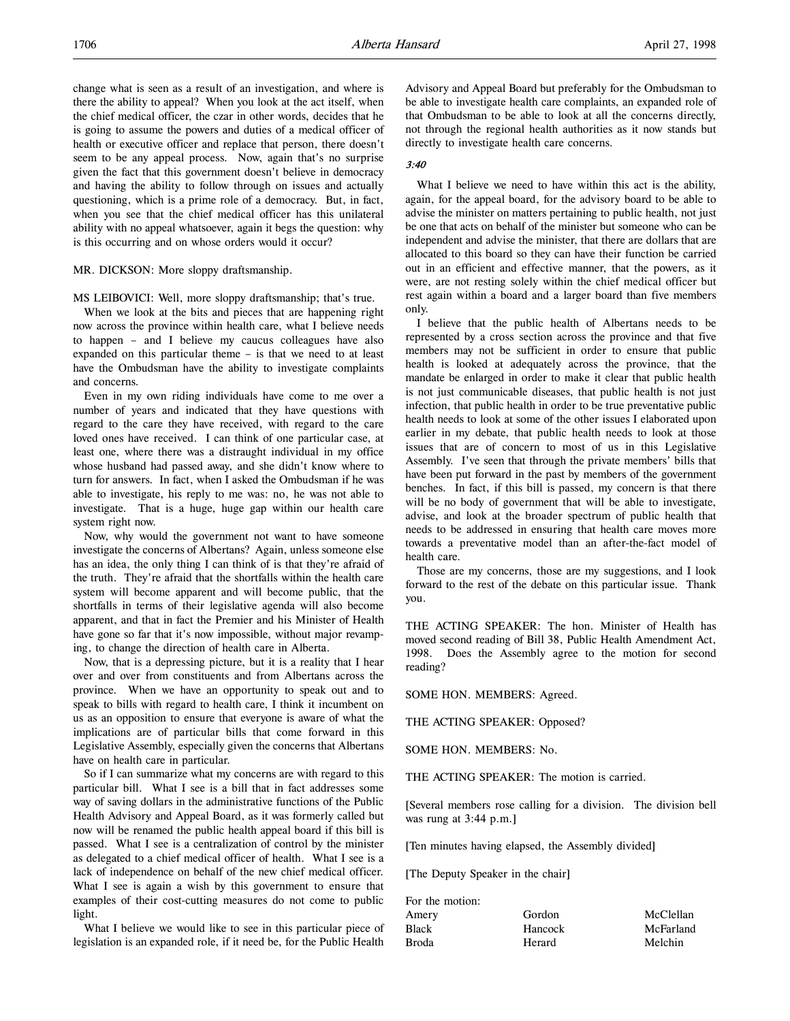change what is seen as a result of an investigation, and where is there the ability to appeal? When you look at the act itself, when the chief medical officer, the czar in other words, decides that he is going to assume the powers and duties of a medical officer of health or executive officer and replace that person, there doesn't seem to be any appeal process. Now, again that's no surprise given the fact that this government doesn't believe in democracy and having the ability to follow through on issues and actually questioning, which is a prime role of a democracy. But, in fact, when you see that the chief medical officer has this unilateral ability with no appeal whatsoever, again it begs the question: why is this occurring and on whose orders would it occur?

#### MR. DICKSON: More sloppy draftsmanship.

MS LEIBOVICI: Well, more sloppy draftsmanship; that's true.

When we look at the bits and pieces that are happening right now across the province within health care, what I believe needs to happen – and I believe my caucus colleagues have also expanded on this particular theme – is that we need to at least have the Ombudsman have the ability to investigate complaints and concerns.

Even in my own riding individuals have come to me over a number of years and indicated that they have questions with regard to the care they have received, with regard to the care loved ones have received. I can think of one particular case, at least one, where there was a distraught individual in my office whose husband had passed away, and she didn't know where to turn for answers. In fact, when I asked the Ombudsman if he was able to investigate, his reply to me was: no, he was not able to investigate. That is a huge, huge gap within our health care system right now.

Now, why would the government not want to have someone investigate the concerns of Albertans? Again, unless someone else has an idea, the only thing I can think of is that they're afraid of the truth. They're afraid that the shortfalls within the health care system will become apparent and will become public, that the shortfalls in terms of their legislative agenda will also become apparent, and that in fact the Premier and his Minister of Health have gone so far that it's now impossible, without major revamping, to change the direction of health care in Alberta.

Now, that is a depressing picture, but it is a reality that I hear over and over from constituents and from Albertans across the province. When we have an opportunity to speak out and to speak to bills with regard to health care, I think it incumbent on us as an opposition to ensure that everyone is aware of what the implications are of particular bills that come forward in this Legislative Assembly, especially given the concerns that Albertans have on health care in particular.

So if I can summarize what my concerns are with regard to this particular bill. What I see is a bill that in fact addresses some way of saving dollars in the administrative functions of the Public Health Advisory and Appeal Board, as it was formerly called but now will be renamed the public health appeal board if this bill is passed. What I see is a centralization of control by the minister as delegated to a chief medical officer of health. What I see is a lack of independence on behalf of the new chief medical officer. What I see is again a wish by this government to ensure that examples of their cost-cutting measures do not come to public light.

What I believe we would like to see in this particular piece of legislation is an expanded role, if it need be, for the Public Health

Advisory and Appeal Board but preferably for the Ombudsman to be able to investigate health care complaints, an expanded role of that Ombudsman to be able to look at all the concerns directly, not through the regional health authorities as it now stands but directly to investigate health care concerns.

#### 3:40

What I believe we need to have within this act is the ability, again, for the appeal board, for the advisory board to be able to advise the minister on matters pertaining to public health, not just be one that acts on behalf of the minister but someone who can be independent and advise the minister, that there are dollars that are allocated to this board so they can have their function be carried out in an efficient and effective manner, that the powers, as it were, are not resting solely within the chief medical officer but rest again within a board and a larger board than five members only.

I believe that the public health of Albertans needs to be represented by a cross section across the province and that five members may not be sufficient in order to ensure that public health is looked at adequately across the province, that the mandate be enlarged in order to make it clear that public health is not just communicable diseases, that public health is not just infection, that public health in order to be true preventative public health needs to look at some of the other issues I elaborated upon earlier in my debate, that public health needs to look at those issues that are of concern to most of us in this Legislative Assembly. I've seen that through the private members' bills that have been put forward in the past by members of the government benches. In fact, if this bill is passed, my concern is that there will be no body of government that will be able to investigate, advise, and look at the broader spectrum of public health that needs to be addressed in ensuring that health care moves more towards a preventative model than an after-the-fact model of health care.

Those are my concerns, those are my suggestions, and I look forward to the rest of the debate on this particular issue. Thank you.

THE ACTING SPEAKER: The hon. Minister of Health has moved second reading of Bill 38, Public Health Amendment Act, 1998. Does the Assembly agree to the motion for second reading?

SOME HON. MEMBERS: Agreed.

THE ACTING SPEAKER: Opposed?

SOME HON. MEMBERS: No.

THE ACTING SPEAKER: The motion is carried.

[Several members rose calling for a division. The division bell was rung at 3:44 p.m.]

[Ten minutes having elapsed, the Assembly divided]

[The Deputy Speaker in the chair]

| For the motion: |         |           |
|-----------------|---------|-----------|
| Amery           | Gordon  | McClellan |
| <b>Black</b>    | Hancock | McFarland |
| <b>Broda</b>    | Herard  | Melchin   |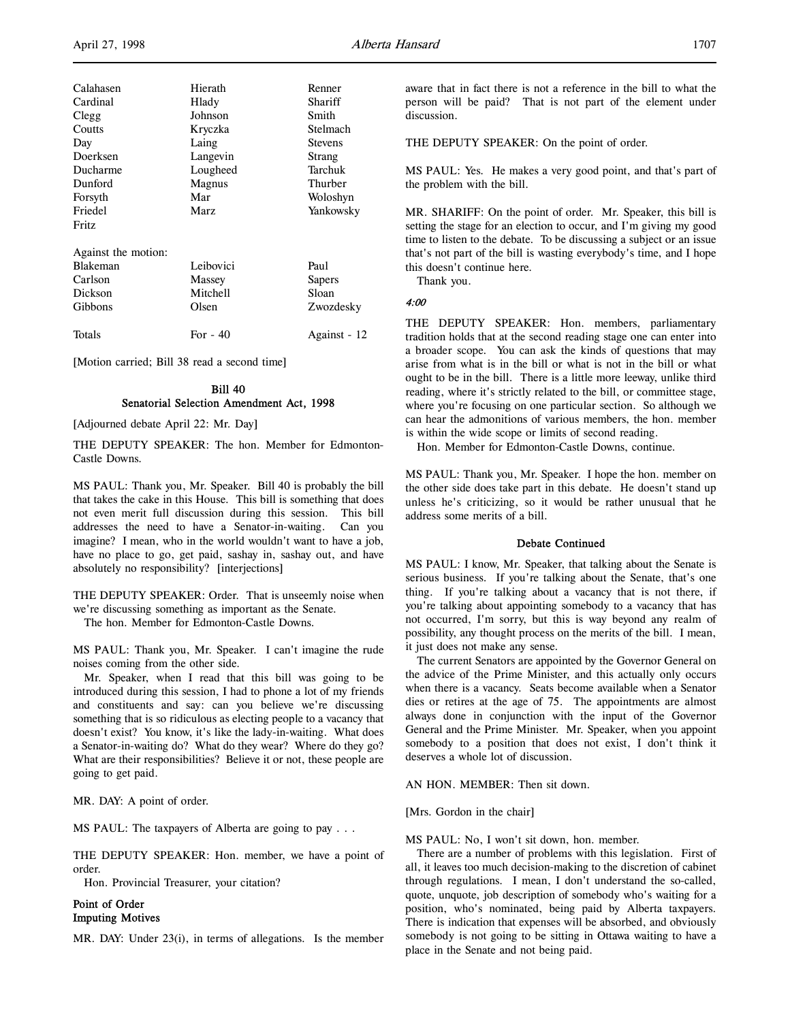| Calahasen<br>Cardinal<br>Clegg<br>Coutts<br>Day<br>Doerksen<br>Ducharme<br>Dunford<br>Forsyth<br>Friedel | Hierath<br>Hlady<br>Johnson<br>Kryczka<br>Laing<br>Langevin<br>Lougheed<br>Magnus<br>Mar<br>Marz | Renner<br>Shariff<br>Smith<br>Stelmach<br><b>Stevens</b><br>Strang<br>Tarchuk<br>Thurber<br>Woloshyn<br>Yankowsky |
|----------------------------------------------------------------------------------------------------------|--------------------------------------------------------------------------------------------------|-------------------------------------------------------------------------------------------------------------------|
| Fritz<br>Against the motion:<br><b>Blakeman</b><br>Carlson<br>Dickson<br>Gibbons                         | Leibovici<br>Massey<br>Mitchell<br>Olsen                                                         | Paul<br>Sapers<br>Sloan<br>Zwozdesky                                                                              |
| Totals                                                                                                   | For $-40$                                                                                        | Against - 12                                                                                                      |

[Motion carried; Bill 38 read a second time]

## Bill 40 Senatorial Selection Amendment Act, 1998

[Adjourned debate April 22: Mr. Day]

THE DEPUTY SPEAKER: The hon. Member for Edmonton-Castle Downs.

MS PAUL: Thank you, Mr. Speaker. Bill 40 is probably the bill that takes the cake in this House. This bill is something that does not even merit full discussion during this session. This bill addresses the need to have a Senator-in-waiting. Can you imagine? I mean, who in the world wouldn't want to have a job, have no place to go, get paid, sashay in, sashay out, and have absolutely no responsibility? [interjections]

THE DEPUTY SPEAKER: Order. That is unseemly noise when we're discussing something as important as the Senate.

The hon. Member for Edmonton-Castle Downs.

MS PAUL: Thank you, Mr. Speaker. I can't imagine the rude noises coming from the other side.

Mr. Speaker, when I read that this bill was going to be introduced during this session, I had to phone a lot of my friends and constituents and say: can you believe we're discussing something that is so ridiculous as electing people to a vacancy that doesn't exist? You know, it's like the lady-in-waiting. What does a Senator-in-waiting do? What do they wear? Where do they go? What are their responsibilities? Believe it or not, these people are going to get paid.

MR. DAY: A point of order.

MS PAUL: The taxpayers of Alberta are going to pay . . .

THE DEPUTY SPEAKER: Hon. member, we have a point of order.

Hon. Provincial Treasurer, your citation?

## Point of Order Imputing Motives

MR. DAY: Under 23(i), in terms of allegations. Is the member

aware that in fact there is not a reference in the bill to what the person will be paid? That is not part of the element under discussion.

THE DEPUTY SPEAKER: On the point of order.

MS PAUL: Yes. He makes a very good point, and that's part of the problem with the bill.

MR. SHARIFF: On the point of order. Mr. Speaker, this bill is setting the stage for an election to occur, and I'm giving my good time to listen to the debate. To be discussing a subject or an issue that's not part of the bill is wasting everybody's time, and I hope this doesn't continue here.

Thank you.

4:00

THE DEPUTY SPEAKER: Hon. members, parliamentary tradition holds that at the second reading stage one can enter into a broader scope. You can ask the kinds of questions that may arise from what is in the bill or what is not in the bill or what ought to be in the bill. There is a little more leeway, unlike third reading, where it's strictly related to the bill, or committee stage, where you're focusing on one particular section. So although we can hear the admonitions of various members, the hon. member is within the wide scope or limits of second reading.

Hon. Member for Edmonton-Castle Downs, continue.

MS PAUL: Thank you, Mr. Speaker. I hope the hon. member on the other side does take part in this debate. He doesn't stand up unless he's criticizing, so it would be rather unusual that he address some merits of a bill.

#### Debate Continued

MS PAUL: I know, Mr. Speaker, that talking about the Senate is serious business. If you're talking about the Senate, that's one thing. If you're talking about a vacancy that is not there, if you're talking about appointing somebody to a vacancy that has not occurred, I'm sorry, but this is way beyond any realm of possibility, any thought process on the merits of the bill. I mean, it just does not make any sense.

The current Senators are appointed by the Governor General on the advice of the Prime Minister, and this actually only occurs when there is a vacancy. Seats become available when a Senator dies or retires at the age of 75. The appointments are almost always done in conjunction with the input of the Governor General and the Prime Minister. Mr. Speaker, when you appoint somebody to a position that does not exist, I don't think it deserves a whole lot of discussion.

AN HON. MEMBER: Then sit down.

[Mrs. Gordon in the chair]

MS PAUL: No, I won't sit down, hon. member.

There are a number of problems with this legislation. First of all, it leaves too much decision-making to the discretion of cabinet through regulations. I mean, I don't understand the so-called, quote, unquote, job description of somebody who's waiting for a position, who's nominated, being paid by Alberta taxpayers. There is indication that expenses will be absorbed, and obviously somebody is not going to be sitting in Ottawa waiting to have a place in the Senate and not being paid.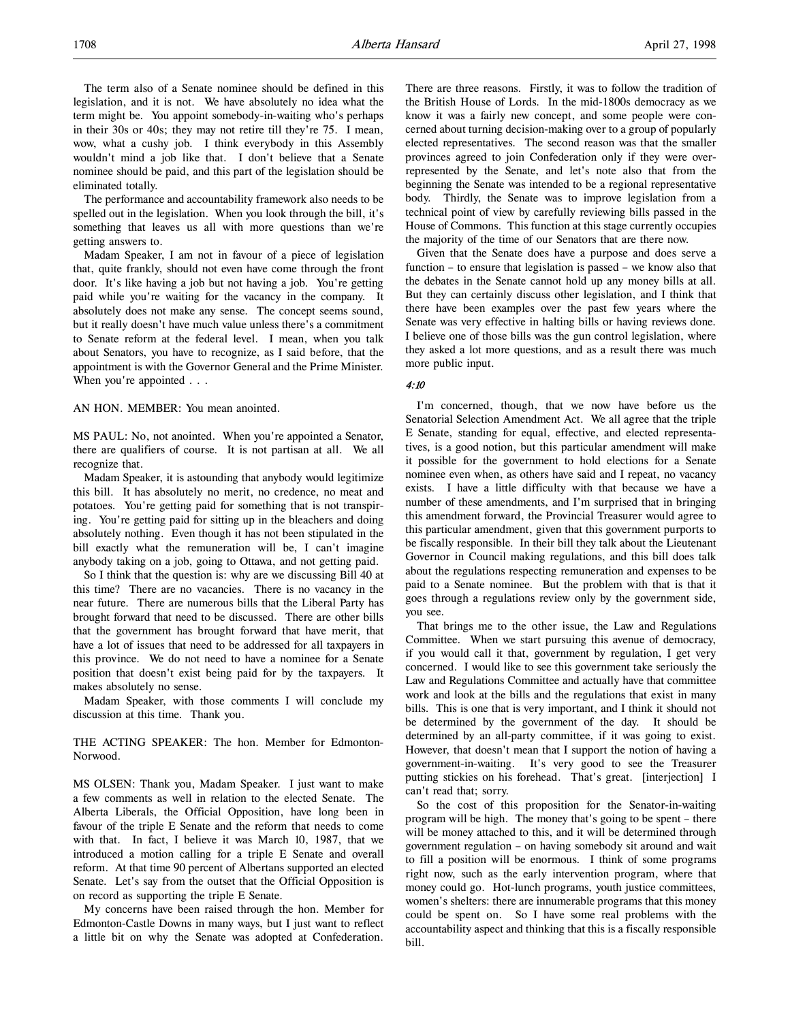The term also of a Senate nominee should be defined in this legislation, and it is not. We have absolutely no idea what the term might be. You appoint somebody-in-waiting who's perhaps in their 30s or 40s; they may not retire till they're 75. I mean, wow, what a cushy job. I think everybody in this Assembly wouldn't mind a job like that. I don't believe that a Senate nominee should be paid, and this part of the legislation should be eliminated totally.

The performance and accountability framework also needs to be spelled out in the legislation. When you look through the bill, it's something that leaves us all with more questions than we're getting answers to.

Madam Speaker, I am not in favour of a piece of legislation that, quite frankly, should not even have come through the front door. It's like having a job but not having a job. You're getting paid while you're waiting for the vacancy in the company. It absolutely does not make any sense. The concept seems sound, but it really doesn't have much value unless there's a commitment to Senate reform at the federal level. I mean, when you talk about Senators, you have to recognize, as I said before, that the appointment is with the Governor General and the Prime Minister. When you're appointed . . .

AN HON. MEMBER: You mean anointed.

MS PAUL: No, not anointed. When you're appointed a Senator, there are qualifiers of course. It is not partisan at all. We all recognize that.

Madam Speaker, it is astounding that anybody would legitimize this bill. It has absolutely no merit, no credence, no meat and potatoes. You're getting paid for something that is not transpiring. You're getting paid for sitting up in the bleachers and doing absolutely nothing. Even though it has not been stipulated in the bill exactly what the remuneration will be, I can't imagine anybody taking on a job, going to Ottawa, and not getting paid.

So I think that the question is: why are we discussing Bill 40 at this time? There are no vacancies. There is no vacancy in the near future. There are numerous bills that the Liberal Party has brought forward that need to be discussed. There are other bills that the government has brought forward that have merit, that have a lot of issues that need to be addressed for all taxpayers in this province. We do not need to have a nominee for a Senate position that doesn't exist being paid for by the taxpayers. It makes absolutely no sense.

Madam Speaker, with those comments I will conclude my discussion at this time. Thank you.

THE ACTING SPEAKER: The hon. Member for Edmonton-Norwood.

MS OLSEN: Thank you, Madam Speaker. I just want to make a few comments as well in relation to the elected Senate. The Alberta Liberals, the Official Opposition, have long been in favour of the triple E Senate and the reform that needs to come with that. In fact, I believe it was March 10, 1987, that we introduced a motion calling for a triple E Senate and overall reform. At that time 90 percent of Albertans supported an elected Senate. Let's say from the outset that the Official Opposition is on record as supporting the triple E Senate.

My concerns have been raised through the hon. Member for Edmonton-Castle Downs in many ways, but I just want to reflect a little bit on why the Senate was adopted at Confederation.

There are three reasons. Firstly, it was to follow the tradition of the British House of Lords. In the mid-1800s democracy as we know it was a fairly new concept, and some people were concerned about turning decision-making over to a group of popularly elected representatives. The second reason was that the smaller provinces agreed to join Confederation only if they were overrepresented by the Senate, and let's note also that from the beginning the Senate was intended to be a regional representative body. Thirdly, the Senate was to improve legislation from a technical point of view by carefully reviewing bills passed in the House of Commons. This function at this stage currently occupies the majority of the time of our Senators that are there now.

Given that the Senate does have a purpose and does serve a function – to ensure that legislation is passed – we know also that the debates in the Senate cannot hold up any money bills at all. But they can certainly discuss other legislation, and I think that there have been examples over the past few years where the Senate was very effective in halting bills or having reviews done. I believe one of those bills was the gun control legislation, where they asked a lot more questions, and as a result there was much more public input.

## 4:10

I'm concerned, though, that we now have before us the Senatorial Selection Amendment Act. We all agree that the triple E Senate, standing for equal, effective, and elected representatives, is a good notion, but this particular amendment will make it possible for the government to hold elections for a Senate nominee even when, as others have said and I repeat, no vacancy exists. I have a little difficulty with that because we have a number of these amendments, and I'm surprised that in bringing this amendment forward, the Provincial Treasurer would agree to this particular amendment, given that this government purports to be fiscally responsible. In their bill they talk about the Lieutenant Governor in Council making regulations, and this bill does talk about the regulations respecting remuneration and expenses to be paid to a Senate nominee. But the problem with that is that it goes through a regulations review only by the government side, you see.

That brings me to the other issue, the Law and Regulations Committee. When we start pursuing this avenue of democracy, if you would call it that, government by regulation, I get very concerned. I would like to see this government take seriously the Law and Regulations Committee and actually have that committee work and look at the bills and the regulations that exist in many bills. This is one that is very important, and I think it should not be determined by the government of the day. It should be determined by an all-party committee, if it was going to exist. However, that doesn't mean that I support the notion of having a government-in-waiting. It's very good to see the Treasurer putting stickies on his forehead. That's great. [interjection] I can't read that; sorry.

So the cost of this proposition for the Senator-in-waiting program will be high. The money that's going to be spent – there will be money attached to this, and it will be determined through government regulation – on having somebody sit around and wait to fill a position will be enormous. I think of some programs right now, such as the early intervention program, where that money could go. Hot-lunch programs, youth justice committees, women's shelters: there are innumerable programs that this money could be spent on. So I have some real problems with the accountability aspect and thinking that this is a fiscally responsible bill.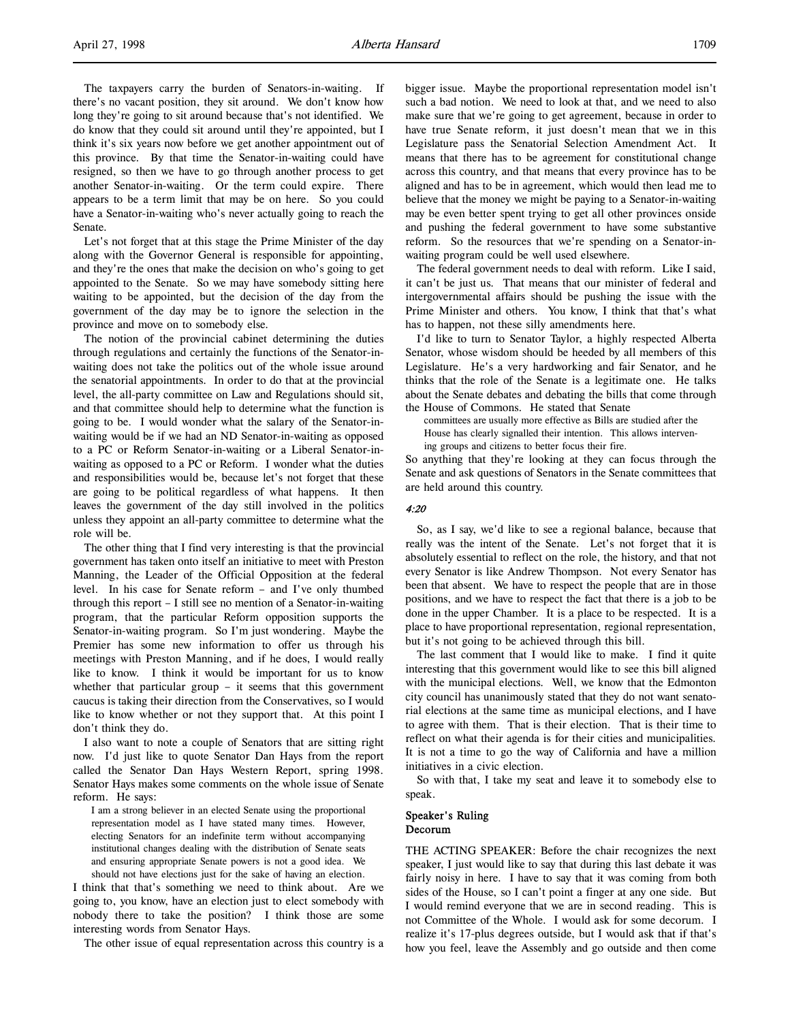The taxpayers carry the burden of Senators-in-waiting. If there's no vacant position, they sit around. We don't know how long they're going to sit around because that's not identified. We do know that they could sit around until they're appointed, but I think it's six years now before we get another appointment out of this province. By that time the Senator-in-waiting could have resigned, so then we have to go through another process to get another Senator-in-waiting. Or the term could expire. There appears to be a term limit that may be on here. So you could have a Senator-in-waiting who's never actually going to reach the Senate.

Let's not forget that at this stage the Prime Minister of the day along with the Governor General is responsible for appointing, and they're the ones that make the decision on who's going to get appointed to the Senate. So we may have somebody sitting here waiting to be appointed, but the decision of the day from the government of the day may be to ignore the selection in the province and move on to somebody else.

The notion of the provincial cabinet determining the duties through regulations and certainly the functions of the Senator-inwaiting does not take the politics out of the whole issue around the senatorial appointments. In order to do that at the provincial level, the all-party committee on Law and Regulations should sit, and that committee should help to determine what the function is going to be. I would wonder what the salary of the Senator-inwaiting would be if we had an ND Senator-in-waiting as opposed to a PC or Reform Senator-in-waiting or a Liberal Senator-inwaiting as opposed to a PC or Reform. I wonder what the duties and responsibilities would be, because let's not forget that these are going to be political regardless of what happens. It then leaves the government of the day still involved in the politics unless they appoint an all-party committee to determine what the role will be.

The other thing that I find very interesting is that the provincial government has taken onto itself an initiative to meet with Preston Manning, the Leader of the Official Opposition at the federal level. In his case for Senate reform – and I've only thumbed through this report – I still see no mention of a Senator-in-waiting program, that the particular Reform opposition supports the Senator-in-waiting program. So I'm just wondering. Maybe the Premier has some new information to offer us through his meetings with Preston Manning, and if he does, I would really like to know. I think it would be important for us to know whether that particular group – it seems that this government caucus is taking their direction from the Conservatives, so I would like to know whether or not they support that. At this point I don't think they do.

I also want to note a couple of Senators that are sitting right now. I'd just like to quote Senator Dan Hays from the report called the Senator Dan Hays Western Report, spring 1998. Senator Hays makes some comments on the whole issue of Senate reform. He says:

I am a strong believer in an elected Senate using the proportional representation model as I have stated many times. However, electing Senators for an indefinite term without accompanying institutional changes dealing with the distribution of Senate seats and ensuring appropriate Senate powers is not a good idea. We should not have elections just for the sake of having an election.

I think that that's something we need to think about. Are we going to, you know, have an election just to elect somebody with nobody there to take the position? I think those are some interesting words from Senator Hays.

The other issue of equal representation across this country is a

bigger issue. Maybe the proportional representation model isn't such a bad notion. We need to look at that, and we need to also make sure that we're going to get agreement, because in order to have true Senate reform, it just doesn't mean that we in this Legislature pass the Senatorial Selection Amendment Act. It means that there has to be agreement for constitutional change across this country, and that means that every province has to be aligned and has to be in agreement, which would then lead me to believe that the money we might be paying to a Senator-in-waiting may be even better spent trying to get all other provinces onside and pushing the federal government to have some substantive reform. So the resources that we're spending on a Senator-inwaiting program could be well used elsewhere.

The federal government needs to deal with reform. Like I said, it can't be just us. That means that our minister of federal and intergovernmental affairs should be pushing the issue with the Prime Minister and others. You know, I think that that's what has to happen, not these silly amendments here.

I'd like to turn to Senator Taylor, a highly respected Alberta Senator, whose wisdom should be heeded by all members of this Legislature. He's a very hardworking and fair Senator, and he thinks that the role of the Senate is a legitimate one. He talks about the Senate debates and debating the bills that come through the House of Commons. He stated that Senate

committees are usually more effective as Bills are studied after the House has clearly signalled their intention. This allows intervening groups and citizens to better focus their fire.

So anything that they're looking at they can focus through the Senate and ask questions of Senators in the Senate committees that are held around this country.

## 4:20

So, as I say, we'd like to see a regional balance, because that really was the intent of the Senate. Let's not forget that it is absolutely essential to reflect on the role, the history, and that not every Senator is like Andrew Thompson. Not every Senator has been that absent. We have to respect the people that are in those positions, and we have to respect the fact that there is a job to be done in the upper Chamber. It is a place to be respected. It is a place to have proportional representation, regional representation, but it's not going to be achieved through this bill.

The last comment that I would like to make. I find it quite interesting that this government would like to see this bill aligned with the municipal elections. Well, we know that the Edmonton city council has unanimously stated that they do not want senatorial elections at the same time as municipal elections, and I have to agree with them. That is their election. That is their time to reflect on what their agenda is for their cities and municipalities. It is not a time to go the way of California and have a million initiatives in a civic election.

So with that, I take my seat and leave it to somebody else to speak.

## Speaker's Ruling Decorum

THE ACTING SPEAKER: Before the chair recognizes the next speaker, I just would like to say that during this last debate it was fairly noisy in here. I have to say that it was coming from both sides of the House, so I can't point a finger at any one side. But I would remind everyone that we are in second reading. This is not Committee of the Whole. I would ask for some decorum. I realize it's 17-plus degrees outside, but I would ask that if that's how you feel, leave the Assembly and go outside and then come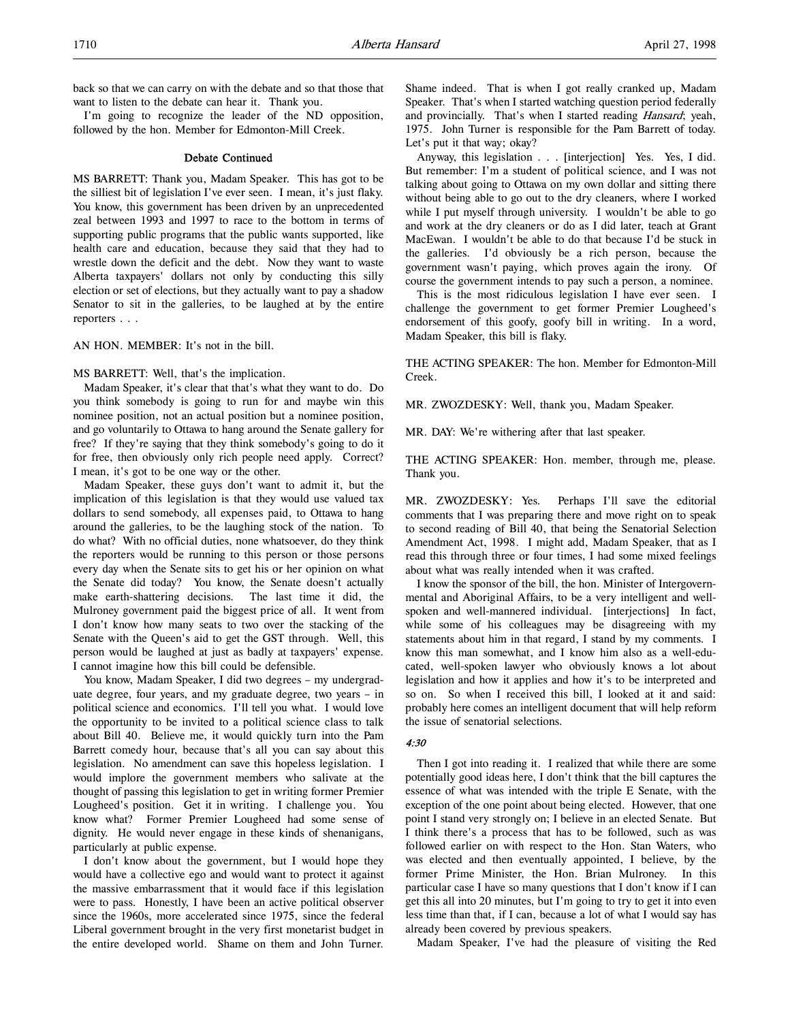back so that we can carry on with the debate and so that those that want to listen to the debate can hear it. Thank you.

I'm going to recognize the leader of the ND opposition, followed by the hon. Member for Edmonton-Mill Creek.

#### Debate Continued

MS BARRETT: Thank you, Madam Speaker. This has got to be the silliest bit of legislation I've ever seen. I mean, it's just flaky. You know, this government has been driven by an unprecedented zeal between 1993 and 1997 to race to the bottom in terms of supporting public programs that the public wants supported, like health care and education, because they said that they had to wrestle down the deficit and the debt. Now they want to waste Alberta taxpayers' dollars not only by conducting this silly election or set of elections, but they actually want to pay a shadow Senator to sit in the galleries, to be laughed at by the entire reporters . . .

AN HON. MEMBER: It's not in the bill.

MS BARRETT: Well, that's the implication.

Madam Speaker, it's clear that that's what they want to do. Do you think somebody is going to run for and maybe win this nominee position, not an actual position but a nominee position, and go voluntarily to Ottawa to hang around the Senate gallery for free? If they're saying that they think somebody's going to do it for free, then obviously only rich people need apply. Correct? I mean, it's got to be one way or the other.

Madam Speaker, these guys don't want to admit it, but the implication of this legislation is that they would use valued tax dollars to send somebody, all expenses paid, to Ottawa to hang around the galleries, to be the laughing stock of the nation. To do what? With no official duties, none whatsoever, do they think the reporters would be running to this person or those persons every day when the Senate sits to get his or her opinion on what the Senate did today? You know, the Senate doesn't actually make earth-shattering decisions. The last time it did, the Mulroney government paid the biggest price of all. It went from I don't know how many seats to two over the stacking of the Senate with the Queen's aid to get the GST through. Well, this person would be laughed at just as badly at taxpayers' expense. I cannot imagine how this bill could be defensible.

You know, Madam Speaker, I did two degrees – my undergraduate degree, four years, and my graduate degree, two years – in political science and economics. I'll tell you what. I would love the opportunity to be invited to a political science class to talk about Bill 40. Believe me, it would quickly turn into the Pam Barrett comedy hour, because that's all you can say about this legislation. No amendment can save this hopeless legislation. I would implore the government members who salivate at the thought of passing this legislation to get in writing former Premier Lougheed's position. Get it in writing. I challenge you. You know what? Former Premier Lougheed had some sense of dignity. He would never engage in these kinds of shenanigans, particularly at public expense.

I don't know about the government, but I would hope they would have a collective ego and would want to protect it against the massive embarrassment that it would face if this legislation were to pass. Honestly, I have been an active political observer since the 1960s, more accelerated since 1975, since the federal Liberal government brought in the very first monetarist budget in the entire developed world. Shame on them and John Turner.

Shame indeed. That is when I got really cranked up, Madam Speaker. That's when I started watching question period federally and provincially. That's when I started reading *Hansard*; yeah, 1975. John Turner is responsible for the Pam Barrett of today. Let's put it that way; okay?

Anyway, this legislation . . . [interjection] Yes. Yes, I did. But remember: I'm a student of political science, and I was not talking about going to Ottawa on my own dollar and sitting there without being able to go out to the dry cleaners, where I worked while I put myself through university. I wouldn't be able to go and work at the dry cleaners or do as I did later, teach at Grant MacEwan. I wouldn't be able to do that because I'd be stuck in the galleries. I'd obviously be a rich person, because the government wasn't paying, which proves again the irony. Of course the government intends to pay such a person, a nominee.

This is the most ridiculous legislation I have ever seen. I challenge the government to get former Premier Lougheed's endorsement of this goofy, goofy bill in writing. In a word, Madam Speaker, this bill is flaky.

THE ACTING SPEAKER: The hon. Member for Edmonton-Mill Creek.

MR. ZWOZDESKY: Well, thank you, Madam Speaker.

MR. DAY: We're withering after that last speaker.

THE ACTING SPEAKER: Hon. member, through me, please. Thank you.

MR. ZWOZDESKY: Yes. Perhaps I'll save the editorial comments that I was preparing there and move right on to speak to second reading of Bill 40, that being the Senatorial Selection Amendment Act, 1998. I might add, Madam Speaker, that as I read this through three or four times, I had some mixed feelings about what was really intended when it was crafted.

I know the sponsor of the bill, the hon. Minister of Intergovernmental and Aboriginal Affairs, to be a very intelligent and wellspoken and well-mannered individual. [interjections] In fact, while some of his colleagues may be disagreeing with my statements about him in that regard, I stand by my comments. I know this man somewhat, and I know him also as a well-educated, well-spoken lawyer who obviously knows a lot about legislation and how it applies and how it's to be interpreted and so on. So when I received this bill, I looked at it and said: probably here comes an intelligent document that will help reform the issue of senatorial selections.

## 4:30

Then I got into reading it. I realized that while there are some potentially good ideas here, I don't think that the bill captures the essence of what was intended with the triple E Senate, with the exception of the one point about being elected. However, that one point I stand very strongly on; I believe in an elected Senate. But I think there's a process that has to be followed, such as was followed earlier on with respect to the Hon. Stan Waters, who was elected and then eventually appointed, I believe, by the former Prime Minister, the Hon. Brian Mulroney. In this particular case I have so many questions that I don't know if I can get this all into 20 minutes, but I'm going to try to get it into even less time than that, if I can, because a lot of what I would say has already been covered by previous speakers.

Madam Speaker, I've had the pleasure of visiting the Red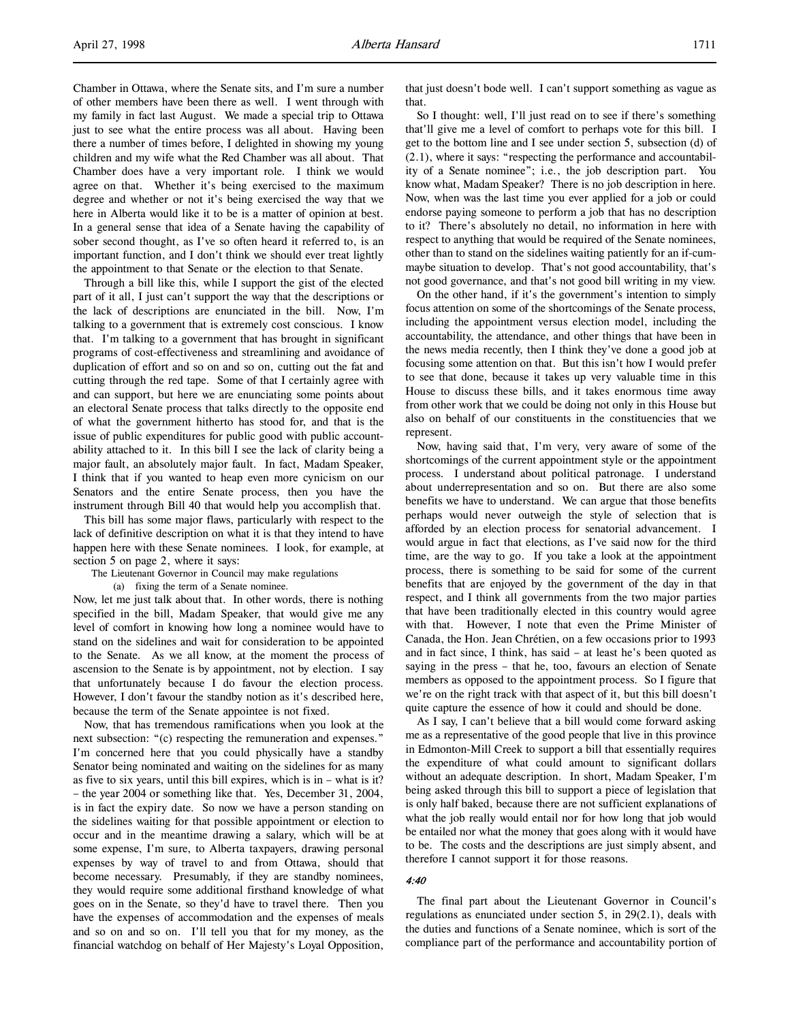Chamber in Ottawa, where the Senate sits, and I'm sure a number of other members have been there as well. I went through with my family in fact last August. We made a special trip to Ottawa just to see what the entire process was all about. Having been there a number of times before, I delighted in showing my young children and my wife what the Red Chamber was all about. That Chamber does have a very important role. I think we would agree on that. Whether it's being exercised to the maximum degree and whether or not it's being exercised the way that we here in Alberta would like it to be is a matter of opinion at best. In a general sense that idea of a Senate having the capability of sober second thought, as I've so often heard it referred to, is an important function, and I don't think we should ever treat lightly the appointment to that Senate or the election to that Senate.

Through a bill like this, while I support the gist of the elected part of it all, I just can't support the way that the descriptions or the lack of descriptions are enunciated in the bill. Now, I'm talking to a government that is extremely cost conscious. I know that. I'm talking to a government that has brought in significant programs of cost-effectiveness and streamlining and avoidance of duplication of effort and so on and so on, cutting out the fat and cutting through the red tape. Some of that I certainly agree with and can support, but here we are enunciating some points about an electoral Senate process that talks directly to the opposite end of what the government hitherto has stood for, and that is the issue of public expenditures for public good with public accountability attached to it. In this bill I see the lack of clarity being a major fault, an absolutely major fault. In fact, Madam Speaker, I think that if you wanted to heap even more cynicism on our Senators and the entire Senate process, then you have the instrument through Bill 40 that would help you accomplish that.

This bill has some major flaws, particularly with respect to the lack of definitive description on what it is that they intend to have happen here with these Senate nominees. I look, for example, at section 5 on page 2, where it says:

The Lieutenant Governor in Council may make regulations

(a) fixing the term of a Senate nominee.

Now, let me just talk about that. In other words, there is nothing specified in the bill, Madam Speaker, that would give me any level of comfort in knowing how long a nominee would have to stand on the sidelines and wait for consideration to be appointed to the Senate. As we all know, at the moment the process of ascension to the Senate is by appointment, not by election. I say that unfortunately because I do favour the election process. However, I don't favour the standby notion as it's described here, because the term of the Senate appointee is not fixed.

Now, that has tremendous ramifications when you look at the next subsection: "(c) respecting the remuneration and expenses." I'm concerned here that you could physically have a standby Senator being nominated and waiting on the sidelines for as many as five to six years, until this bill expires, which is in – what is it? – the year 2004 or something like that. Yes, December 31, 2004, is in fact the expiry date. So now we have a person standing on the sidelines waiting for that possible appointment or election to occur and in the meantime drawing a salary, which will be at some expense, I'm sure, to Alberta taxpayers, drawing personal expenses by way of travel to and from Ottawa, should that become necessary. Presumably, if they are standby nominees, they would require some additional firsthand knowledge of what goes on in the Senate, so they'd have to travel there. Then you have the expenses of accommodation and the expenses of meals and so on and so on. I'll tell you that for my money, as the financial watchdog on behalf of Her Majesty's Loyal Opposition,

that just doesn't bode well. I can't support something as vague as that.

So I thought: well, I'll just read on to see if there's something that'll give me a level of comfort to perhaps vote for this bill. I get to the bottom line and I see under section 5, subsection (d) of (2.1), where it says: "respecting the performance and accountability of a Senate nominee"; i.e., the job description part. You know what, Madam Speaker? There is no job description in here. Now, when was the last time you ever applied for a job or could endorse paying someone to perform a job that has no description to it? There's absolutely no detail, no information in here with respect to anything that would be required of the Senate nominees, other than to stand on the sidelines waiting patiently for an if-cummaybe situation to develop. That's not good accountability, that's not good governance, and that's not good bill writing in my view.

On the other hand, if it's the government's intention to simply focus attention on some of the shortcomings of the Senate process, including the appointment versus election model, including the accountability, the attendance, and other things that have been in the news media recently, then I think they've done a good job at focusing some attention on that. But this isn't how I would prefer to see that done, because it takes up very valuable time in this House to discuss these bills, and it takes enormous time away from other work that we could be doing not only in this House but also on behalf of our constituents in the constituencies that we represent.

Now, having said that, I'm very, very aware of some of the shortcomings of the current appointment style or the appointment process. I understand about political patronage. I understand about underrepresentation and so on. But there are also some benefits we have to understand. We can argue that those benefits perhaps would never outweigh the style of selection that is afforded by an election process for senatorial advancement. I would argue in fact that elections, as I've said now for the third time, are the way to go. If you take a look at the appointment process, there is something to be said for some of the current benefits that are enjoyed by the government of the day in that respect, and I think all governments from the two major parties that have been traditionally elected in this country would agree with that. However, I note that even the Prime Minister of Canada, the Hon. Jean Chrétien, on a few occasions prior to 1993 and in fact since, I think, has said – at least he's been quoted as saying in the press – that he, too, favours an election of Senate members as opposed to the appointment process. So I figure that we're on the right track with that aspect of it, but this bill doesn't quite capture the essence of how it could and should be done.

As I say, I can't believe that a bill would come forward asking me as a representative of the good people that live in this province in Edmonton-Mill Creek to support a bill that essentially requires the expenditure of what could amount to significant dollars without an adequate description. In short, Madam Speaker, I'm being asked through this bill to support a piece of legislation that is only half baked, because there are not sufficient explanations of what the job really would entail nor for how long that job would be entailed nor what the money that goes along with it would have to be. The costs and the descriptions are just simply absent, and therefore I cannot support it for those reasons.

#### 4:40

The final part about the Lieutenant Governor in Council's regulations as enunciated under section 5, in 29(2.1), deals with the duties and functions of a Senate nominee, which is sort of the compliance part of the performance and accountability portion of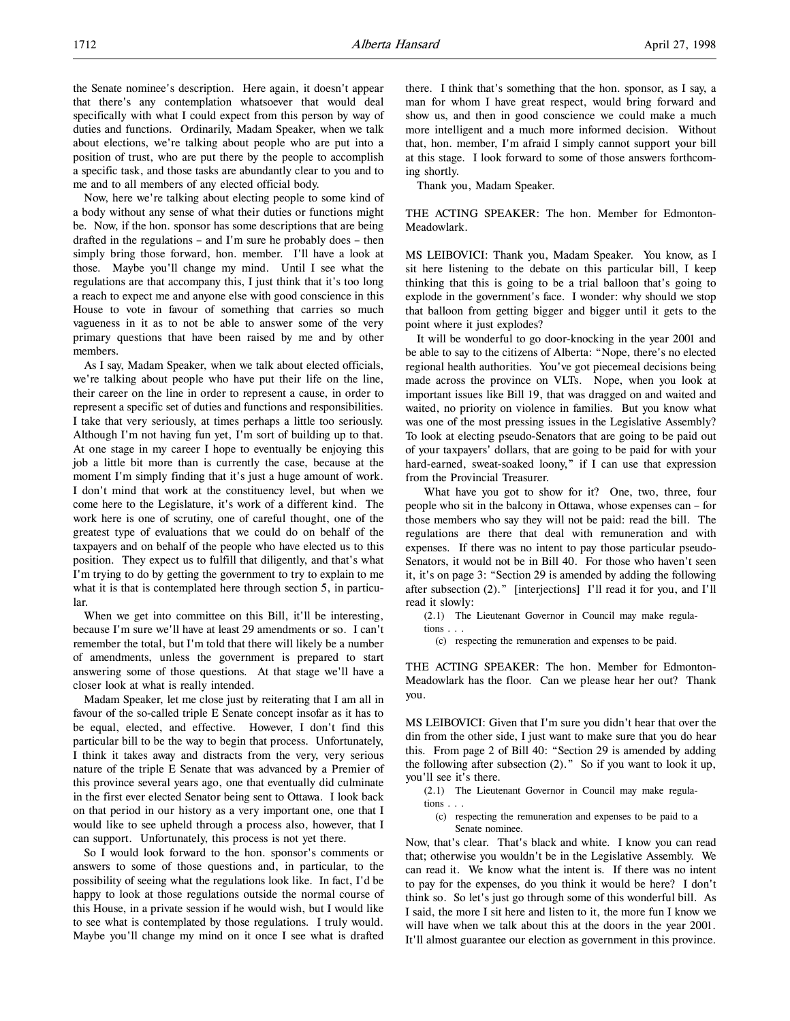the Senate nominee's description. Here again, it doesn't appear that there's any contemplation whatsoever that would deal specifically with what I could expect from this person by way of duties and functions. Ordinarily, Madam Speaker, when we talk about elections, we're talking about people who are put into a position of trust, who are put there by the people to accomplish a specific task, and those tasks are abundantly clear to you and to me and to all members of any elected official body.

Now, here we're talking about electing people to some kind of a body without any sense of what their duties or functions might be. Now, if the hon. sponsor has some descriptions that are being drafted in the regulations – and I'm sure he probably does – then simply bring those forward, hon. member. I'll have a look at those. Maybe you'll change my mind. Until I see what the regulations are that accompany this, I just think that it's too long a reach to expect me and anyone else with good conscience in this House to vote in favour of something that carries so much vagueness in it as to not be able to answer some of the very primary questions that have been raised by me and by other members.

As I say, Madam Speaker, when we talk about elected officials, we're talking about people who have put their life on the line, their career on the line in order to represent a cause, in order to represent a specific set of duties and functions and responsibilities. I take that very seriously, at times perhaps a little too seriously. Although I'm not having fun yet, I'm sort of building up to that. At one stage in my career I hope to eventually be enjoying this job a little bit more than is currently the case, because at the moment I'm simply finding that it's just a huge amount of work. I don't mind that work at the constituency level, but when we come here to the Legislature, it's work of a different kind. The work here is one of scrutiny, one of careful thought, one of the greatest type of evaluations that we could do on behalf of the taxpayers and on behalf of the people who have elected us to this position. They expect us to fulfill that diligently, and that's what I'm trying to do by getting the government to try to explain to me what it is that is contemplated here through section 5, in particular.

When we get into committee on this Bill, it'll be interesting, because I'm sure we'll have at least 29 amendments or so. I can't remember the total, but I'm told that there will likely be a number of amendments, unless the government is prepared to start answering some of those questions. At that stage we'll have a closer look at what is really intended.

Madam Speaker, let me close just by reiterating that I am all in favour of the so-called triple E Senate concept insofar as it has to be equal, elected, and effective. However, I don't find this particular bill to be the way to begin that process. Unfortunately, I think it takes away and distracts from the very, very serious nature of the triple E Senate that was advanced by a Premier of this province several years ago, one that eventually did culminate in the first ever elected Senator being sent to Ottawa. I look back on that period in our history as a very important one, one that I would like to see upheld through a process also, however, that I can support. Unfortunately, this process is not yet there.

So I would look forward to the hon. sponsor's comments or answers to some of those questions and, in particular, to the possibility of seeing what the regulations look like. In fact, I'd be happy to look at those regulations outside the normal course of this House, in a private session if he would wish, but I would like to see what is contemplated by those regulations. I truly would. Maybe you'll change my mind on it once I see what is drafted

there. I think that's something that the hon. sponsor, as I say, a man for whom I have great respect, would bring forward and show us, and then in good conscience we could make a much more intelligent and a much more informed decision. Without that, hon. member, I'm afraid I simply cannot support your bill at this stage. I look forward to some of those answers forthcoming shortly.

Thank you, Madam Speaker.

THE ACTING SPEAKER: The hon. Member for Edmonton-Meadowlark.

MS LEIBOVICI: Thank you, Madam Speaker. You know, as I sit here listening to the debate on this particular bill, I keep thinking that this is going to be a trial balloon that's going to explode in the government's face. I wonder: why should we stop that balloon from getting bigger and bigger until it gets to the point where it just explodes?

It will be wonderful to go door-knocking in the year 2001 and be able to say to the citizens of Alberta: "Nope, there's no elected regional health authorities. You've got piecemeal decisions being made across the province on VLTs. Nope, when you look at important issues like Bill 19, that was dragged on and waited and waited, no priority on violence in families. But you know what was one of the most pressing issues in the Legislative Assembly? To look at electing pseudo-Senators that are going to be paid out of your taxpayers' dollars, that are going to be paid for with your hard-earned, sweat-soaked loony," if I can use that expression from the Provincial Treasurer.

What have you got to show for it? One, two, three, four people who sit in the balcony in Ottawa, whose expenses can – for those members who say they will not be paid: read the bill. The regulations are there that deal with remuneration and with expenses. If there was no intent to pay those particular pseudo-Senators, it would not be in Bill 40. For those who haven't seen it, it's on page 3: "Section 29 is amended by adding the following after subsection (2)." [interjections] I'll read it for you, and I'll read it slowly:

(2.1) The Lieutenant Governor in Council may make regulations . . .

(c) respecting the remuneration and expenses to be paid.

THE ACTING SPEAKER: The hon. Member for Edmonton-Meadowlark has the floor. Can we please hear her out? Thank you.

MS LEIBOVICI: Given that I'm sure you didn't hear that over the din from the other side, I just want to make sure that you do hear this. From page 2 of Bill 40: "Section 29 is amended by adding the following after subsection  $(2)$ ." So if you want to look it up, you'll see it's there.

- (2.1) The Lieutenant Governor in Council may make regulations . . .
- (c) respecting the remuneration and expenses to be paid to a Senate nominee.

Now, that's clear. That's black and white. I know you can read that; otherwise you wouldn't be in the Legislative Assembly. We can read it. We know what the intent is. If there was no intent to pay for the expenses, do you think it would be here? I don't think so. So let's just go through some of this wonderful bill. As I said, the more I sit here and listen to it, the more fun I know we will have when we talk about this at the doors in the year 2001. It'll almost guarantee our election as government in this province.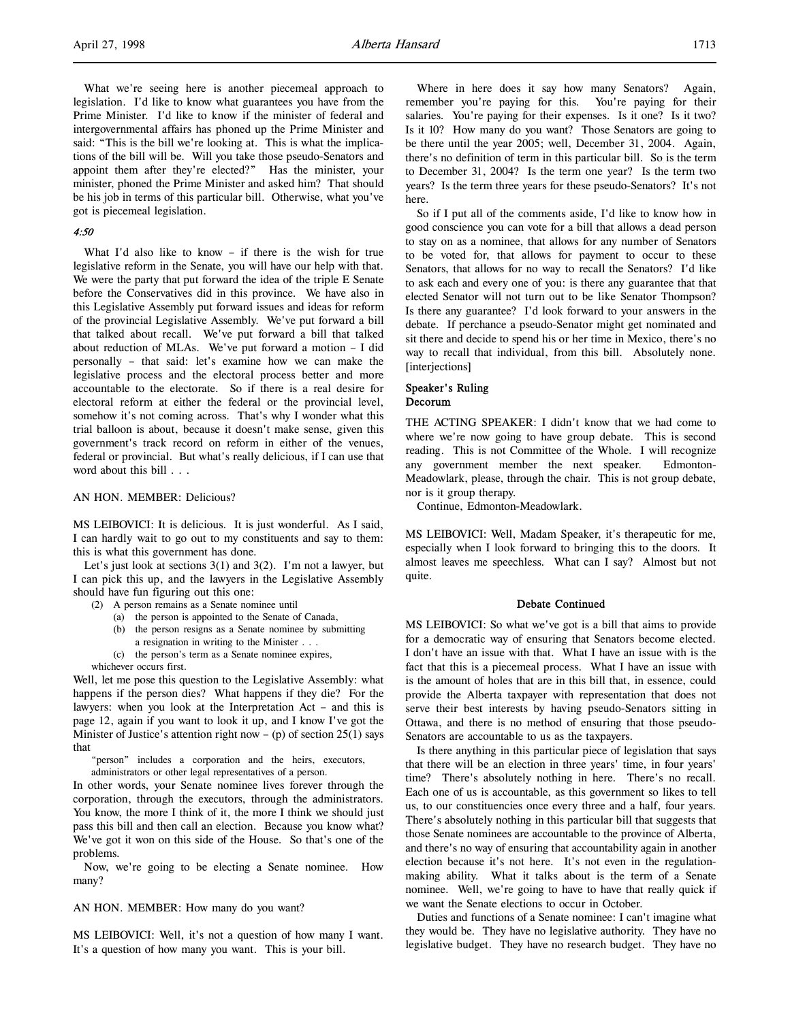What we're seeing here is another piecemeal approach to legislation. I'd like to know what guarantees you have from the Prime Minister. I'd like to know if the minister of federal and intergovernmental affairs has phoned up the Prime Minister and said: "This is the bill we're looking at. This is what the implications of the bill will be. Will you take those pseudo-Senators and appoint them after they're elected?" Has the minister, your minister, phoned the Prime Minister and asked him? That should be his job in terms of this particular bill. Otherwise, what you've got is piecemeal legislation.

## 4:50

What I'd also like to know – if there is the wish for true legislative reform in the Senate, you will have our help with that. We were the party that put forward the idea of the triple E Senate before the Conservatives did in this province. We have also in this Legislative Assembly put forward issues and ideas for reform of the provincial Legislative Assembly. We've put forward a bill that talked about recall. We've put forward a bill that talked about reduction of MLAs. We've put forward a motion – I did personally – that said: let's examine how we can make the legislative process and the electoral process better and more accountable to the electorate. So if there is a real desire for electoral reform at either the federal or the provincial level, somehow it's not coming across. That's why I wonder what this trial balloon is about, because it doesn't make sense, given this government's track record on reform in either of the venues, federal or provincial. But what's really delicious, if I can use that word about this bill . . .

## AN HON. MEMBER: Delicious?

MS LEIBOVICI: It is delicious. It is just wonderful. As I said, I can hardly wait to go out to my constituents and say to them: this is what this government has done.

Let's just look at sections 3(1) and 3(2). I'm not a lawyer, but I can pick this up, and the lawyers in the Legislative Assembly should have fun figuring out this one:

- (2) A person remains as a Senate nominee until
	- (a) the person is appointed to the Senate of Canada,
	- (b) the person resigns as a Senate nominee by submitting
	- a resignation in writing to the Minister . . .
	- (c) the person's term as a Senate nominee expires,

whichever occurs first.

Well, let me pose this question to the Legislative Assembly: what happens if the person dies? What happens if they die? For the lawyers: when you look at the Interpretation Act – and this is page 12, again if you want to look it up, and I know I've got the Minister of Justice's attention right now – (p) of section  $25(1)$  says that

"person" includes a corporation and the heirs, executors, administrators or other legal representatives of a person.

In other words, your Senate nominee lives forever through the corporation, through the executors, through the administrators. You know, the more I think of it, the more I think we should just pass this bill and then call an election. Because you know what? We've got it won on this side of the House. So that's one of the problems.

Now, we're going to be electing a Senate nominee. How many?

AN HON. MEMBER: How many do you want?

MS LEIBOVICI: Well, it's not a question of how many I want. It's a question of how many you want. This is your bill.

Where in here does it say how many Senators? Again, remember you're paying for this. You're paying for their salaries. You're paying for their expenses. Is it one? Is it two? Is it 10? How many do you want? Those Senators are going to be there until the year 2005; well, December 31, 2004. Again, there's no definition of term in this particular bill. So is the term to December 31, 2004? Is the term one year? Is the term two years? Is the term three years for these pseudo-Senators? It's not here.

So if I put all of the comments aside, I'd like to know how in good conscience you can vote for a bill that allows a dead person to stay on as a nominee, that allows for any number of Senators to be voted for, that allows for payment to occur to these Senators, that allows for no way to recall the Senators? I'd like to ask each and every one of you: is there any guarantee that that elected Senator will not turn out to be like Senator Thompson? Is there any guarantee? I'd look forward to your answers in the debate. If perchance a pseudo-Senator might get nominated and sit there and decide to spend his or her time in Mexico, there's no way to recall that individual, from this bill. Absolutely none. [interjections]

#### Speaker's Ruling Decorum

THE ACTING SPEAKER: I didn't know that we had come to where we're now going to have group debate. This is second reading. This is not Committee of the Whole. I will recognize any government member the next speaker. Edmonton-Meadowlark, please, through the chair. This is not group debate, nor is it group therapy.

Continue, Edmonton-Meadowlark.

MS LEIBOVICI: Well, Madam Speaker, it's therapeutic for me, especially when I look forward to bringing this to the doors. It almost leaves me speechless. What can I say? Almost but not quite.

## Debate Continued

MS LEIBOVICI: So what we've got is a bill that aims to provide for a democratic way of ensuring that Senators become elected. I don't have an issue with that. What I have an issue with is the fact that this is a piecemeal process. What I have an issue with is the amount of holes that are in this bill that, in essence, could provide the Alberta taxpayer with representation that does not serve their best interests by having pseudo-Senators sitting in Ottawa, and there is no method of ensuring that those pseudo-Senators are accountable to us as the taxpayers.

Is there anything in this particular piece of legislation that says that there will be an election in three years' time, in four years' time? There's absolutely nothing in here. There's no recall. Each one of us is accountable, as this government so likes to tell us, to our constituencies once every three and a half, four years. There's absolutely nothing in this particular bill that suggests that those Senate nominees are accountable to the province of Alberta, and there's no way of ensuring that accountability again in another election because it's not here. It's not even in the regulationmaking ability. What it talks about is the term of a Senate nominee. Well, we're going to have to have that really quick if we want the Senate elections to occur in October.

Duties and functions of a Senate nominee: I can't imagine what they would be. They have no legislative authority. They have no legislative budget. They have no research budget. They have no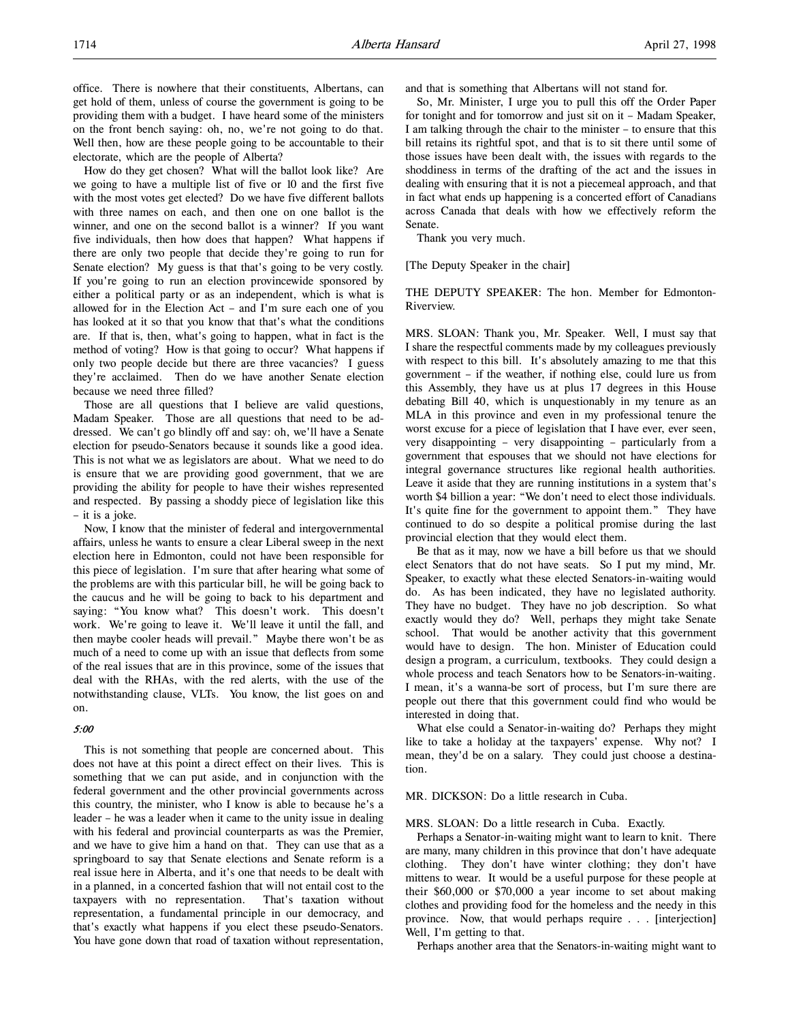office. There is nowhere that their constituents, Albertans, can get hold of them, unless of course the government is going to be providing them with a budget. I have heard some of the ministers on the front bench saying: oh, no, we're not going to do that. Well then, how are these people going to be accountable to their electorate, which are the people of Alberta?

How do they get chosen? What will the ballot look like? Are we going to have a multiple list of five or 10 and the first five with the most votes get elected? Do we have five different ballots with three names on each, and then one on one ballot is the winner, and one on the second ballot is a winner? If you want five individuals, then how does that happen? What happens if there are only two people that decide they're going to run for Senate election? My guess is that that's going to be very costly. If you're going to run an election provincewide sponsored by either a political party or as an independent, which is what is allowed for in the Election Act – and I'm sure each one of you has looked at it so that you know that that's what the conditions are. If that is, then, what's going to happen, what in fact is the method of voting? How is that going to occur? What happens if only two people decide but there are three vacancies? I guess they're acclaimed. Then do we have another Senate election because we need three filled?

Those are all questions that I believe are valid questions, Madam Speaker. Those are all questions that need to be addressed. We can't go blindly off and say: oh, we'll have a Senate election for pseudo-Senators because it sounds like a good idea. This is not what we as legislators are about. What we need to do is ensure that we are providing good government, that we are providing the ability for people to have their wishes represented and respected. By passing a shoddy piece of legislation like this – it is a joke.

Now, I know that the minister of federal and intergovernmental affairs, unless he wants to ensure a clear Liberal sweep in the next election here in Edmonton, could not have been responsible for this piece of legislation. I'm sure that after hearing what some of the problems are with this particular bill, he will be going back to the caucus and he will be going to back to his department and saying: "You know what? This doesn't work. This doesn't work. We're going to leave it. We'll leave it until the fall, and then maybe cooler heads will prevail." Maybe there won't be as much of a need to come up with an issue that deflects from some of the real issues that are in this province, some of the issues that deal with the RHAs, with the red alerts, with the use of the notwithstanding clause, VLTs. You know, the list goes on and on.

#### 5:00

This is not something that people are concerned about. This does not have at this point a direct effect on their lives. This is something that we can put aside, and in conjunction with the federal government and the other provincial governments across this country, the minister, who I know is able to because he's a leader – he was a leader when it came to the unity issue in dealing with his federal and provincial counterparts as was the Premier, and we have to give him a hand on that. They can use that as a springboard to say that Senate elections and Senate reform is a real issue here in Alberta, and it's one that needs to be dealt with in a planned, in a concerted fashion that will not entail cost to the taxpayers with no representation. That's taxation without representation, a fundamental principle in our democracy, and that's exactly what happens if you elect these pseudo-Senators. You have gone down that road of taxation without representation,

and that is something that Albertans will not stand for.

So, Mr. Minister, I urge you to pull this off the Order Paper for tonight and for tomorrow and just sit on it – Madam Speaker, I am talking through the chair to the minister – to ensure that this bill retains its rightful spot, and that is to sit there until some of those issues have been dealt with, the issues with regards to the shoddiness in terms of the drafting of the act and the issues in dealing with ensuring that it is not a piecemeal approach, and that in fact what ends up happening is a concerted effort of Canadians across Canada that deals with how we effectively reform the Senate.

Thank you very much.

[The Deputy Speaker in the chair]

THE DEPUTY SPEAKER: The hon. Member for Edmonton-Riverview.

MRS. SLOAN: Thank you, Mr. Speaker. Well, I must say that I share the respectful comments made by my colleagues previously with respect to this bill. It's absolutely amazing to me that this government – if the weather, if nothing else, could lure us from this Assembly, they have us at plus 17 degrees in this House debating Bill 40, which is unquestionably in my tenure as an MLA in this province and even in my professional tenure the worst excuse for a piece of legislation that I have ever, ever seen, very disappointing – very disappointing – particularly from a government that espouses that we should not have elections for integral governance structures like regional health authorities. Leave it aside that they are running institutions in a system that's worth \$4 billion a year: "We don't need to elect those individuals. It's quite fine for the government to appoint them." They have continued to do so despite a political promise during the last provincial election that they would elect them.

Be that as it may, now we have a bill before us that we should elect Senators that do not have seats. So I put my mind, Mr. Speaker, to exactly what these elected Senators-in-waiting would do. As has been indicated, they have no legislated authority. They have no budget. They have no job description. So what exactly would they do? Well, perhaps they might take Senate school. That would be another activity that this government would have to design. The hon. Minister of Education could design a program, a curriculum, textbooks. They could design a whole process and teach Senators how to be Senators-in-waiting. I mean, it's a wanna-be sort of process, but I'm sure there are people out there that this government could find who would be interested in doing that.

What else could a Senator-in-waiting do? Perhaps they might like to take a holiday at the taxpayers' expense. Why not? I mean, they'd be on a salary. They could just choose a destination.

MR. DICKSON: Do a little research in Cuba.

MRS. SLOAN: Do a little research in Cuba. Exactly.

Perhaps a Senator-in-waiting might want to learn to knit. There are many, many children in this province that don't have adequate clothing. They don't have winter clothing; they don't have mittens to wear. It would be a useful purpose for these people at their \$60,000 or \$70,000 a year income to set about making clothes and providing food for the homeless and the needy in this province. Now, that would perhaps require . . . [interjection] Well, I'm getting to that.

Perhaps another area that the Senators-in-waiting might want to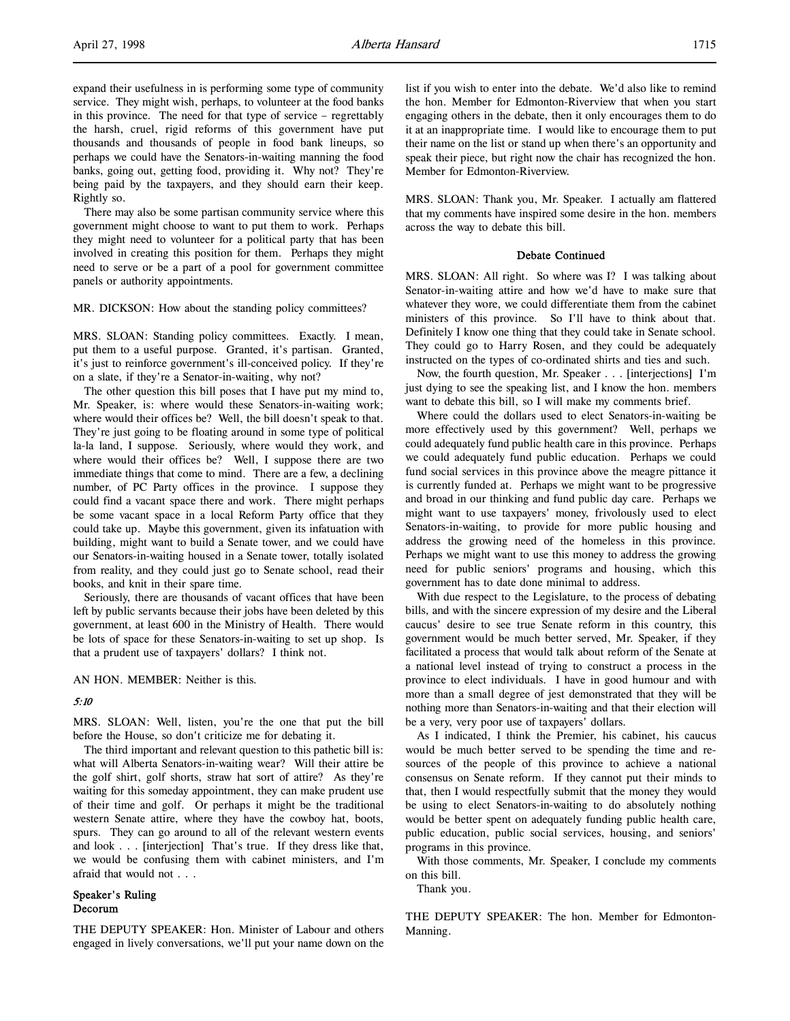expand their usefulness in is performing some type of community service. They might wish, perhaps, to volunteer at the food banks in this province. The need for that type of service – regrettably the harsh, cruel, rigid reforms of this government have put thousands and thousands of people in food bank lineups, so perhaps we could have the Senators-in-waiting manning the food banks, going out, getting food, providing it. Why not? They're being paid by the taxpayers, and they should earn their keep. Rightly so.

There may also be some partisan community service where this government might choose to want to put them to work. Perhaps they might need to volunteer for a political party that has been involved in creating this position for them. Perhaps they might need to serve or be a part of a pool for government committee panels or authority appointments.

MR. DICKSON: How about the standing policy committees?

MRS. SLOAN: Standing policy committees. Exactly. I mean, put them to a useful purpose. Granted, it's partisan. Granted, it's just to reinforce government's ill-conceived policy. If they're on a slate, if they're a Senator-in-waiting, why not?

The other question this bill poses that I have put my mind to, Mr. Speaker, is: where would these Senators-in-waiting work; where would their offices be? Well, the bill doesn't speak to that. They're just going to be floating around in some type of political la-la land, I suppose. Seriously, where would they work, and where would their offices be? Well, I suppose there are two immediate things that come to mind. There are a few, a declining number, of PC Party offices in the province. I suppose they could find a vacant space there and work. There might perhaps be some vacant space in a local Reform Party office that they could take up. Maybe this government, given its infatuation with building, might want to build a Senate tower, and we could have our Senators-in-waiting housed in a Senate tower, totally isolated from reality, and they could just go to Senate school, read their books, and knit in their spare time.

Seriously, there are thousands of vacant offices that have been left by public servants because their jobs have been deleted by this government, at least 600 in the Ministry of Health. There would be lots of space for these Senators-in-waiting to set up shop. Is that a prudent use of taxpayers' dollars? I think not.

AN HON. MEMBER: Neither is this.

## 5:10

MRS. SLOAN: Well, listen, you're the one that put the bill before the House, so don't criticize me for debating it.

The third important and relevant question to this pathetic bill is: what will Alberta Senators-in-waiting wear? Will their attire be the golf shirt, golf shorts, straw hat sort of attire? As they're waiting for this someday appointment, they can make prudent use of their time and golf. Or perhaps it might be the traditional western Senate attire, where they have the cowboy hat, boots, spurs. They can go around to all of the relevant western events and look . . . [interjection] That's true. If they dress like that, we would be confusing them with cabinet ministers, and I'm afraid that would not . . .

## Speaker's Ruling Decorum

THE DEPUTY SPEAKER: Hon. Minister of Labour and others engaged in lively conversations, we'll put your name down on the list if you wish to enter into the debate. We'd also like to remind the hon. Member for Edmonton-Riverview that when you start engaging others in the debate, then it only encourages them to do it at an inappropriate time. I would like to encourage them to put their name on the list or stand up when there's an opportunity and speak their piece, but right now the chair has recognized the hon. Member for Edmonton-Riverview.

MRS. SLOAN: Thank you, Mr. Speaker. I actually am flattered that my comments have inspired some desire in the hon. members across the way to debate this bill.

#### Debate Continued

MRS. SLOAN: All right. So where was I? I was talking about Senator-in-waiting attire and how we'd have to make sure that whatever they wore, we could differentiate them from the cabinet ministers of this province. So I'll have to think about that. Definitely I know one thing that they could take in Senate school. They could go to Harry Rosen, and they could be adequately instructed on the types of co-ordinated shirts and ties and such.

Now, the fourth question, Mr. Speaker . . . [interjections] I'm just dying to see the speaking list, and I know the hon. members want to debate this bill, so I will make my comments brief.

Where could the dollars used to elect Senators-in-waiting be more effectively used by this government? Well, perhaps we could adequately fund public health care in this province. Perhaps we could adequately fund public education. Perhaps we could fund social services in this province above the meagre pittance it is currently funded at. Perhaps we might want to be progressive and broad in our thinking and fund public day care. Perhaps we might want to use taxpayers' money, frivolously used to elect Senators-in-waiting, to provide for more public housing and address the growing need of the homeless in this province. Perhaps we might want to use this money to address the growing need for public seniors' programs and housing, which this government has to date done minimal to address.

With due respect to the Legislature, to the process of debating bills, and with the sincere expression of my desire and the Liberal caucus' desire to see true Senate reform in this country, this government would be much better served, Mr. Speaker, if they facilitated a process that would talk about reform of the Senate at a national level instead of trying to construct a process in the province to elect individuals. I have in good humour and with more than a small degree of jest demonstrated that they will be nothing more than Senators-in-waiting and that their election will be a very, very poor use of taxpayers' dollars.

As I indicated, I think the Premier, his cabinet, his caucus would be much better served to be spending the time and resources of the people of this province to achieve a national consensus on Senate reform. If they cannot put their minds to that, then I would respectfully submit that the money they would be using to elect Senators-in-waiting to do absolutely nothing would be better spent on adequately funding public health care, public education, public social services, housing, and seniors' programs in this province.

With those comments, Mr. Speaker, I conclude my comments on this bill.

Thank you.

THE DEPUTY SPEAKER: The hon. Member for Edmonton-Manning.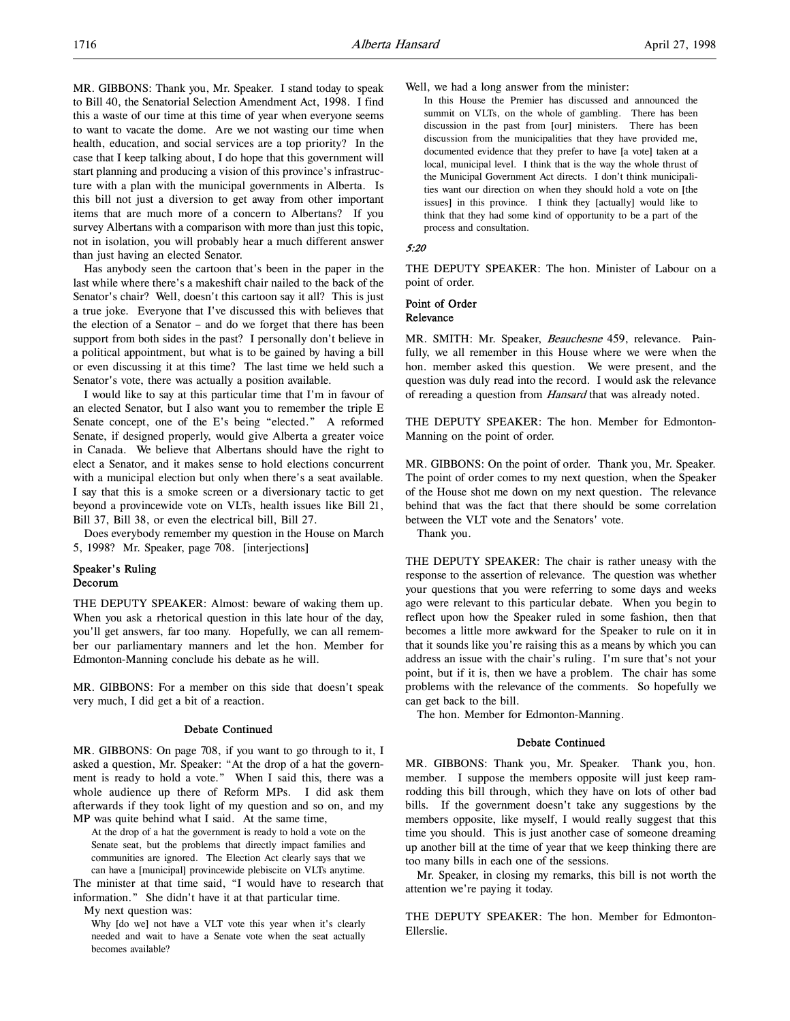MR. GIBBONS: Thank you, Mr. Speaker. I stand today to speak to Bill 40, the Senatorial Selection Amendment Act, 1998. I find this a waste of our time at this time of year when everyone seems to want to vacate the dome. Are we not wasting our time when health, education, and social services are a top priority? In the case that I keep talking about, I do hope that this government will start planning and producing a vision of this province's infrastructure with a plan with the municipal governments in Alberta. Is this bill not just a diversion to get away from other important items that are much more of a concern to Albertans? If you survey Albertans with a comparison with more than just this topic, not in isolation, you will probably hear a much different answer than just having an elected Senator.

Has anybody seen the cartoon that's been in the paper in the last while where there's a makeshift chair nailed to the back of the Senator's chair? Well, doesn't this cartoon say it all? This is just a true joke. Everyone that I've discussed this with believes that the election of a Senator – and do we forget that there has been support from both sides in the past? I personally don't believe in a political appointment, but what is to be gained by having a bill or even discussing it at this time? The last time we held such a Senator's vote, there was actually a position available.

I would like to say at this particular time that I'm in favour of an elected Senator, but I also want you to remember the triple E Senate concept, one of the E's being "elected." A reformed Senate, if designed properly, would give Alberta a greater voice in Canada. We believe that Albertans should have the right to elect a Senator, and it makes sense to hold elections concurrent with a municipal election but only when there's a seat available. I say that this is a smoke screen or a diversionary tactic to get beyond a provincewide vote on VLTs, health issues like Bill 21, Bill 37, Bill 38, or even the electrical bill, Bill 27.

Does everybody remember my question in the House on March 5, 1998? Mr. Speaker, page 708. [interjections]

## Speaker's Ruling Decorum

THE DEPUTY SPEAKER: Almost: beware of waking them up. When you ask a rhetorical question in this late hour of the day, you'll get answers, far too many. Hopefully, we can all remember our parliamentary manners and let the hon. Member for Edmonton-Manning conclude his debate as he will.

MR. GIBBONS: For a member on this side that doesn't speak very much, I did get a bit of a reaction.

#### Debate Continued

MR. GIBBONS: On page 708, if you want to go through to it, I asked a question, Mr. Speaker: "At the drop of a hat the government is ready to hold a vote." When I said this, there was a whole audience up there of Reform MPs. I did ask them afterwards if they took light of my question and so on, and my MP was quite behind what I said. At the same time,

At the drop of a hat the government is ready to hold a vote on the Senate seat, but the problems that directly impact families and communities are ignored. The Election Act clearly says that we can have a [municipal] provincewide plebiscite on VLTs anytime.

The minister at that time said, "I would have to research that information." She didn't have it at that particular time.

My next question was:

Why [do we] not have a VLT vote this year when it's clearly needed and wait to have a Senate vote when the seat actually becomes available?

Well, we had a long answer from the minister:

In this House the Premier has discussed and announced the summit on VLTs, on the whole of gambling. There has been discussion in the past from [our] ministers. There has been discussion from the municipalities that they have provided me, documented evidence that they prefer to have [a vote] taken at a local, municipal level. I think that is the way the whole thrust of the Municipal Government Act directs. I don't think municipalities want our direction on when they should hold a vote on [the issues] in this province. I think they [actually] would like to think that they had some kind of opportunity to be a part of the process and consultation.

#### 5:20

THE DEPUTY SPEAKER: The hon. Minister of Labour on a point of order.

#### Point of Order Relevance

MR. SMITH: Mr. Speaker, Beauchesne 459, relevance. Painfully, we all remember in this House where we were when the hon. member asked this question. We were present, and the question was duly read into the record. I would ask the relevance of rereading a question from Hansard that was already noted.

THE DEPUTY SPEAKER: The hon. Member for Edmonton-Manning on the point of order.

MR. GIBBONS: On the point of order. Thank you, Mr. Speaker. The point of order comes to my next question, when the Speaker of the House shot me down on my next question. The relevance behind that was the fact that there should be some correlation between the VLT vote and the Senators' vote.

Thank you.

THE DEPUTY SPEAKER: The chair is rather uneasy with the response to the assertion of relevance. The question was whether your questions that you were referring to some days and weeks ago were relevant to this particular debate. When you begin to reflect upon how the Speaker ruled in some fashion, then that becomes a little more awkward for the Speaker to rule on it in that it sounds like you're raising this as a means by which you can address an issue with the chair's ruling. I'm sure that's not your point, but if it is, then we have a problem. The chair has some problems with the relevance of the comments. So hopefully we can get back to the bill.

The hon. Member for Edmonton-Manning.

## Debate Continued

MR. GIBBONS: Thank you, Mr. Speaker. Thank you, hon. member. I suppose the members opposite will just keep ramrodding this bill through, which they have on lots of other bad bills. If the government doesn't take any suggestions by the members opposite, like myself, I would really suggest that this time you should. This is just another case of someone dreaming up another bill at the time of year that we keep thinking there are too many bills in each one of the sessions.

Mr. Speaker, in closing my remarks, this bill is not worth the attention we're paying it today.

THE DEPUTY SPEAKER: The hon. Member for Edmonton-Ellerslie.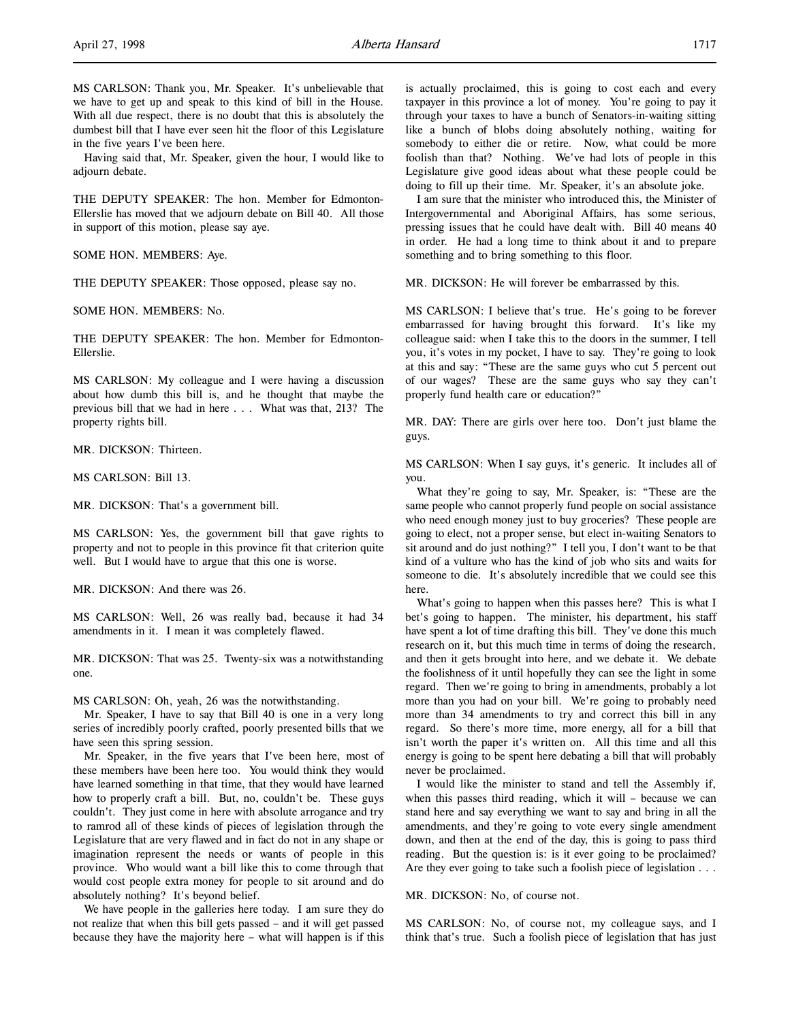Having said that, Mr. Speaker, given the hour, I would like to adjourn debate.

THE DEPUTY SPEAKER: The hon. Member for Edmonton-Ellerslie has moved that we adjourn debate on Bill 40. All those in support of this motion, please say aye.

SOME HON. MEMBERS: Aye.

THE DEPUTY SPEAKER: Those opposed, please say no.

SOME HON. MEMBERS: No.

THE DEPUTY SPEAKER: The hon. Member for Edmonton-Ellerslie.

MS CARLSON: My colleague and I were having a discussion about how dumb this bill is, and he thought that maybe the previous bill that we had in here . . . What was that, 213? The property rights bill.

MR. DICKSON: Thirteen.

MS CARLSON: Bill 13.

MR. DICKSON: That's a government bill.

MS CARLSON: Yes, the government bill that gave rights to property and not to people in this province fit that criterion quite well. But I would have to argue that this one is worse.

MR. DICKSON: And there was 26.

MS CARLSON: Well, 26 was really bad, because it had 34 amendments in it. I mean it was completely flawed.

MR. DICKSON: That was 25. Twenty-six was a notwithstanding one.

MS CARLSON: Oh, yeah, 26 was the notwithstanding.

Mr. Speaker, I have to say that Bill 40 is one in a very long series of incredibly poorly crafted, poorly presented bills that we have seen this spring session.

Mr. Speaker, in the five years that I've been here, most of these members have been here too. You would think they would have learned something in that time, that they would have learned how to properly craft a bill. But, no, couldn't be. These guys couldn't. They just come in here with absolute arrogance and try to ramrod all of these kinds of pieces of legislation through the Legislature that are very flawed and in fact do not in any shape or imagination represent the needs or wants of people in this province. Who would want a bill like this to come through that would cost people extra money for people to sit around and do absolutely nothing? It's beyond belief.

We have people in the galleries here today. I am sure they do not realize that when this bill gets passed – and it will get passed because they have the majority here – what will happen is if this

is actually proclaimed, this is going to cost each and every taxpayer in this province a lot of money. You're going to pay it through your taxes to have a bunch of Senators-in-waiting sitting like a bunch of blobs doing absolutely nothing, waiting for somebody to either die or retire. Now, what could be more foolish than that? Nothing. We've had lots of people in this Legislature give good ideas about what these people could be doing to fill up their time. Mr. Speaker, it's an absolute joke.

I am sure that the minister who introduced this, the Minister of Intergovernmental and Aboriginal Affairs, has some serious, pressing issues that he could have dealt with. Bill 40 means 40 in order. He had a long time to think about it and to prepare something and to bring something to this floor.

MR. DICKSON: He will forever be embarrassed by this.

MS CARLSON: I believe that's true. He's going to be forever embarrassed for having brought this forward. It's like my colleague said: when I take this to the doors in the summer, I tell you, it's votes in my pocket, I have to say. They're going to look at this and say: "These are the same guys who cut 5 percent out of our wages? These are the same guys who say they can't properly fund health care or education?"

MR. DAY: There are girls over here too. Don't just blame the guys.

MS CARLSON: When I say guys, it's generic. It includes all of you.

What they're going to say, Mr. Speaker, is: "These are the same people who cannot properly fund people on social assistance who need enough money just to buy groceries? These people are going to elect, not a proper sense, but elect in-waiting Senators to sit around and do just nothing?" I tell you, I don't want to be that kind of a vulture who has the kind of job who sits and waits for someone to die. It's absolutely incredible that we could see this here.

What's going to happen when this passes here? This is what I bet's going to happen. The minister, his department, his staff have spent a lot of time drafting this bill. They've done this much research on it, but this much time in terms of doing the research, and then it gets brought into here, and we debate it. We debate the foolishness of it until hopefully they can see the light in some regard. Then we're going to bring in amendments, probably a lot more than you had on your bill. We're going to probably need more than 34 amendments to try and correct this bill in any regard. So there's more time, more energy, all for a bill that isn't worth the paper it's written on. All this time and all this energy is going to be spent here debating a bill that will probably never be proclaimed.

I would like the minister to stand and tell the Assembly if, when this passes third reading, which it will – because we can stand here and say everything we want to say and bring in all the amendments, and they're going to vote every single amendment down, and then at the end of the day, this is going to pass third reading. But the question is: is it ever going to be proclaimed? Are they ever going to take such a foolish piece of legislation . . .

MR. DICKSON: No, of course not.

MS CARLSON: No, of course not, my colleague says, and I think that's true. Such a foolish piece of legislation that has just